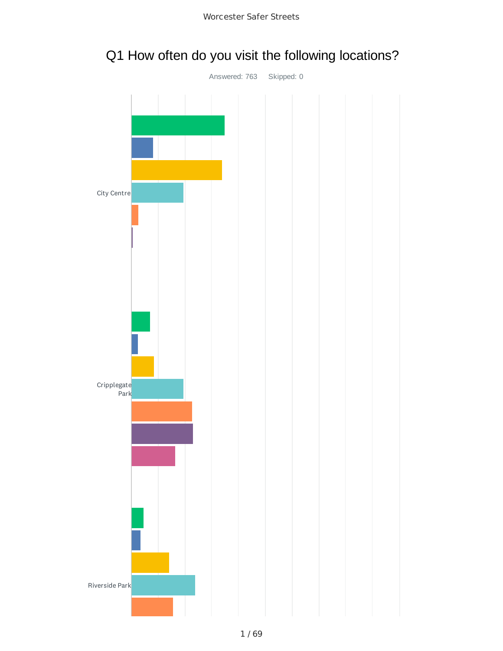

# Q1 How often do you visit the following locations?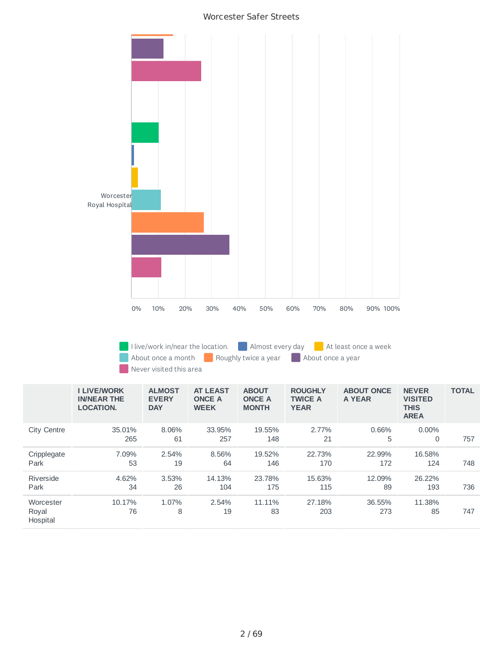

I live/work in/near the location.  $\Box$  Almost every day  $\Box$  At least once a week About once a month **Roughly twice a year** About once a year Never visited this area

|                                | <b>I LIVE/WORK</b><br><b>IN/NEAR THE</b><br><b>LOCATION.</b> | <b>ALMOST</b><br><b>EVERY</b><br><b>DAY</b> | <b>AT LEAST</b><br><b>ONCE A</b><br><b>WEEK</b> | <b>ABOUT</b><br><b>ONCE A</b><br><b>MONTH</b> | <b>ROUGHLY</b><br><b>TWICE A</b><br><b>YEAR</b> | <b>ABOUT ONCE</b><br>A YEAR | <b>NEVER</b><br><b>VISITED</b><br><b>THIS</b><br><b>AREA</b> | <b>TOTAL</b> |
|--------------------------------|--------------------------------------------------------------|---------------------------------------------|-------------------------------------------------|-----------------------------------------------|-------------------------------------------------|-----------------------------|--------------------------------------------------------------|--------------|
| <b>City Centre</b>             | 35.01%<br>265                                                | 8.06%<br>61                                 | 33.95%<br>257                                   | 19.55%<br>148                                 | 2.77%<br>21                                     | 0.66%<br>5                  | $0.00\%$<br>0                                                | 757          |
| Cripplegate<br>Park            | 7.09%<br>53                                                  | 2.54%<br>19                                 | 8.56%<br>64                                     | 19.52%<br>146                                 | 22.73%<br>170                                   | 22.99%<br>172               | 16.58%<br>124                                                | 748          |
| Riverside<br>Park              | 4.62%<br>34                                                  | 3.53%<br>26                                 | 14.13%<br>104                                   | 23.78%<br>175                                 | 15.63%<br>115                                   | 12.09%<br>89                | 26.22%<br>193                                                | 736          |
| Worcester<br>Royal<br>Hospital | 10.17%<br>76                                                 | 1.07%<br>8                                  | 2.54%<br>19                                     | 11.11%<br>83                                  | 27.18%<br>203                                   | 36.55%<br>273               | 11.38%<br>85                                                 | 747          |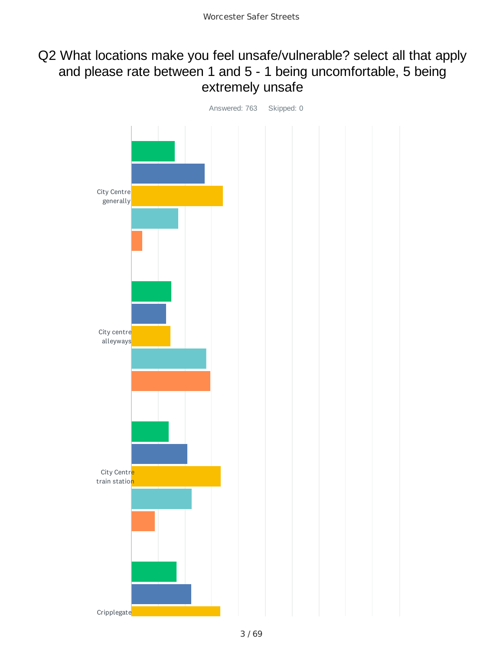## Q2 What locations make you feel unsafe/vulnerable? select all that apply and please rate between 1 and 5 - 1 being uncomfortable, 5 being extremely unsafe

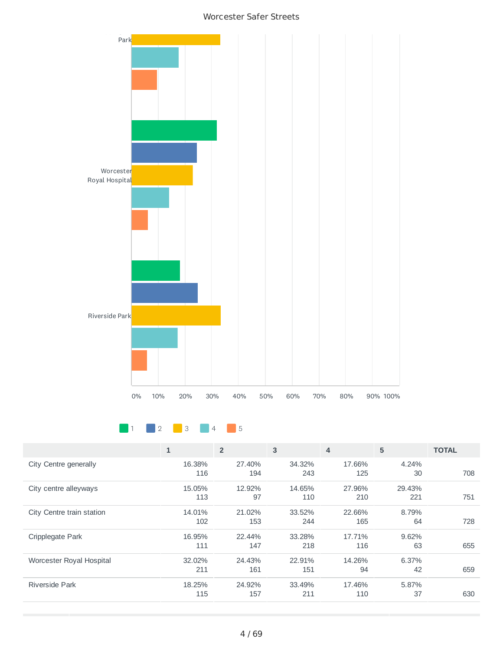





|                           | $\mathbf{1}$  | $\overline{2}$ | 3             | 4             | 5             | <b>TOTAL</b> |
|---------------------------|---------------|----------------|---------------|---------------|---------------|--------------|
| City Centre generally     | 16.38%<br>116 | 27.40%<br>194  | 34.32%<br>243 | 17.66%<br>125 | 4.24%<br>30   | 708          |
| City centre alleyways     | 15.05%<br>113 | 12.92%<br>97   | 14.65%<br>110 | 27.96%<br>210 | 29.43%<br>221 | 751          |
| City Centre train station | 14.01%<br>102 | 21.02%<br>153  | 33.52%<br>244 | 22.66%<br>165 | 8.79%<br>64   | 728          |
| Cripplegate Park          | 16.95%<br>111 | 22.44%<br>147  | 33.28%<br>218 | 17.71%<br>116 | 9.62%<br>63   | 655          |
| Worcester Royal Hospital  | 32.02%<br>211 | 24.43%<br>161  | 22.91%<br>151 | 14.26%<br>94  | 6.37%<br>42   | 659          |
| Riverside Park            | 18.25%<br>115 | 24.92%<br>157  | 33.49%<br>211 | 17.46%<br>110 | 5.87%<br>37   | 630          |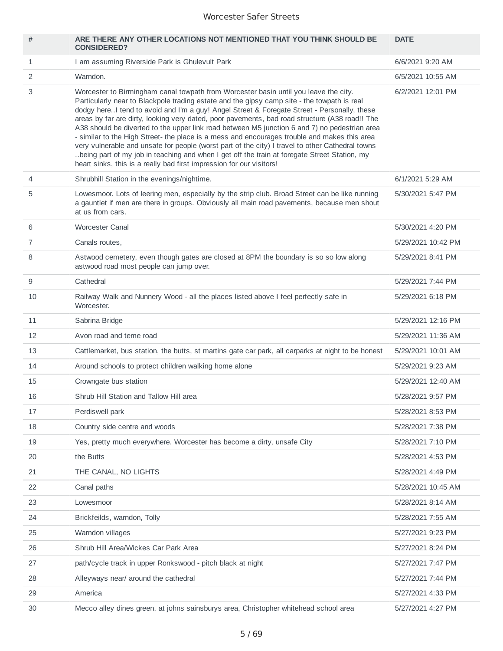| #              | ARE THERE ANY OTHER LOCATIONS NOT MENTIONED THAT YOU THINK SHOULD BE<br><b>CONSIDERED?</b>                                                                                                                                                                                                                                                                                                                                                                                                                                                                                                                                                                                                                                                                                                                                                                          | <b>DATE</b>        |
|----------------|---------------------------------------------------------------------------------------------------------------------------------------------------------------------------------------------------------------------------------------------------------------------------------------------------------------------------------------------------------------------------------------------------------------------------------------------------------------------------------------------------------------------------------------------------------------------------------------------------------------------------------------------------------------------------------------------------------------------------------------------------------------------------------------------------------------------------------------------------------------------|--------------------|
| 1              | I am assuming Riverside Park is Ghulevult Park                                                                                                                                                                                                                                                                                                                                                                                                                                                                                                                                                                                                                                                                                                                                                                                                                      | 6/6/2021 9:20 AM   |
| 2              | Warndon.                                                                                                                                                                                                                                                                                                                                                                                                                                                                                                                                                                                                                                                                                                                                                                                                                                                            | 6/5/2021 10:55 AM  |
| 3              | Worcester to Birmingham canal towpath from Worcester basin until you leave the city.<br>Particularly near to Blackpole trading estate and the gipsy camp site - the towpath is real<br>dodgy here. I tend to avoid and I'm a guy! Angel Street & Foregate Street - Personally, these<br>areas by far are dirty, looking very dated, poor pavements, bad road structure (A38 road!! The<br>A38 should be diverted to the upper link road between M5 junction 6 and 7) no pedestrian area<br>- similar to the High Street- the place is a mess and encourages trouble and makes this area<br>very vulnerable and unsafe for people (worst part of the city) I travel to other Cathedral towns<br>being part of my job in teaching and when I get off the train at foregate Street Station, my<br>heart sinks, this is a really bad first impression for our visitors! | 6/2/2021 12:01 PM  |
| 4              | Shrubhill Station in the evenings/nightime.                                                                                                                                                                                                                                                                                                                                                                                                                                                                                                                                                                                                                                                                                                                                                                                                                         | 6/1/2021 5:29 AM   |
| 5              | Lowesmoor. Lots of leering men, especially by the strip club. Broad Street can be like running<br>a gauntlet if men are there in groups. Obviously all main road pavements, because men shout<br>at us from cars.                                                                                                                                                                                                                                                                                                                                                                                                                                                                                                                                                                                                                                                   | 5/30/2021 5:47 PM  |
| 6              | <b>Worcester Canal</b>                                                                                                                                                                                                                                                                                                                                                                                                                                                                                                                                                                                                                                                                                                                                                                                                                                              | 5/30/2021 4:20 PM  |
| $\overline{7}$ | Canals routes,                                                                                                                                                                                                                                                                                                                                                                                                                                                                                                                                                                                                                                                                                                                                                                                                                                                      | 5/29/2021 10:42 PM |
| 8              | Astwood cemetery, even though gates are closed at 8PM the boundary is so so low along<br>astwood road most people can jump over.                                                                                                                                                                                                                                                                                                                                                                                                                                                                                                                                                                                                                                                                                                                                    | 5/29/2021 8:41 PM  |
| 9              | Cathedral                                                                                                                                                                                                                                                                                                                                                                                                                                                                                                                                                                                                                                                                                                                                                                                                                                                           | 5/29/2021 7:44 PM  |
| 10             | Railway Walk and Nunnery Wood - all the places listed above I feel perfectly safe in<br>Worcester.                                                                                                                                                                                                                                                                                                                                                                                                                                                                                                                                                                                                                                                                                                                                                                  | 5/29/2021 6:18 PM  |
| 11             | Sabrina Bridge                                                                                                                                                                                                                                                                                                                                                                                                                                                                                                                                                                                                                                                                                                                                                                                                                                                      | 5/29/2021 12:16 PM |
| 12             | Avon road and teme road                                                                                                                                                                                                                                                                                                                                                                                                                                                                                                                                                                                                                                                                                                                                                                                                                                             | 5/29/2021 11:36 AM |
| 13             | Cattlemarket, bus station, the butts, st martins gate car park, all carparks at night to be honest                                                                                                                                                                                                                                                                                                                                                                                                                                                                                                                                                                                                                                                                                                                                                                  | 5/29/2021 10:01 AM |
| 14             | Around schools to protect children walking home alone                                                                                                                                                                                                                                                                                                                                                                                                                                                                                                                                                                                                                                                                                                                                                                                                               | 5/29/2021 9:23 AM  |
| 15             | Crowngate bus station                                                                                                                                                                                                                                                                                                                                                                                                                                                                                                                                                                                                                                                                                                                                                                                                                                               | 5/29/2021 12:40 AM |
| 16             | Shrub Hill Station and Tallow Hill area                                                                                                                                                                                                                                                                                                                                                                                                                                                                                                                                                                                                                                                                                                                                                                                                                             | 5/28/2021 9:57 PM  |
| 17             | Perdiswell park                                                                                                                                                                                                                                                                                                                                                                                                                                                                                                                                                                                                                                                                                                                                                                                                                                                     | 5/28/2021 8:53 PM  |
| 18             | Country side centre and woods                                                                                                                                                                                                                                                                                                                                                                                                                                                                                                                                                                                                                                                                                                                                                                                                                                       | 5/28/2021 7:38 PM  |
| 19             | Yes, pretty much everywhere. Worcester has become a dirty, unsafe City                                                                                                                                                                                                                                                                                                                                                                                                                                                                                                                                                                                                                                                                                                                                                                                              | 5/28/2021 7:10 PM  |
| 20             | the Butts                                                                                                                                                                                                                                                                                                                                                                                                                                                                                                                                                                                                                                                                                                                                                                                                                                                           | 5/28/2021 4:53 PM  |
| 21             | THE CANAL, NO LIGHTS                                                                                                                                                                                                                                                                                                                                                                                                                                                                                                                                                                                                                                                                                                                                                                                                                                                | 5/28/2021 4:49 PM  |
| 22             | Canal paths                                                                                                                                                                                                                                                                                                                                                                                                                                                                                                                                                                                                                                                                                                                                                                                                                                                         | 5/28/2021 10:45 AM |
| 23             | Lowesmoor                                                                                                                                                                                                                                                                                                                                                                                                                                                                                                                                                                                                                                                                                                                                                                                                                                                           | 5/28/2021 8:14 AM  |
| 24             | Brickfeilds, warndon, Tolly                                                                                                                                                                                                                                                                                                                                                                                                                                                                                                                                                                                                                                                                                                                                                                                                                                         | 5/28/2021 7:55 AM  |
| 25             | Warndon villages                                                                                                                                                                                                                                                                                                                                                                                                                                                                                                                                                                                                                                                                                                                                                                                                                                                    | 5/27/2021 9:23 PM  |
| 26             | Shrub Hill Area/Wickes Car Park Area                                                                                                                                                                                                                                                                                                                                                                                                                                                                                                                                                                                                                                                                                                                                                                                                                                | 5/27/2021 8:24 PM  |
| 27             | path/cycle track in upper Ronkswood - pitch black at night                                                                                                                                                                                                                                                                                                                                                                                                                                                                                                                                                                                                                                                                                                                                                                                                          | 5/27/2021 7:47 PM  |
| 28             | Alleyways near/ around the cathedral                                                                                                                                                                                                                                                                                                                                                                                                                                                                                                                                                                                                                                                                                                                                                                                                                                | 5/27/2021 7:44 PM  |
| 29             | America                                                                                                                                                                                                                                                                                                                                                                                                                                                                                                                                                                                                                                                                                                                                                                                                                                                             | 5/27/2021 4:33 PM  |
| 30             | Mecco alley dines green, at johns sainsburys area, Christopher whitehead school area                                                                                                                                                                                                                                                                                                                                                                                                                                                                                                                                                                                                                                                                                                                                                                                | 5/27/2021 4:27 PM  |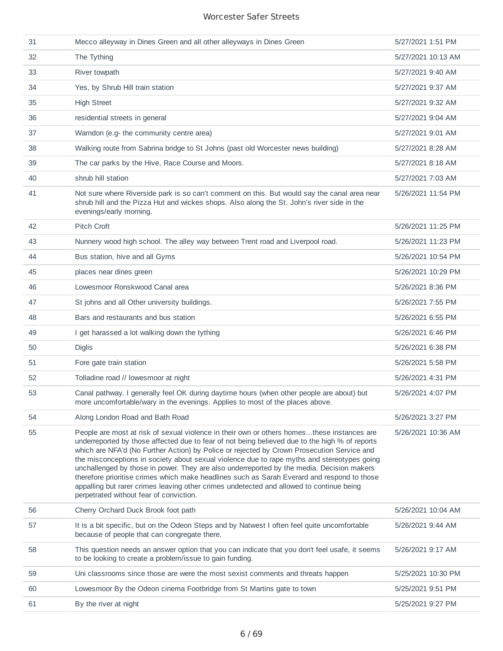| 31 | Mecco alleyway in Dines Green and all other alleyways in Dines Green                                                                                                                                                                                                                                                                                                                                                                                                                                                                                                                                                                                                                                                         | 5/27/2021 1:51 PM  |
|----|------------------------------------------------------------------------------------------------------------------------------------------------------------------------------------------------------------------------------------------------------------------------------------------------------------------------------------------------------------------------------------------------------------------------------------------------------------------------------------------------------------------------------------------------------------------------------------------------------------------------------------------------------------------------------------------------------------------------------|--------------------|
| 32 | The Tything                                                                                                                                                                                                                                                                                                                                                                                                                                                                                                                                                                                                                                                                                                                  | 5/27/2021 10:13 AM |
| 33 | River towpath                                                                                                                                                                                                                                                                                                                                                                                                                                                                                                                                                                                                                                                                                                                | 5/27/2021 9:40 AM  |
| 34 | Yes, by Shrub Hill train station                                                                                                                                                                                                                                                                                                                                                                                                                                                                                                                                                                                                                                                                                             | 5/27/2021 9:37 AM  |
| 35 | <b>High Street</b>                                                                                                                                                                                                                                                                                                                                                                                                                                                                                                                                                                                                                                                                                                           | 5/27/2021 9:32 AM  |
| 36 | residential streets in general                                                                                                                                                                                                                                                                                                                                                                                                                                                                                                                                                                                                                                                                                               | 5/27/2021 9:04 AM  |
| 37 | Warndon (e.g- the community centre area)                                                                                                                                                                                                                                                                                                                                                                                                                                                                                                                                                                                                                                                                                     | 5/27/2021 9:01 AM  |
| 38 | Walking route from Sabrina bridge to St Johns (past old Worcester news building)                                                                                                                                                                                                                                                                                                                                                                                                                                                                                                                                                                                                                                             | 5/27/2021 8:28 AM  |
| 39 | The car parks by the Hive, Race Course and Moors.                                                                                                                                                                                                                                                                                                                                                                                                                                                                                                                                                                                                                                                                            | 5/27/2021 8:18 AM  |
| 40 | shrub hill station                                                                                                                                                                                                                                                                                                                                                                                                                                                                                                                                                                                                                                                                                                           | 5/27/2021 7:03 AM  |
| 41 | Not sure where Riverside park is so can't comment on this. But would say the canal area near<br>shrub hill and the Pizza Hut and wickes shops. Also along the St. John's river side in the<br>evenings/early morning.                                                                                                                                                                                                                                                                                                                                                                                                                                                                                                        | 5/26/2021 11:54 PM |
| 42 | Pitch Croft                                                                                                                                                                                                                                                                                                                                                                                                                                                                                                                                                                                                                                                                                                                  | 5/26/2021 11:25 PM |
| 43 | Nunnery wood high school. The alley way between Trent road and Liverpool road.                                                                                                                                                                                                                                                                                                                                                                                                                                                                                                                                                                                                                                               | 5/26/2021 11:23 PM |
| 44 | Bus station, hive and all Gyms                                                                                                                                                                                                                                                                                                                                                                                                                                                                                                                                                                                                                                                                                               | 5/26/2021 10:54 PM |
| 45 | places near dines green                                                                                                                                                                                                                                                                                                                                                                                                                                                                                                                                                                                                                                                                                                      | 5/26/2021 10:29 PM |
| 46 | Lowesmoor Ronskwood Canal area                                                                                                                                                                                                                                                                                                                                                                                                                                                                                                                                                                                                                                                                                               | 5/26/2021 8:36 PM  |
| 47 | St johns and all Other university buildings.                                                                                                                                                                                                                                                                                                                                                                                                                                                                                                                                                                                                                                                                                 | 5/26/2021 7:55 PM  |
| 48 | Bars and restaurants and bus station                                                                                                                                                                                                                                                                                                                                                                                                                                                                                                                                                                                                                                                                                         | 5/26/2021 6:55 PM  |
| 49 | I get harassed a lot walking down the tything                                                                                                                                                                                                                                                                                                                                                                                                                                                                                                                                                                                                                                                                                | 5/26/2021 6:46 PM  |
| 50 | <b>Diglis</b>                                                                                                                                                                                                                                                                                                                                                                                                                                                                                                                                                                                                                                                                                                                | 5/26/2021 6:38 PM  |
| 51 | Fore gate train station                                                                                                                                                                                                                                                                                                                                                                                                                                                                                                                                                                                                                                                                                                      | 5/26/2021 5:58 PM  |
| 52 | Tolladine road // lowesmoor at night                                                                                                                                                                                                                                                                                                                                                                                                                                                                                                                                                                                                                                                                                         | 5/26/2021 4:31 PM  |
| 53 | Canal pathway. I generally feel OK during daytime hours (when other people are about) but<br>more uncomfortable/wary in the evenings. Applies to most of the places above.                                                                                                                                                                                                                                                                                                                                                                                                                                                                                                                                                   | 5/26/2021 4:07 PM  |
| 54 | Along London Road and Bath Road                                                                                                                                                                                                                                                                                                                                                                                                                                                                                                                                                                                                                                                                                              | 5/26/2021 3:27 PM  |
| 55 | People are most at risk of sexual violence in their own or others homesthese instances are<br>underreported by those affected due to fear of not being believed due to the high % of reports<br>which are NFA'd (No Further Action) by Police or rejected by Crown Prosecution Service and<br>the misconceptions in society about sexual violence due to rape myths and stereotypes going<br>unchallenged by those in power. They are also underreported by the media. Decision makers<br>therefore prioritise crimes which make headlines such as Sarah Everard and respond to those<br>appalling but rarer crimes leaving other crimes undetected and allowed to continue being<br>perpetrated without fear of conviction. | 5/26/2021 10:36 AM |
| 56 | Cherry Orchard Duck Brook foot path                                                                                                                                                                                                                                                                                                                                                                                                                                                                                                                                                                                                                                                                                          | 5/26/2021 10:04 AM |
| 57 | It is a bit specific, but on the Odeon Steps and by Natwest I often feel quite uncomfortable<br>because of people that can congregate there.                                                                                                                                                                                                                                                                                                                                                                                                                                                                                                                                                                                 | 5/26/2021 9:44 AM  |
| 58 | This question needs an answer option that you can indicate that you don't feel usafe, it seems<br>to be looking to create a problem/issue to gain funding.                                                                                                                                                                                                                                                                                                                                                                                                                                                                                                                                                                   | 5/26/2021 9:17 AM  |
| 59 | Uni classrooms since those are were the most sexist comments and threats happen                                                                                                                                                                                                                                                                                                                                                                                                                                                                                                                                                                                                                                              | 5/25/2021 10:30 PM |
| 60 | Lowesmoor By the Odeon cinema Footbridge from St Martins gate to town                                                                                                                                                                                                                                                                                                                                                                                                                                                                                                                                                                                                                                                        | 5/25/2021 9:51 PM  |
| 61 | By the river at night                                                                                                                                                                                                                                                                                                                                                                                                                                                                                                                                                                                                                                                                                                        | 5/25/2021 9:27 PM  |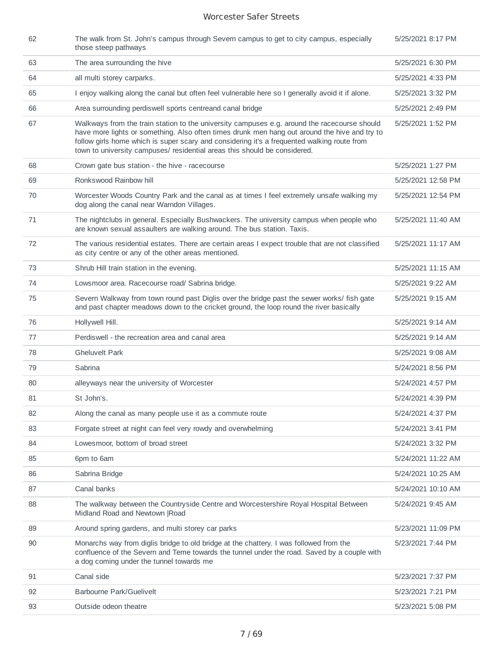| 62 | The walk from St. John's campus through Severn campus to get to city campus, especially<br>those steep pathways                                                                                                                                                                                                                                                           | 5/25/2021 8:17 PM  |
|----|---------------------------------------------------------------------------------------------------------------------------------------------------------------------------------------------------------------------------------------------------------------------------------------------------------------------------------------------------------------------------|--------------------|
| 63 | The area surrounding the hive                                                                                                                                                                                                                                                                                                                                             | 5/25/2021 6:30 PM  |
| 64 | all multi storey carparks.                                                                                                                                                                                                                                                                                                                                                | 5/25/2021 4:33 PM  |
| 65 | I enjoy walking along the canal but often feel vulnerable here so I generally avoid it if alone.                                                                                                                                                                                                                                                                          | 5/25/2021 3:32 PM  |
| 66 | Area surrounding perdiswell sports centreand canal bridge                                                                                                                                                                                                                                                                                                                 | 5/25/2021 2:49 PM  |
| 67 | Walkways from the train station to the university campuses e.g. around the racecourse should<br>have more lights or something. Also often times drunk men hang out around the hive and try to<br>follow girls home which is super scary and considering it's a frequented walking route from<br>town to university campuses/ residential areas this should be considered. | 5/25/2021 1:52 PM  |
| 68 | Crown gate bus station - the hive - racecourse                                                                                                                                                                                                                                                                                                                            | 5/25/2021 1:27 PM  |
| 69 | Ronkswood Rainbow hill                                                                                                                                                                                                                                                                                                                                                    | 5/25/2021 12:58 PM |
| 70 | Worcester Woods Country Park and the canal as at times I feel extremely unsafe walking my<br>dog along the canal near Warndon Villages.                                                                                                                                                                                                                                   | 5/25/2021 12:54 PM |
| 71 | The nightclubs in general. Especially Bushwackers. The university campus when people who<br>are known sexual assaulters are walking around. The bus station. Taxis.                                                                                                                                                                                                       | 5/25/2021 11:40 AM |
| 72 | The various residential estates. There are certain areas I expect trouble that are not classified<br>as city centre or any of the other areas mentioned.                                                                                                                                                                                                                  | 5/25/2021 11:17 AM |
| 73 | Shrub Hill train station in the evening.                                                                                                                                                                                                                                                                                                                                  | 5/25/2021 11:15 AM |
| 74 | Lowsmoor area. Racecourse road/ Sabrina bridge.                                                                                                                                                                                                                                                                                                                           | 5/25/2021 9:22 AM  |
| 75 | Severn Walkway from town round past Diglis over the bridge past the sewer works/ fish gate<br>and past chapter meadows down to the cricket ground, the loop round the river basically                                                                                                                                                                                     | 5/25/2021 9:15 AM  |
| 76 | Hollywell Hill.                                                                                                                                                                                                                                                                                                                                                           | 5/25/2021 9:14 AM  |
| 77 | Perdiswell - the recreation area and canal area                                                                                                                                                                                                                                                                                                                           | 5/25/2021 9:14 AM  |
| 78 | <b>Gheluvelt Park</b>                                                                                                                                                                                                                                                                                                                                                     | 5/25/2021 9:08 AM  |
| 79 | Sabrina                                                                                                                                                                                                                                                                                                                                                                   | 5/24/2021 8:56 PM  |
| 80 | alleyways near the university of Worcester                                                                                                                                                                                                                                                                                                                                | 5/24/2021 4:57 PM  |
| 81 | St John's.                                                                                                                                                                                                                                                                                                                                                                | 5/24/2021 4:39 PM  |
| 82 | Along the canal as many people use it as a commute route                                                                                                                                                                                                                                                                                                                  | 5/24/2021 4:37 PM  |
| 83 | Forgate street at night can feel very rowdy and overwhelming                                                                                                                                                                                                                                                                                                              | 5/24/2021 3:41 PM  |
| 84 | Lowesmoor, bottom of broad street                                                                                                                                                                                                                                                                                                                                         | 5/24/2021 3:32 PM  |
| 85 | 6pm to 6am                                                                                                                                                                                                                                                                                                                                                                | 5/24/2021 11:22 AM |
| 86 | Sabrina Bridge                                                                                                                                                                                                                                                                                                                                                            | 5/24/2021 10:25 AM |
| 87 | Canal banks                                                                                                                                                                                                                                                                                                                                                               | 5/24/2021 10:10 AM |
| 88 | The walkway between the Countryside Centre and Worcestershire Royal Hospital Between<br>Midland Road and Newtown   Road                                                                                                                                                                                                                                                   | 5/24/2021 9:45 AM  |
| 89 | Around spring gardens, and multi storey car parks                                                                                                                                                                                                                                                                                                                         | 5/23/2021 11:09 PM |
| 90 | Monarchs way from diglis bridge to old bridge at the chattery. I was followed from the<br>confluence of the Severn and Teme towards the tunnel under the road. Saved by a couple with<br>a dog coming under the tunnel towards me                                                                                                                                         | 5/23/2021 7:44 PM  |
| 91 | Canal side                                                                                                                                                                                                                                                                                                                                                                | 5/23/2021 7:37 PM  |
| 92 | Barbourne Park/Guelivelt                                                                                                                                                                                                                                                                                                                                                  | 5/23/2021 7:21 PM  |
| 93 | Outside odeon theatre                                                                                                                                                                                                                                                                                                                                                     | 5/23/2021 5:08 PM  |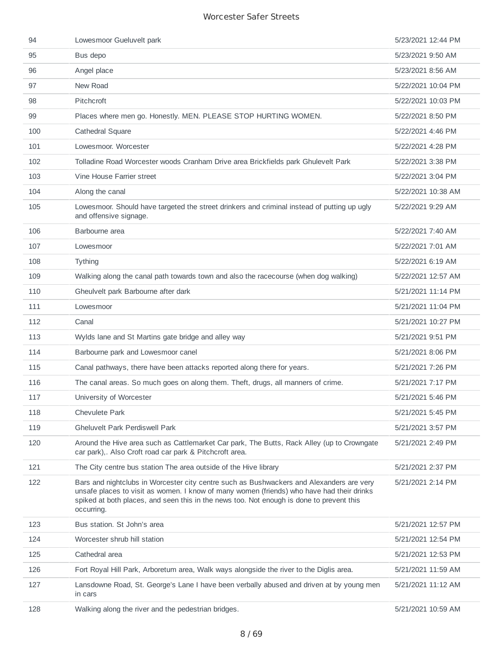| 94  | Lowesmoor Gueluvelt park                                                                                                                                                                                                                                                                        | 5/23/2021 12:44 PM |
|-----|-------------------------------------------------------------------------------------------------------------------------------------------------------------------------------------------------------------------------------------------------------------------------------------------------|--------------------|
| 95  | Bus depo                                                                                                                                                                                                                                                                                        | 5/23/2021 9:50 AM  |
| 96  | Angel place                                                                                                                                                                                                                                                                                     | 5/23/2021 8:56 AM  |
| 97  | New Road                                                                                                                                                                                                                                                                                        | 5/22/2021 10:04 PM |
| 98  | Pitchcroft                                                                                                                                                                                                                                                                                      | 5/22/2021 10:03 PM |
| 99  | Places where men go. Honestly. MEN. PLEASE STOP HURTING WOMEN.                                                                                                                                                                                                                                  | 5/22/2021 8:50 PM  |
| 100 | Cathedral Square                                                                                                                                                                                                                                                                                | 5/22/2021 4:46 PM  |
| 101 | Lowesmoor, Worcester                                                                                                                                                                                                                                                                            | 5/22/2021 4:28 PM  |
| 102 | Tolladine Road Worcester woods Cranham Drive area Brickfields park Ghulevelt Park                                                                                                                                                                                                               | 5/22/2021 3:38 PM  |
| 103 | Vine House Farrier street                                                                                                                                                                                                                                                                       | 5/22/2021 3:04 PM  |
| 104 | Along the canal                                                                                                                                                                                                                                                                                 | 5/22/2021 10:38 AM |
| 105 | Lowesmoor. Should have targeted the street drinkers and criminal instead of putting up ugly<br>and offensive signage.                                                                                                                                                                           | 5/22/2021 9:29 AM  |
| 106 | Barbourne area                                                                                                                                                                                                                                                                                  | 5/22/2021 7:40 AM  |
| 107 | Lowesmoor                                                                                                                                                                                                                                                                                       | 5/22/2021 7:01 AM  |
| 108 | Tything                                                                                                                                                                                                                                                                                         | 5/22/2021 6:19 AM  |
| 109 | Walking along the canal path towards town and also the racecourse (when dog walking)                                                                                                                                                                                                            | 5/22/2021 12:57 AM |
| 110 | Gheulvelt park Barbourne after dark                                                                                                                                                                                                                                                             | 5/21/2021 11:14 PM |
| 111 | Lowesmoor                                                                                                                                                                                                                                                                                       | 5/21/2021 11:04 PM |
| 112 | Canal                                                                                                                                                                                                                                                                                           | 5/21/2021 10:27 PM |
| 113 | Wylds lane and St Martins gate bridge and alley way                                                                                                                                                                                                                                             | 5/21/2021 9:51 PM  |
| 114 | Barbourne park and Lowesmoor canel                                                                                                                                                                                                                                                              | 5/21/2021 8:06 PM  |
| 115 | Canal pathways, there have been attacks reported along there for years.                                                                                                                                                                                                                         | 5/21/2021 7:26 PM  |
| 116 | The canal areas. So much goes on along them. Theft, drugs, all manners of crime.                                                                                                                                                                                                                | 5/21/2021 7:17 PM  |
| 117 | University of Worcester                                                                                                                                                                                                                                                                         | 5/21/2021 5:46 PM  |
| 118 | <b>Chevulete Park</b>                                                                                                                                                                                                                                                                           | 5/21/2021 5:45 PM  |
| 119 | <b>Gheluvelt Park Perdiswell Park</b>                                                                                                                                                                                                                                                           | 5/21/2021 3:57 PM  |
| 120 | Around the Hive area such as Cattlemarket Car park, The Butts, Rack Alley (up to Crowngate<br>car park),. Also Croft road car park & Pitchcroft area.                                                                                                                                           | 5/21/2021 2:49 PM  |
| 121 | The City centre bus station The area outside of the Hive library                                                                                                                                                                                                                                | 5/21/2021 2:37 PM  |
| 122 | Bars and nightclubs in Worcester city centre such as Bushwackers and Alexanders are very<br>unsafe places to visit as women. I know of many women (friends) who have had their drinks<br>spiked at both places, and seen this in the news too. Not enough is done to prevent this<br>occurring. | 5/21/2021 2:14 PM  |
| 123 | Bus station. St John's area                                                                                                                                                                                                                                                                     | 5/21/2021 12:57 PM |
| 124 | Worcester shrub hill station                                                                                                                                                                                                                                                                    | 5/21/2021 12:54 PM |
| 125 | Cathedral area                                                                                                                                                                                                                                                                                  | 5/21/2021 12:53 PM |
| 126 | Fort Royal Hill Park, Arboretum area, Walk ways alongside the river to the Diglis area.                                                                                                                                                                                                         | 5/21/2021 11:59 AM |
| 127 | Lansdowne Road, St. George's Lane I have been verbally abused and driven at by young men<br>in cars                                                                                                                                                                                             | 5/21/2021 11:12 AM |
| 128 | Walking along the river and the pedestrian bridges.                                                                                                                                                                                                                                             | 5/21/2021 10:59 AM |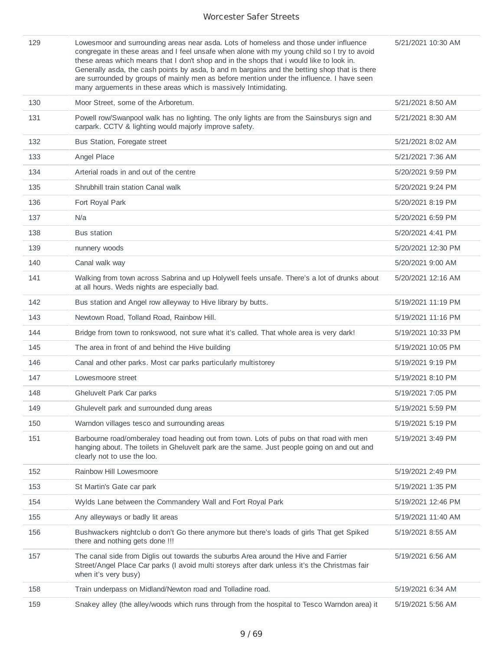| 129 | Lowesmoor and surrounding areas near asda. Lots of homeless and those under influence<br>congregate in these areas and I feel unsafe when alone with my young child so I try to avoid<br>these areas which means that I don't shop and in the shops that i would like to look in.<br>Generally asda, the cash points by asda, b and m bargains and the betting shop that is there<br>are surrounded by groups of mainly men as before mention under the influence. I have seen<br>many arguements in these areas which is massively Intimidating. | 5/21/2021 10:30 AM |
|-----|---------------------------------------------------------------------------------------------------------------------------------------------------------------------------------------------------------------------------------------------------------------------------------------------------------------------------------------------------------------------------------------------------------------------------------------------------------------------------------------------------------------------------------------------------|--------------------|
| 130 | Moor Street, some of the Arboretum.                                                                                                                                                                                                                                                                                                                                                                                                                                                                                                               | 5/21/2021 8:50 AM  |
| 131 | Powell row/Swanpool walk has no lighting. The only lights are from the Sainsburys sign and<br>carpark. CCTV & lighting would majorly improve safety.                                                                                                                                                                                                                                                                                                                                                                                              | 5/21/2021 8:30 AM  |
| 132 | Bus Station, Foregate street                                                                                                                                                                                                                                                                                                                                                                                                                                                                                                                      | 5/21/2021 8:02 AM  |
| 133 | Angel Place                                                                                                                                                                                                                                                                                                                                                                                                                                                                                                                                       | 5/21/2021 7:36 AM  |
| 134 | Arterial roads in and out of the centre                                                                                                                                                                                                                                                                                                                                                                                                                                                                                                           | 5/20/2021 9:59 PM  |
| 135 | Shrubhill train station Canal walk                                                                                                                                                                                                                                                                                                                                                                                                                                                                                                                | 5/20/2021 9:24 PM  |
| 136 | Fort Royal Park                                                                                                                                                                                                                                                                                                                                                                                                                                                                                                                                   | 5/20/2021 8:19 PM  |
| 137 | N/a                                                                                                                                                                                                                                                                                                                                                                                                                                                                                                                                               | 5/20/2021 6:59 PM  |
| 138 | <b>Bus station</b>                                                                                                                                                                                                                                                                                                                                                                                                                                                                                                                                | 5/20/2021 4:41 PM  |
| 139 | nunnery woods                                                                                                                                                                                                                                                                                                                                                                                                                                                                                                                                     | 5/20/2021 12:30 PM |
| 140 | Canal walk way                                                                                                                                                                                                                                                                                                                                                                                                                                                                                                                                    | 5/20/2021 9:00 AM  |
| 141 | Walking from town across Sabrina and up Holywell feels unsafe. There's a lot of drunks about<br>at all hours. Weds nights are especially bad.                                                                                                                                                                                                                                                                                                                                                                                                     | 5/20/2021 12:16 AM |
| 142 | Bus station and Angel row alleyway to Hive library by butts.                                                                                                                                                                                                                                                                                                                                                                                                                                                                                      | 5/19/2021 11:19 PM |
| 143 | Newtown Road, Tolland Road, Rainbow Hill.                                                                                                                                                                                                                                                                                                                                                                                                                                                                                                         | 5/19/2021 11:16 PM |
| 144 | Bridge from town to ronkswood, not sure what it's called. That whole area is very dark!                                                                                                                                                                                                                                                                                                                                                                                                                                                           | 5/19/2021 10:33 PM |
| 145 | The area in front of and behind the Hive building                                                                                                                                                                                                                                                                                                                                                                                                                                                                                                 | 5/19/2021 10:05 PM |
| 146 | Canal and other parks. Most car parks particularly multistorey                                                                                                                                                                                                                                                                                                                                                                                                                                                                                    | 5/19/2021 9:19 PM  |
| 147 | Lowesmoore street                                                                                                                                                                                                                                                                                                                                                                                                                                                                                                                                 | 5/19/2021 8:10 PM  |
| 148 | Gheluvelt Park Car parks                                                                                                                                                                                                                                                                                                                                                                                                                                                                                                                          | 5/19/2021 7:05 PM  |
| 149 | Ghulevelt park and surrounded dung areas                                                                                                                                                                                                                                                                                                                                                                                                                                                                                                          | 5/19/2021 5:59 PM  |
| 150 | Warndon villages tesco and surrounding areas                                                                                                                                                                                                                                                                                                                                                                                                                                                                                                      | 5/19/2021 5:19 PM  |
| 151 | Barbourne road/omberaley toad heading out from town. Lots of pubs on that road with men<br>hanging about. The toilets in Gheluvelt park are the same. Just people going on and out and<br>clearly not to use the loo.                                                                                                                                                                                                                                                                                                                             | 5/19/2021 3:49 PM  |
| 152 | Rainbow Hill Lowesmoore                                                                                                                                                                                                                                                                                                                                                                                                                                                                                                                           | 5/19/2021 2:49 PM  |
| 153 | St Martin's Gate car park                                                                                                                                                                                                                                                                                                                                                                                                                                                                                                                         | 5/19/2021 1:35 PM  |
| 154 | Wylds Lane between the Commandery Wall and Fort Royal Park                                                                                                                                                                                                                                                                                                                                                                                                                                                                                        | 5/19/2021 12:46 PM |
| 155 | Any alleyways or badly lit areas                                                                                                                                                                                                                                                                                                                                                                                                                                                                                                                  | 5/19/2021 11:40 AM |
| 156 | Bushwackers nightclub o don't Go there anymore but there's loads of girls That get Spiked<br>there and nothing gets done !!!                                                                                                                                                                                                                                                                                                                                                                                                                      | 5/19/2021 8:55 AM  |
| 157 | The canal side from Diglis out towards the suburbs Area around the Hive and Farrier<br>Street/Angel Place Car parks (I avoid multi storeys after dark unless it's the Christmas fair<br>when it's very busy)                                                                                                                                                                                                                                                                                                                                      | 5/19/2021 6:56 AM  |
| 158 | Train underpass on Midland/Newton road and Tolladine road.                                                                                                                                                                                                                                                                                                                                                                                                                                                                                        | 5/19/2021 6:34 AM  |
| 159 | Snakey alley (the alley/woods which runs through from the hospital to Tesco Warndon area) it                                                                                                                                                                                                                                                                                                                                                                                                                                                      | 5/19/2021 5:56 AM  |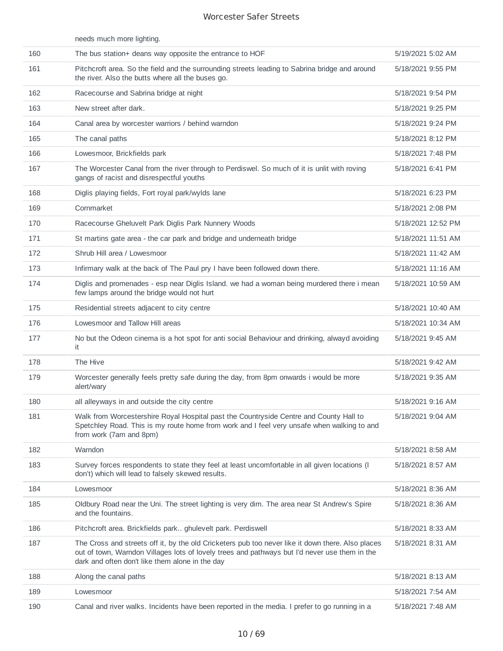|     | needs much more lighting.                                                                                                                                                                                                                             |                    |
|-----|-------------------------------------------------------------------------------------------------------------------------------------------------------------------------------------------------------------------------------------------------------|--------------------|
| 160 | The bus station+ deans way opposite the entrance to HOF                                                                                                                                                                                               | 5/19/2021 5:02 AM  |
| 161 | Pitchcroft area. So the field and the surrounding streets leading to Sabrina bridge and around<br>the river. Also the butts where all the buses go.                                                                                                   | 5/18/2021 9:55 PM  |
| 162 | Racecourse and Sabrina bridge at night                                                                                                                                                                                                                | 5/18/2021 9:54 PM  |
| 163 | New street after dark.                                                                                                                                                                                                                                | 5/18/2021 9:25 PM  |
| 164 | Canal area by worcester warriors / behind warndon                                                                                                                                                                                                     | 5/18/2021 9:24 PM  |
| 165 | The canal paths                                                                                                                                                                                                                                       | 5/18/2021 8:12 PM  |
| 166 | Lowesmoor, Brickfields park                                                                                                                                                                                                                           | 5/18/2021 7:48 PM  |
| 167 | The Worcester Canal from the river through to Perdiswel. So much of it is unlit with roving<br>gangs of racist and disrespectful youths                                                                                                               | 5/18/2021 6:41 PM  |
| 168 | Diglis playing fields, Fort royal park/wylds lane                                                                                                                                                                                                     | 5/18/2021 6:23 PM  |
| 169 | Cornmarket                                                                                                                                                                                                                                            | 5/18/2021 2:08 PM  |
| 170 | Racecourse Gheluvelt Park Diglis Park Nunnery Woods                                                                                                                                                                                                   | 5/18/2021 12:52 PM |
| 171 | St martins gate area - the car park and bridge and underneath bridge                                                                                                                                                                                  | 5/18/2021 11:51 AM |
| 172 | Shrub Hill area / Lowesmoor                                                                                                                                                                                                                           | 5/18/2021 11:42 AM |
| 173 | Infirmary walk at the back of The Paul pry I have been followed down there.                                                                                                                                                                           | 5/18/2021 11:16 AM |
| 174 | Diglis and promenades - esp near Diglis Island. we had a woman being murdered there i mean<br>few lamps around the bridge would not hurt                                                                                                              | 5/18/2021 10:59 AM |
| 175 | Residential streets adjacent to city centre                                                                                                                                                                                                           | 5/18/2021 10:40 AM |
| 176 | Lowesmoor and Tallow Hill areas                                                                                                                                                                                                                       | 5/18/2021 10:34 AM |
| 177 | No but the Odeon cinema is a hot spot for anti social Behaviour and drinking, alwayd avoiding<br>it                                                                                                                                                   | 5/18/2021 9:45 AM  |
| 178 | The Hive                                                                                                                                                                                                                                              | 5/18/2021 9:42 AM  |
| 179 | Worcester generally feels pretty safe during the day, from 8pm onwards i would be more<br>alert/wary                                                                                                                                                  | 5/18/2021 9:35 AM  |
| 180 | all alleyways in and outside the city centre                                                                                                                                                                                                          | 5/18/2021 9:16 AM  |
| 181 | Walk from Worcestershire Royal Hospital past the Countryside Centre and County Hall to<br>Spetchley Road. This is my route home from work and I feel very unsafe when walking to and<br>from work (7am and 8pm)                                       | 5/18/2021 9:04 AM  |
| 182 | Warndon                                                                                                                                                                                                                                               | 5/18/2021 8:58 AM  |
| 183 | Survey forces respondents to state they feel at least uncomfortable in all given locations (I<br>don't) which will lead to falsely skewed results.                                                                                                    | 5/18/2021 8:57 AM  |
| 184 | Lowesmoor                                                                                                                                                                                                                                             | 5/18/2021 8:36 AM  |
| 185 | Oldbury Road near the Uni. The street lighting is very dim. The area near St Andrew's Spire<br>and the fountains.                                                                                                                                     | 5/18/2021 8:36 AM  |
| 186 | Pitchcroft area. Brickfields park ghulevelt park. Perdiswell                                                                                                                                                                                          | 5/18/2021 8:33 AM  |
| 187 | The Cross and streets off it, by the old Cricketers pub too never like it down there. Also places<br>out of town, Warndon Villages lots of lovely trees and pathways but I'd never use them in the<br>dark and often don't like them alone in the day | 5/18/2021 8:31 AM  |
| 188 | Along the canal paths                                                                                                                                                                                                                                 | 5/18/2021 8:13 AM  |
| 189 | Lowesmoor                                                                                                                                                                                                                                             | 5/18/2021 7:54 AM  |
| 190 | Canal and river walks. Incidents have been reported in the media. I prefer to go running in a                                                                                                                                                         | 5/18/2021 7:48 AM  |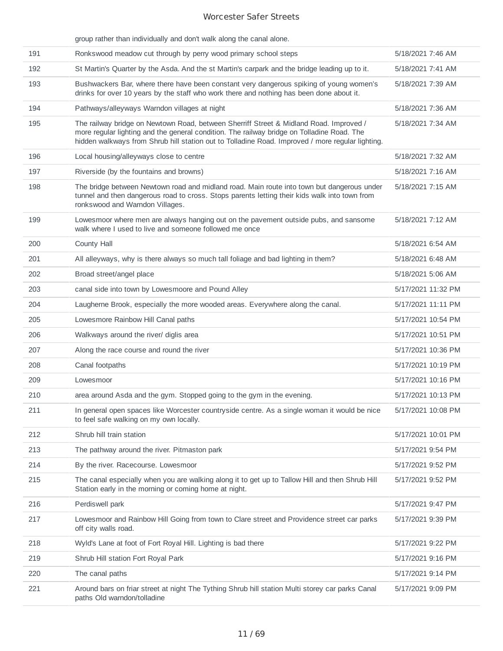|     | group rather than individually and don't walk along the canal alone.                                                                                                                                                                                                                     |                    |
|-----|------------------------------------------------------------------------------------------------------------------------------------------------------------------------------------------------------------------------------------------------------------------------------------------|--------------------|
| 191 | Ronkswood meadow cut through by perry wood primary school steps                                                                                                                                                                                                                          | 5/18/2021 7:46 AM  |
| 192 | St Martin's Quarter by the Asda. And the st Martin's carpark and the bridge leading up to it.                                                                                                                                                                                            | 5/18/2021 7:41 AM  |
| 193 | Bushwackers Bar, where there have been constant very dangerous spiking of young women's<br>drinks for over 10 years by the staff who work there and nothing has been done about it.                                                                                                      | 5/18/2021 7:39 AM  |
| 194 | Pathways/alleyways Warndon villages at night                                                                                                                                                                                                                                             | 5/18/2021 7:36 AM  |
| 195 | The railway bridge on Newtown Road, between Sherriff Street & Midland Road. Improved /<br>more regular lighting and the general condition. The railway bridge on Tolladine Road. The<br>hidden walkways from Shrub hill station out to Tolladine Road. Improved / more regular lighting. | 5/18/2021 7:34 AM  |
| 196 | Local housing/alleyways close to centre                                                                                                                                                                                                                                                  | 5/18/2021 7:32 AM  |
| 197 | Riverside (by the fountains and browns)                                                                                                                                                                                                                                                  | 5/18/2021 7:16 AM  |
| 198 | The bridge between Newtown road and midland road. Main route into town but dangerous under<br>tunnel and then dangerous road to cross. Stops parents letting their kids walk into town from<br>ronkswood and Warndon Villages.                                                           | 5/18/2021 7:15 AM  |
| 199 | Lowesmoor where men are always hanging out on the pavement outside pubs, and sansome<br>walk where I used to live and someone followed me once                                                                                                                                           | 5/18/2021 7:12 AM  |
| 200 | County Hall                                                                                                                                                                                                                                                                              | 5/18/2021 6:54 AM  |
| 201 | All alleyways, why is there always so much tall foliage and bad lighting in them?                                                                                                                                                                                                        | 5/18/2021 6:48 AM  |
| 202 | Broad street/angel place                                                                                                                                                                                                                                                                 | 5/18/2021 5:06 AM  |
| 203 | canal side into town by Lowesmoore and Pound Alley                                                                                                                                                                                                                                       | 5/17/2021 11:32 PM |
| 204 | Laugherne Brook, especially the more wooded areas. Everywhere along the canal.                                                                                                                                                                                                           | 5/17/2021 11:11 PM |
| 205 | Lowesmore Rainbow Hill Canal paths                                                                                                                                                                                                                                                       | 5/17/2021 10:54 PM |
| 206 | Walkways around the river/ diglis area                                                                                                                                                                                                                                                   | 5/17/2021 10:51 PM |
| 207 | Along the race course and round the river                                                                                                                                                                                                                                                | 5/17/2021 10:36 PM |
| 208 | Canal footpaths                                                                                                                                                                                                                                                                          | 5/17/2021 10:19 PM |
| 209 | Lowesmoor                                                                                                                                                                                                                                                                                | 5/17/2021 10:16 PM |
| 210 | area around Asda and the gym. Stopped going to the gym in the evening.                                                                                                                                                                                                                   | 5/17/2021 10:13 PM |
| 211 | In general open spaces like Worcester countryside centre. As a single woman it would be nice<br>to feel safe walking on my own locally.                                                                                                                                                  | 5/17/2021 10:08 PM |
| 212 | Shrub hill train station                                                                                                                                                                                                                                                                 | 5/17/2021 10:01 PM |
| 213 | The pathway around the river. Pitmaston park                                                                                                                                                                                                                                             | 5/17/2021 9:54 PM  |
| 214 | By the river. Racecourse. Lowesmoor                                                                                                                                                                                                                                                      | 5/17/2021 9:52 PM  |
| 215 | The canal especially when you are walking along it to get up to Tallow Hill and then Shrub Hill<br>Station early in the morning or coming home at night.                                                                                                                                 | 5/17/2021 9:52 PM  |
| 216 | Perdiswell park                                                                                                                                                                                                                                                                          | 5/17/2021 9:47 PM  |
| 217 | Lowesmoor and Rainbow Hill Going from town to Clare street and Providence street car parks<br>off city walls road.                                                                                                                                                                       | 5/17/2021 9:39 PM  |
| 218 | Wyld's Lane at foot of Fort Royal Hill. Lighting is bad there                                                                                                                                                                                                                            | 5/17/2021 9:22 PM  |
| 219 | Shrub Hill station Fort Royal Park                                                                                                                                                                                                                                                       | 5/17/2021 9:16 PM  |
| 220 | The canal paths                                                                                                                                                                                                                                                                          | 5/17/2021 9:14 PM  |
| 221 | Around bars on friar street at night The Tything Shrub hill station Multi storey car parks Canal<br>paths Old warndon/tolladine                                                                                                                                                          | 5/17/2021 9:09 PM  |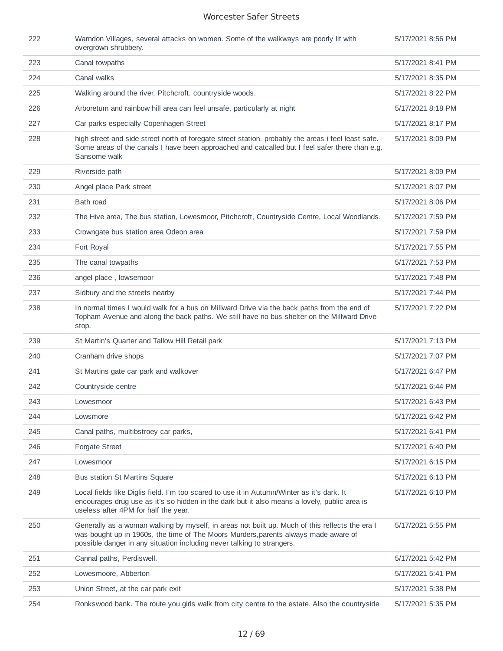| 222 | Warndon Villages, several attacks on women. Some of the walkways are poorly lit with<br>overgrown shrubbery.                                                                                                                                                    | 5/17/2021 8:56 PM |
|-----|-----------------------------------------------------------------------------------------------------------------------------------------------------------------------------------------------------------------------------------------------------------------|-------------------|
| 223 | Canal towpaths                                                                                                                                                                                                                                                  | 5/17/2021 8:41 PM |
| 224 | Canal walks                                                                                                                                                                                                                                                     | 5/17/2021 8:35 PM |
| 225 | Walking around the river, Pitchcroft. countryside woods.                                                                                                                                                                                                        | 5/17/2021 8:22 PM |
| 226 | Arboretum and rainbow hill area can feel unsafe, particularly at night                                                                                                                                                                                          | 5/17/2021 8:18 PM |
| 227 | Car parks especially Copenhagen Street                                                                                                                                                                                                                          | 5/17/2021 8:17 PM |
| 228 | high street and side street north of foregate street station. probably the areas i feel least safe.<br>Some areas of the canals I have been approached and catcalled but I feel safer there than e.g.<br>Sansome walk                                           | 5/17/2021 8:09 PM |
| 229 | Riverside path                                                                                                                                                                                                                                                  | 5/17/2021 8:09 PM |
| 230 | Angel place Park street                                                                                                                                                                                                                                         | 5/17/2021 8:07 PM |
| 231 | Bath road                                                                                                                                                                                                                                                       | 5/17/2021 8:06 PM |
| 232 | The Hive area, The bus station, Lowesmoor, Pitchcroft, Countryside Centre, Local Woodlands.                                                                                                                                                                     | 5/17/2021 7:59 PM |
| 233 | Crowngate bus station area Odeon area                                                                                                                                                                                                                           | 5/17/2021 7:59 PM |
| 234 | Fort Royal                                                                                                                                                                                                                                                      | 5/17/2021 7:55 PM |
| 235 | The canal towpaths                                                                                                                                                                                                                                              | 5/17/2021 7:53 PM |
| 236 | angel place, lowsemoor                                                                                                                                                                                                                                          | 5/17/2021 7:48 PM |
| 237 | Sidbury and the streets nearby                                                                                                                                                                                                                                  | 5/17/2021 7:44 PM |
| 238 | In normal times I would walk for a bus on Millward Drive via the back paths from the end of<br>Topham Avenue and along the back paths. We still have no bus shelter on the Millward Drive<br>stop.                                                              | 5/17/2021 7:22 PM |
| 239 | St Martin's Quarter and Tallow Hill Retail park                                                                                                                                                                                                                 | 5/17/2021 7:13 PM |
| 240 | Cranham drive shops                                                                                                                                                                                                                                             | 5/17/2021 7:07 PM |
| 241 | St Martins gate car park and walkover                                                                                                                                                                                                                           | 5/17/2021 6:47 PM |
| 242 | Countryside centre                                                                                                                                                                                                                                              | 5/17/2021 6:44 PM |
| 243 | Lowesmoor                                                                                                                                                                                                                                                       | 5/17/2021 6:43 PM |
| 244 | Lowsmore                                                                                                                                                                                                                                                        | 5/17/2021 6:42 PM |
| 245 | Canal paths, multibstroey car parks,                                                                                                                                                                                                                            | 5/17/2021 6:41 PM |
| 246 | <b>Forgate Street</b>                                                                                                                                                                                                                                           | 5/17/2021 6:40 PM |
| 247 | Lowesmoor                                                                                                                                                                                                                                                       | 5/17/2021 6:15 PM |
| 248 | <b>Bus station St Martins Square</b>                                                                                                                                                                                                                            | 5/17/2021 6:13 PM |
| 249 | Local fields like Diglis field. I'm too scared to use it in Autumn/Winter as it's dark. It<br>encourages drug use as it's so hidden in the dark but it also means a lovely, public area is<br>useless after 4PM for half the year.                              | 5/17/2021 6:10 PM |
| 250 | Generally as a woman walking by myself, in areas not built up. Much of this reflects the era I<br>was bought up in 1960s, the time of The Moors Murders, parents always made aware of<br>possible danger in any situation including never talking to strangers. | 5/17/2021 5:55 PM |
| 251 | Cannal paths, Perdiswell.                                                                                                                                                                                                                                       | 5/17/2021 5:42 PM |
| 252 | Lowesmoore, Abberton                                                                                                                                                                                                                                            | 5/17/2021 5:41 PM |
| 253 | Union Street, at the car park exit                                                                                                                                                                                                                              | 5/17/2021 5:38 PM |
| 254 | Ronkswood bank. The route you girls walk from city centre to the estate. Also the countryside                                                                                                                                                                   | 5/17/2021 5:35 PM |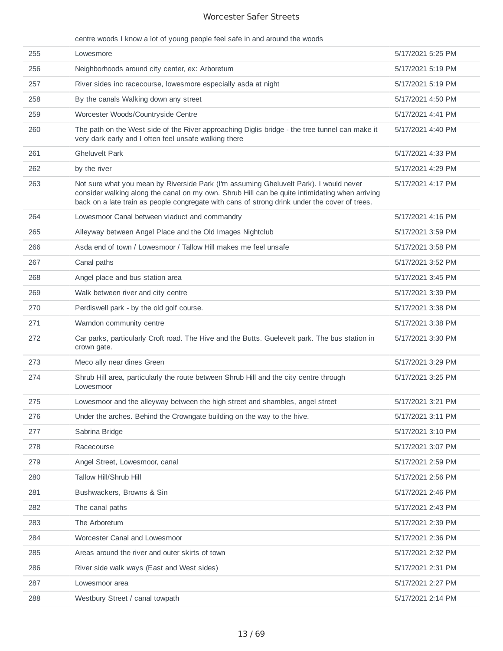| centre woods I know a lot of young people feel safe in and around the woods |  |  |  |  |  |
|-----------------------------------------------------------------------------|--|--|--|--|--|
|                                                                             |  |  |  |  |  |
|                                                                             |  |  |  |  |  |

| 255 | Lowesmore                                                                                                                                                                                                                                                                                | 5/17/2021 5:25 PM |
|-----|------------------------------------------------------------------------------------------------------------------------------------------------------------------------------------------------------------------------------------------------------------------------------------------|-------------------|
| 256 | Neighborhoods around city center, ex: Arboretum                                                                                                                                                                                                                                          | 5/17/2021 5:19 PM |
| 257 | River sides inc racecourse, lowesmore especially asda at night                                                                                                                                                                                                                           | 5/17/2021 5:19 PM |
| 258 | By the canals Walking down any street                                                                                                                                                                                                                                                    | 5/17/2021 4:50 PM |
| 259 | Worcester Woods/Countryside Centre                                                                                                                                                                                                                                                       | 5/17/2021 4:41 PM |
| 260 | The path on the West side of the River approaching Diglis bridge - the tree tunnel can make it<br>very dark early and I often feel unsafe walking there                                                                                                                                  | 5/17/2021 4:40 PM |
| 261 | <b>Gheluvelt Park</b>                                                                                                                                                                                                                                                                    | 5/17/2021 4:33 PM |
| 262 | by the river                                                                                                                                                                                                                                                                             | 5/17/2021 4:29 PM |
| 263 | Not sure what you mean by Riverside Park (I'm assuming Gheluvelt Park). I would never<br>consider walking along the canal on my own. Shrub Hill can be quite intimidating when arriving<br>back on a late train as people congregate with cans of strong drink under the cover of trees. | 5/17/2021 4:17 PM |
| 264 | Lowesmoor Canal between viaduct and commandry                                                                                                                                                                                                                                            | 5/17/2021 4:16 PM |
| 265 | Alleyway between Angel Place and the Old Images Nightclub                                                                                                                                                                                                                                | 5/17/2021 3:59 PM |
| 266 | Asda end of town / Lowesmoor / Tallow Hill makes me feel unsafe                                                                                                                                                                                                                          | 5/17/2021 3:58 PM |
| 267 | Canal paths                                                                                                                                                                                                                                                                              | 5/17/2021 3:52 PM |
| 268 | Angel place and bus station area                                                                                                                                                                                                                                                         | 5/17/2021 3:45 PM |
| 269 | Walk between river and city centre                                                                                                                                                                                                                                                       | 5/17/2021 3:39 PM |
| 270 | Perdiswell park - by the old golf course.                                                                                                                                                                                                                                                | 5/17/2021 3:38 PM |
| 271 | Warndon community centre                                                                                                                                                                                                                                                                 | 5/17/2021 3:38 PM |
| 272 | Car parks, particularly Croft road. The Hive and the Butts. Guelevelt park. The bus station in<br>crown gate.                                                                                                                                                                            | 5/17/2021 3:30 PM |
| 273 | Meco ally near dines Green                                                                                                                                                                                                                                                               | 5/17/2021 3:29 PM |
| 274 | Shrub Hill area, particularly the route between Shrub Hill and the city centre through<br>Lowesmoor                                                                                                                                                                                      | 5/17/2021 3:25 PM |
| 275 | Lowesmoor and the alleyway between the high street and shambles, angel street                                                                                                                                                                                                            | 5/17/2021 3:21 PM |
| 276 | Under the arches. Behind the Crowngate building on the way to the hive.                                                                                                                                                                                                                  | 5/17/2021 3:11 PM |
| 277 | Sabrina Bridge                                                                                                                                                                                                                                                                           | 5/17/2021 3:10 PM |
| 278 | Racecourse                                                                                                                                                                                                                                                                               | 5/17/2021 3:07 PM |
| 279 | Angel Street, Lowesmoor, canal                                                                                                                                                                                                                                                           | 5/17/2021 2:59 PM |
| 280 | Tallow Hill/Shrub Hill                                                                                                                                                                                                                                                                   | 5/17/2021 2:56 PM |
| 281 | Bushwackers, Browns & Sin                                                                                                                                                                                                                                                                | 5/17/2021 2:46 PM |
| 282 | The canal paths                                                                                                                                                                                                                                                                          | 5/17/2021 2:43 PM |
| 283 | The Arboretum                                                                                                                                                                                                                                                                            | 5/17/2021 2:39 PM |
| 284 | Worcester Canal and Lowesmoor                                                                                                                                                                                                                                                            | 5/17/2021 2:36 PM |
| 285 | Areas around the river and outer skirts of town                                                                                                                                                                                                                                          | 5/17/2021 2:32 PM |
| 286 | River side walk ways (East and West sides)                                                                                                                                                                                                                                               | 5/17/2021 2:31 PM |
| 287 | Lowesmoor area                                                                                                                                                                                                                                                                           | 5/17/2021 2:27 PM |
| 288 | Westbury Street / canal towpath                                                                                                                                                                                                                                                          | 5/17/2021 2:14 PM |
|     |                                                                                                                                                                                                                                                                                          |                   |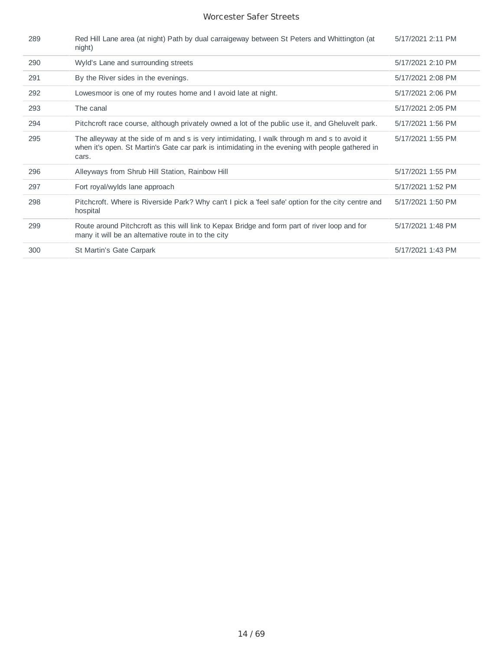| 289 | Red Hill Lane area (at night) Path by dual carraigeway between St Peters and Whittington (at<br>night)                                                                                                    | 5/17/2021 2:11 PM |
|-----|-----------------------------------------------------------------------------------------------------------------------------------------------------------------------------------------------------------|-------------------|
| 290 | Wyld's Lane and surrounding streets                                                                                                                                                                       | 5/17/2021 2:10 PM |
| 291 | By the River sides in the evenings.                                                                                                                                                                       | 5/17/2021 2:08 PM |
| 292 | Lowesmoor is one of my routes home and I avoid late at night.                                                                                                                                             | 5/17/2021 2:06 PM |
| 293 | The canal                                                                                                                                                                                                 | 5/17/2021 2:05 PM |
| 294 | Pitchcroft race course, although privately owned a lot of the public use it, and Gheluvelt park.                                                                                                          | 5/17/2021 1:56 PM |
| 295 | The alleyway at the side of m and s is very intimidating, I walk through m and s to avoid it<br>when it's open. St Martin's Gate car park is intimidating in the evening with people gathered in<br>cars. | 5/17/2021 1:55 PM |
| 296 | Alleyways from Shrub Hill Station, Rainbow Hill                                                                                                                                                           | 5/17/2021 1:55 PM |
| 297 | Fort royal/wylds lane approach                                                                                                                                                                            | 5/17/2021 1:52 PM |
| 298 | Pitchcroft. Where is Riverside Park? Why can't I pick a 'feel safe' option for the city centre and<br>hospital                                                                                            | 5/17/2021 1:50 PM |
| 299 | Route around Pitchcroft as this will link to Kepax Bridge and form part of river loop and for<br>many it will be an alternative route in to the city                                                      | 5/17/2021 1:48 PM |
| 300 | St Martin's Gate Carpark                                                                                                                                                                                  | 5/17/2021 1:43 PM |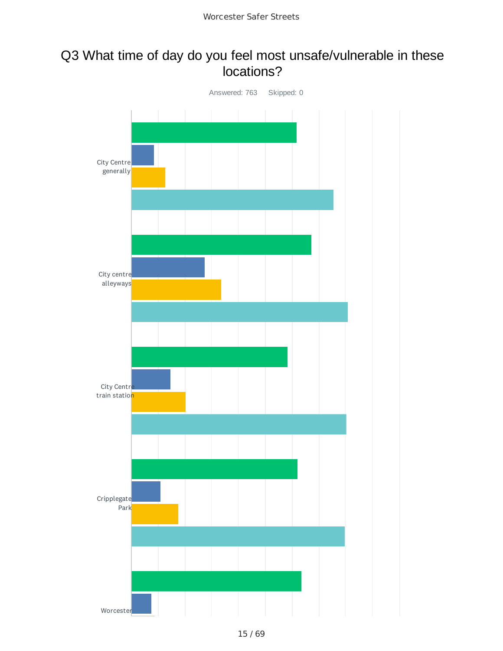## Q3 What time of day do you feel most unsafe/vulnerable in these locations?

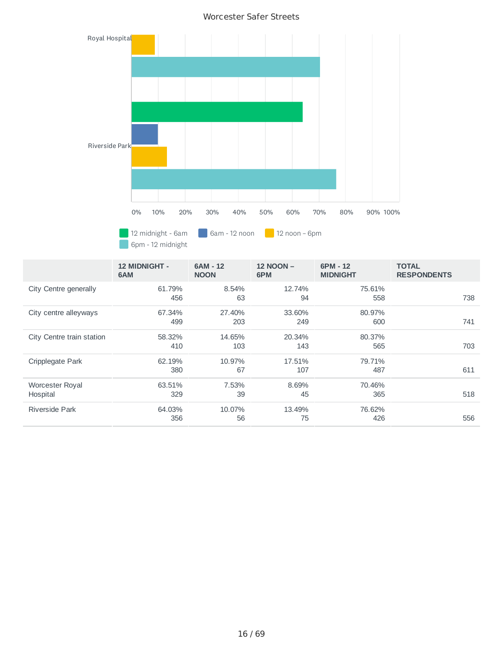

|                             | <b>12 MIDNIGHT -</b><br>6AM | 6AM - 12<br><b>NOON</b> | <b>12 NOON -</b><br>6PM | $6PM - 12$<br><b>MIDNIGHT</b> | <b>TOTAL</b><br><b>RESPONDENTS</b> |     |
|-----------------------------|-----------------------------|-------------------------|-------------------------|-------------------------------|------------------------------------|-----|
| City Centre generally       | 61.79%<br>456               | 8.54%<br>63             | 12.74%<br>94            | 75.61%<br>558                 |                                    | 738 |
| City centre alleyways       | 67.34%<br>499               | 27.40%<br>203           | 33.60%<br>249           | 80.97%<br>600                 |                                    | 741 |
| City Centre train station   | 58.32%<br>410               | 14.65%<br>103           | 20.34%<br>143           | 80.37%<br>565                 |                                    | 703 |
| Cripplegate Park            | 62.19%<br>380               | 10.97%<br>67            | 17.51%<br>107           | 79.71%<br>487                 |                                    | 611 |
| Worcester Royal<br>Hospital | 63.51%<br>329               | 7.53%<br>39             | 8.69%<br>45             | 70.46%<br>365                 |                                    | 518 |
| Riverside Park              | 64.03%<br>356               | 10.07%<br>56            | 13.49%<br>75            | 76.62%<br>426                 |                                    | 556 |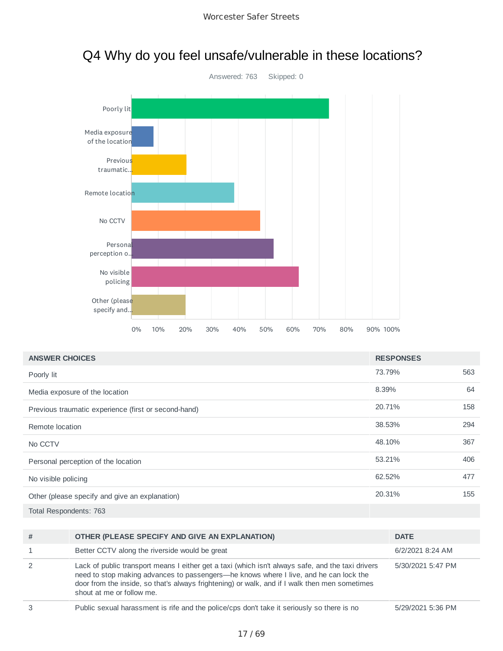

## Q4 Why do you feel unsafe/vulnerable in these locations?

| <b>ANSWER CHOICES</b>                                | <b>RESPONSES</b> |     |
|------------------------------------------------------|------------------|-----|
| Poorly lit                                           | 73.79%           | 563 |
| Media exposure of the location                       | 8.39%            | 64  |
| Previous traumatic experience (first or second-hand) | 20.71%           | 158 |
| Remote location                                      | 38.53%           | 294 |
| No CCTV                                              | 48.10%           | 367 |
| Personal perception of the location                  | 53.21%           | 406 |
| No visible policing                                  | 62.52%           | 477 |
| Other (please specify and give an explanation)       | 20.31%           | 155 |
| Total Respondents: 763                               |                  |     |

| $\sim$ | Duklin anyunal haraanaanaan in sifa anal tha palinalana dapli talee it aasiayahy aa thasa in pa                                                                                                                                                                                                                          | F/00/0001 F.00 FM |
|--------|--------------------------------------------------------------------------------------------------------------------------------------------------------------------------------------------------------------------------------------------------------------------------------------------------------------------------|-------------------|
| 2      | Lack of public transport means I either get a taxi (which isn't always safe, and the taxi drivers<br>need to stop making advances to passengers—he knows where I live, and he can lock the<br>door from the inside, so that's always frightening) or walk, and if I walk then men sometimes<br>shout at me or follow me. | 5/30/2021 5:47 PM |
|        | Better CCTV along the riverside would be great                                                                                                                                                                                                                                                                           | 6/2/2021 8:24 AM  |
| #      | OTHER (PLEASE SPECIFY AND GIVE AN EXPLANATION)                                                                                                                                                                                                                                                                           | <b>DATE</b>       |
|        |                                                                                                                                                                                                                                                                                                                          |                   |

3 Public sexual harassment is rife and the police/cps don't take it seriously so there is no 5/29/2021 5:36 PM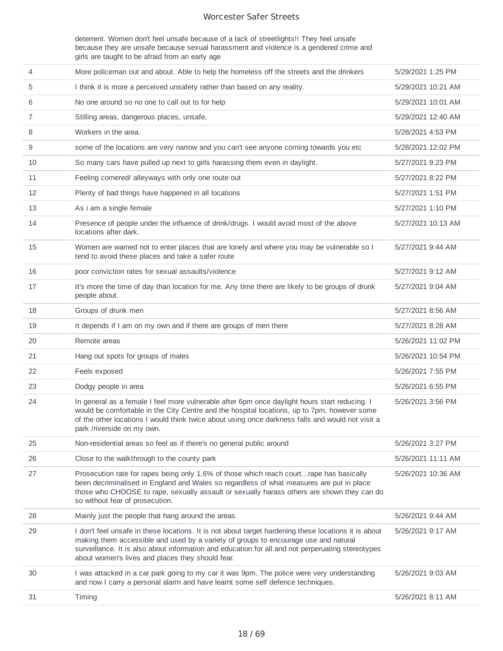deterrent. Women don't feel unsafe because of a lack of streetlights!! They feel unsafe because they are unsafe because sexual harassment and violence is a gendered crime and girls are taught to be afraid from an early age

| 31 | Timing                                                                                                                                                                                                                                                                                                                                               | 5/26/2021 8:11 AM  |
|----|------------------------------------------------------------------------------------------------------------------------------------------------------------------------------------------------------------------------------------------------------------------------------------------------------------------------------------------------------|--------------------|
| 30 | I was attacked in a car park going to my car it was 9pm. The police were very understanding<br>and now I carry a personal alarm and have learnt some self defence techniques.                                                                                                                                                                        | 5/26/2021 9:03 AM  |
| 29 | I don't feel unsafe in these locations. It is not about target hardening these locations it is about<br>making them accessible and used by a variety of groups to encourage use and natural<br>surveillance. It is also about information and education for all and not perperuating stereotypes<br>about women's lives and places they should fear. | 5/26/2021 9:17 AM  |
| 28 | Mainly just the people that hang around the areas.                                                                                                                                                                                                                                                                                                   | 5/26/2021 9:44 AM  |
| 27 | Prosecution rate for rapes being only 1.6% of those which reach courtrape has basically<br>been decriminalised in England and Wales so regardless of what measures are put in place<br>those who CHOOSE to rape, sexually assault or sexually harass others are shown they can do<br>so without fear of prosecution.                                 | 5/26/2021 10:36 AM |
| 26 | Close to the walkthrough to the county park                                                                                                                                                                                                                                                                                                          | 5/26/2021 11:11 AM |
| 25 | Non-residential areas so feel as if there's no general public around                                                                                                                                                                                                                                                                                 | 5/26/2021 3:27 PM  |
| 24 | In general as a female I feel more vulnerable after 6pm once daylight hours start reducing. I<br>would be comfortable in the City Centre and the hospital locations, up to 7pm, however some<br>of the other locations I would think twice about using once darkness falls and would not visit a<br>park /riverside on my own.                       | 5/26/2021 3:56 PM  |
| 23 | Dodgy people in area                                                                                                                                                                                                                                                                                                                                 | 5/26/2021 6:55 PM  |
| 22 | Feels exposed                                                                                                                                                                                                                                                                                                                                        | 5/26/2021 7:55 PM  |
| 21 | Hang out spots for groups of males                                                                                                                                                                                                                                                                                                                   | 5/26/2021 10:54 PM |
| 20 | Remote areas                                                                                                                                                                                                                                                                                                                                         | 5/26/2021 11:02 PM |
| 19 | It depends if I am on my own and if there are groups of men there                                                                                                                                                                                                                                                                                    | 5/27/2021 8:28 AM  |
| 18 | Groups of drunk men                                                                                                                                                                                                                                                                                                                                  | 5/27/2021 8:56 AM  |
| 17 | It's more the time of day than location for me. Any time there are likely to be groups of drunk<br>people about.                                                                                                                                                                                                                                     | 5/27/2021 9:04 AM  |
| 16 | poor conviction rates for sexual assaults/violence                                                                                                                                                                                                                                                                                                   | 5/27/2021 9:12 AM  |
| 15 | Women are warned not to enter places that are lonely and where you may be vulnerable so I<br>tend to avoid these places and take a safer route                                                                                                                                                                                                       | 5/27/2021 9:44 AM  |
| 14 | Presence of people under the influence of drink/drugs. I would avoid most of the above<br>locations after dark.                                                                                                                                                                                                                                      | 5/27/2021 10:13 AM |
| 13 | As i am a single female                                                                                                                                                                                                                                                                                                                              | 5/27/2021 1:10 PM  |
| 12 | Plenty of bad things have happened in all locations                                                                                                                                                                                                                                                                                                  | 5/27/2021 1:51 PM  |
| 11 | Feeling cornered/ alleyways with only one route out                                                                                                                                                                                                                                                                                                  | 5/27/2021 8:22 PM  |
| 10 | So many cars have pulled up next to girls harassing them even in daylight.                                                                                                                                                                                                                                                                           | 5/27/2021 9:23 PM  |
| 9  | some of the locations are very narrow and you can't see anyone coming towards you etc                                                                                                                                                                                                                                                                | 5/28/2021 12:02 PM |
| 8  | Workers in the area.                                                                                                                                                                                                                                                                                                                                 | 5/28/2021 4:53 PM  |
| 7  | Stilling areas, dangerous places, unsafe,                                                                                                                                                                                                                                                                                                            | 5/29/2021 12:40 AM |
| 6  | No one around so no one to call out to for help                                                                                                                                                                                                                                                                                                      | 5/29/2021 10:01 AM |
| 5  | I think it is more a perceived unsafety rather than based on any reality.                                                                                                                                                                                                                                                                            | 5/29/2021 10:21 AM |
| 4  | More policeman out and about. Able to help the homeless off the streets and the drinkers                                                                                                                                                                                                                                                             | 5/29/2021 1:25 PM  |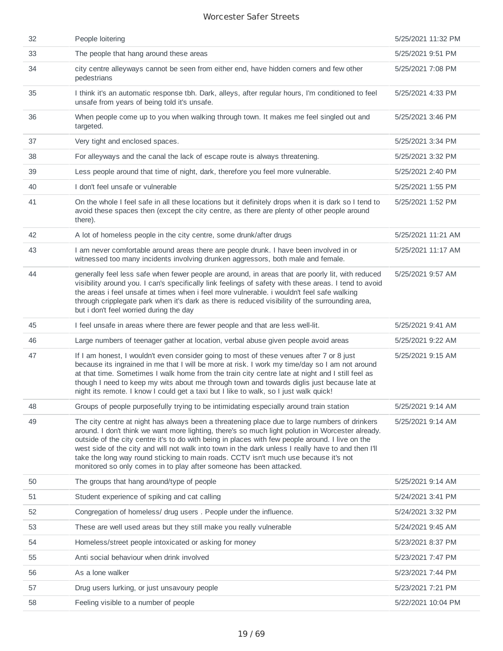| 32 | People loitering                                                                                                                                                                                                                                                                                                                                                                                                                                                                                                                                                             | 5/25/2021 11:32 PM |
|----|------------------------------------------------------------------------------------------------------------------------------------------------------------------------------------------------------------------------------------------------------------------------------------------------------------------------------------------------------------------------------------------------------------------------------------------------------------------------------------------------------------------------------------------------------------------------------|--------------------|
| 33 | The people that hang around these areas                                                                                                                                                                                                                                                                                                                                                                                                                                                                                                                                      | 5/25/2021 9:51 PM  |
| 34 | city centre alleyways cannot be seen from either end, have hidden corners and few other<br>pedestrians                                                                                                                                                                                                                                                                                                                                                                                                                                                                       | 5/25/2021 7:08 PM  |
| 35 | I think it's an automatic response tbh. Dark, alleys, after regular hours, I'm conditioned to feel<br>unsafe from years of being told it's unsafe.                                                                                                                                                                                                                                                                                                                                                                                                                           | 5/25/2021 4:33 PM  |
| 36 | When people come up to you when walking through town. It makes me feel singled out and<br>targeted.                                                                                                                                                                                                                                                                                                                                                                                                                                                                          | 5/25/2021 3:46 PM  |
| 37 | Very tight and enclosed spaces.                                                                                                                                                                                                                                                                                                                                                                                                                                                                                                                                              | 5/25/2021 3:34 PM  |
| 38 | For alleyways and the canal the lack of escape route is always threatening.                                                                                                                                                                                                                                                                                                                                                                                                                                                                                                  | 5/25/2021 3:32 PM  |
| 39 | Less people around that time of night, dark, therefore you feel more vulnerable.                                                                                                                                                                                                                                                                                                                                                                                                                                                                                             | 5/25/2021 2:40 PM  |
| 40 | I don't feel unsafe or vulnerable                                                                                                                                                                                                                                                                                                                                                                                                                                                                                                                                            | 5/25/2021 1:55 PM  |
| 41 | On the whole I feel safe in all these locations but it definitely drops when it is dark so I tend to<br>avoid these spaces then (except the city centre, as there are plenty of other people around<br>there).                                                                                                                                                                                                                                                                                                                                                               | 5/25/2021 1:52 PM  |
| 42 | A lot of homeless people in the city centre, some drunk/after drugs                                                                                                                                                                                                                                                                                                                                                                                                                                                                                                          | 5/25/2021 11:21 AM |
| 43 | I am never comfortable around areas there are people drunk. I have been involved in or<br>witnessed too many incidents involving drunken aggressors, both male and female.                                                                                                                                                                                                                                                                                                                                                                                                   | 5/25/2021 11:17 AM |
| 44 | generally feel less safe when fewer people are around, in areas that are poorly lit, with reduced<br>visibility around you. I can's specifically link feelings of safety with these areas. I tend to avoid<br>the areas i feel unsafe at times when i feel more vulnerable. i wouldn't feel safe walking<br>through cripplegate park when it's dark as there is reduced visibility of the surrounding area,<br>but i don't feel worried during the day                                                                                                                       | 5/25/2021 9:57 AM  |
|    |                                                                                                                                                                                                                                                                                                                                                                                                                                                                                                                                                                              |                    |
| 45 | I feel unsafe in areas where there are fewer people and that are less well-lit.                                                                                                                                                                                                                                                                                                                                                                                                                                                                                              | 5/25/2021 9:41 AM  |
| 46 | Large numbers of teenager gather at location, verbal abuse given people avoid areas                                                                                                                                                                                                                                                                                                                                                                                                                                                                                          | 5/25/2021 9:22 AM  |
| 47 | If I am honest, I wouldn't even consider going to most of these venues after 7 or 8 just<br>because its ingrained in me that I will be more at risk. I work my time/day so I am not around<br>at that time. Sometimes I walk home from the train city centre late at night and I still feel as<br>though I need to keep my wits about me through town and towards diglis just because late at<br>night its remote. I know I could get a taxi but I like to walk, so I just walk quick!                                                                                       | 5/25/2021 9:15 AM  |
| 48 | Groups of people purposefully trying to be intimidating especially around train station                                                                                                                                                                                                                                                                                                                                                                                                                                                                                      | 5/25/2021 9:14 AM  |
| 49 | The city centre at night has always been a threatening place due to large numbers of drinkers<br>around. I don't think we want more lighting, there's so much light polution in Worcester already.<br>outside of the city centre it's to do with being in places with few people around. I live on the<br>west side of the city and will not walk into town in the dark unless I really have to and then I'll<br>take the long way round sticking to main roads. CCTV isn't much use because it's not<br>monitored so only comes in to play after someone has been attacked. | 5/25/2021 9:14 AM  |
| 50 | The groups that hang around/type of people                                                                                                                                                                                                                                                                                                                                                                                                                                                                                                                                   | 5/25/2021 9:14 AM  |
| 51 | Student experience of spiking and cat calling                                                                                                                                                                                                                                                                                                                                                                                                                                                                                                                                | 5/24/2021 3:41 PM  |
| 52 | Congregation of homeless/ drug users . People under the influence.                                                                                                                                                                                                                                                                                                                                                                                                                                                                                                           | 5/24/2021 3:32 PM  |
| 53 | These are well used areas but they still make you really vulnerable                                                                                                                                                                                                                                                                                                                                                                                                                                                                                                          | 5/24/2021 9:45 AM  |
| 54 | Homeless/street people intoxicated or asking for money                                                                                                                                                                                                                                                                                                                                                                                                                                                                                                                       | 5/23/2021 8:37 PM  |
| 55 | Anti social behaviour when drink involved                                                                                                                                                                                                                                                                                                                                                                                                                                                                                                                                    | 5/23/2021 7:47 PM  |
| 56 | As a lone walker                                                                                                                                                                                                                                                                                                                                                                                                                                                                                                                                                             | 5/23/2021 7:44 PM  |
| 57 | Drug users lurking, or just unsavoury people                                                                                                                                                                                                                                                                                                                                                                                                                                                                                                                                 | 5/23/2021 7:21 PM  |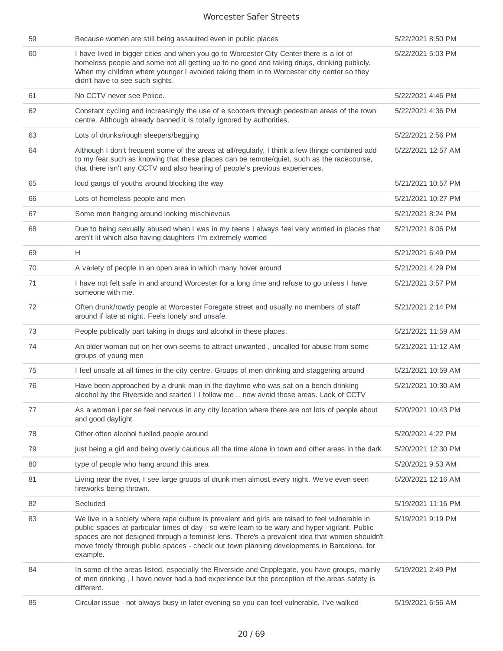| 59 | Because women are still being assaulted even in public places                                                                                                                                                                                                                                                                                                                                                  | 5/22/2021 8:50 PM  |
|----|----------------------------------------------------------------------------------------------------------------------------------------------------------------------------------------------------------------------------------------------------------------------------------------------------------------------------------------------------------------------------------------------------------------|--------------------|
| 60 | I have lived in bigger cities and when you go to Worcester City Center there is a lot of<br>homeless people and some not all getting up to no good and taking drugs, drinking publicly.<br>When my children where younger I avoided taking them in to Worcester city center so they<br>didn't have to see such sights.                                                                                         | 5/22/2021 5:03 PM  |
| 61 | No CCTV never see Police.                                                                                                                                                                                                                                                                                                                                                                                      | 5/22/2021 4:46 PM  |
| 62 | Constant cycling and increasingly the use of e scooters through pedestrian areas of the town<br>centre. Although already banned it is totally ignored by authorities.                                                                                                                                                                                                                                          | 5/22/2021 4:36 PM  |
| 63 | Lots of drunks/rough sleepers/begging                                                                                                                                                                                                                                                                                                                                                                          | 5/22/2021 2:56 PM  |
| 64 | Although I don't frequent some of the areas at all/regularly, I think a few things combined add<br>to my fear such as knowing that these places can be remote/quiet, such as the racecourse,<br>that there isn't any CCTV and also hearing of people's previous experiences.                                                                                                                                   | 5/22/2021 12:57 AM |
| 65 | loud gangs of youths around blocking the way                                                                                                                                                                                                                                                                                                                                                                   | 5/21/2021 10:57 PM |
| 66 | Lots of homeless people and men                                                                                                                                                                                                                                                                                                                                                                                | 5/21/2021 10:27 PM |
| 67 | Some men hanging around looking mischievous                                                                                                                                                                                                                                                                                                                                                                    | 5/21/2021 8:24 PM  |
| 68 | Due to being sexually abused when I was in my teens I always feel very worried in places that<br>aren't lit which also having daughters I'm extremely worried                                                                                                                                                                                                                                                  | 5/21/2021 8:06 PM  |
| 69 | H                                                                                                                                                                                                                                                                                                                                                                                                              | 5/21/2021 6:49 PM  |
| 70 | A variety of people in an open area in which many hover around                                                                                                                                                                                                                                                                                                                                                 | 5/21/2021 4:29 PM  |
| 71 | I have not felt safe in and around Worcester for a long time and refuse to go unless I have<br>someone with me.                                                                                                                                                                                                                                                                                                | 5/21/2021 3:57 PM  |
| 72 | Often drunk/rowdy people at Worcester Foregate street and usually no members of staff<br>around if late at night. Feels lonely and unsafe.                                                                                                                                                                                                                                                                     | 5/21/2021 2:14 PM  |
| 73 | People publically part taking in drugs and alcohol in these places.                                                                                                                                                                                                                                                                                                                                            | 5/21/2021 11:59 AM |
| 74 | An older woman out on her own seems to attract unwanted, uncalled for abuse from some<br>groups of young men                                                                                                                                                                                                                                                                                                   | 5/21/2021 11:12 AM |
| 75 | I feel unsafe at all times in the city centre. Groups of men drinking and staggering around                                                                                                                                                                                                                                                                                                                    | 5/21/2021 10:59 AM |
| 76 | Have been approached by a drunk man in the daytime who was sat on a bench drinking<br>alcohol by the Riverside and started I I follow me  now avoid these areas. Lack of CCTV                                                                                                                                                                                                                                  | 5/21/2021 10:30 AM |
| 77 | As a woman i per se feel nervous in any city location where there are not lots of people about<br>and good daylight                                                                                                                                                                                                                                                                                            | 5/20/2021 10:43 PM |
| 78 | Other often alcohol fuelled people around                                                                                                                                                                                                                                                                                                                                                                      | 5/20/2021 4:22 PM  |
| 79 | just being a girl and being overly cautious all the time alone in town and other areas in the dark                                                                                                                                                                                                                                                                                                             | 5/20/2021 12:30 PM |
| 80 | type of people who hang around this area                                                                                                                                                                                                                                                                                                                                                                       | 5/20/2021 9:53 AM  |
| 81 | Living near the river, I see large groups of drunk men almost every night. We've even seen<br>fireworks being thrown.                                                                                                                                                                                                                                                                                          | 5/20/2021 12:16 AM |
| 82 | Secluded                                                                                                                                                                                                                                                                                                                                                                                                       | 5/19/2021 11:16 PM |
| 83 | We live in a society where rape culture is prevalent and girls are raised to feel vulnerable in<br>public spaces at particular times of day - so we're learn to be wary and hyper vigilant. Public<br>spaces are not designed through a feminist lens. There's a prevalent idea that women shouldn't<br>move freely through public spaces - check out town planning developments in Barcelona, for<br>example. | 5/19/2021 9:19 PM  |
| 84 | In some of the areas listed, especially the Riverside and Cripplegate, you have groups, mainly<br>of men drinking, I have never had a bad experience but the perception of the areas safety is<br>different.                                                                                                                                                                                                   | 5/19/2021 2:49 PM  |
| 85 | Circular issue - not always busy in later evening so you can feel vulnerable. I've walked                                                                                                                                                                                                                                                                                                                      | 5/19/2021 6:56 AM  |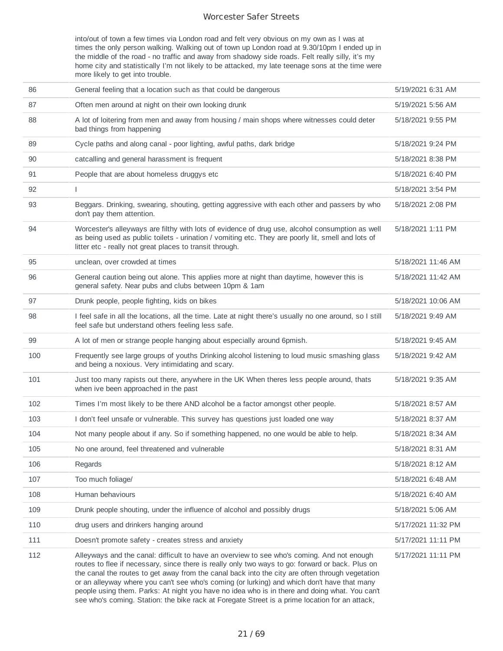into/out of town a few times via London road and felt very obvious on my own as I was at times the only person walking. Walking out of town up London road at 9.30/10pm I ended up in the middle of the road - no traffic and away from shadowy side roads. Felt really silly, it's my home city and statistically I'm not likely to be attacked, my late teenage sons at the time were more likely to get into trouble.

| 86  | General feeling that a location such as that could be dangerous                                                                                                                                                                                                                                                                                                                                  | 5/19/2021 6:31 AM  |
|-----|--------------------------------------------------------------------------------------------------------------------------------------------------------------------------------------------------------------------------------------------------------------------------------------------------------------------------------------------------------------------------------------------------|--------------------|
| 87  | Often men around at night on their own looking drunk                                                                                                                                                                                                                                                                                                                                             | 5/19/2021 5:56 AM  |
| 88  | A lot of loitering from men and away from housing / main shops where witnesses could deter<br>bad things from happening                                                                                                                                                                                                                                                                          | 5/18/2021 9:55 PM  |
| 89  | Cycle paths and along canal - poor lighting, awful paths, dark bridge                                                                                                                                                                                                                                                                                                                            | 5/18/2021 9:24 PM  |
| 90  | catcalling and general harassment is frequent                                                                                                                                                                                                                                                                                                                                                    | 5/18/2021 8:38 PM  |
| 91  | People that are about homeless druggys etc                                                                                                                                                                                                                                                                                                                                                       | 5/18/2021 6:40 PM  |
| 92  | $\mathsf{I}$                                                                                                                                                                                                                                                                                                                                                                                     | 5/18/2021 3:54 PM  |
| 93  | Beggars. Drinking, swearing, shouting, getting aggressive with each other and passers by who<br>don't pay them attention.                                                                                                                                                                                                                                                                        | 5/18/2021 2:08 PM  |
| 94  | Worcester's alleyways are filthy with lots of evidence of drug use, alcohol consumption as well<br>as being used as public toilets - urination / vomiting etc. They are poorly lit, smell and lots of<br>litter etc - really not great places to transit through.                                                                                                                                | 5/18/2021 1:11 PM  |
| 95  | unclean, over crowded at times                                                                                                                                                                                                                                                                                                                                                                   | 5/18/2021 11:46 AM |
| 96  | General caution being out alone. This applies more at night than daytime, however this is<br>general safety. Near pubs and clubs between 10pm & 1am                                                                                                                                                                                                                                              | 5/18/2021 11:42 AM |
| 97  | Drunk people, people fighting, kids on bikes                                                                                                                                                                                                                                                                                                                                                     | 5/18/2021 10:06 AM |
| 98  | I feel safe in all the locations, all the time. Late at night there's usually no one around, so I still<br>feel safe but understand others feeling less safe.                                                                                                                                                                                                                                    | 5/18/2021 9:49 AM  |
| 99  | A lot of men or strange people hanging about especially around 6pmish.                                                                                                                                                                                                                                                                                                                           | 5/18/2021 9:45 AM  |
| 100 | Frequently see large groups of youths Drinking alcohol listening to loud music smashing glass<br>and being a noxious. Very intimidating and scary.                                                                                                                                                                                                                                               | 5/18/2021 9:42 AM  |
| 101 | Just too many rapists out there, anywhere in the UK When theres less people around, thats<br>when ive been approached in the past                                                                                                                                                                                                                                                                | 5/18/2021 9:35 AM  |
| 102 | Times I'm most likely to be there AND alcohol be a factor amongst other people.                                                                                                                                                                                                                                                                                                                  | 5/18/2021 8:57 AM  |
| 103 | I don't feel unsafe or vulnerable. This survey has questions just loaded one way                                                                                                                                                                                                                                                                                                                 | 5/18/2021 8:37 AM  |
| 104 | Not many people about if any. So if something happened, no one would be able to help.                                                                                                                                                                                                                                                                                                            | 5/18/2021 8:34 AM  |
| 105 | No one around, feel threatened and vulnerable                                                                                                                                                                                                                                                                                                                                                    | 5/18/2021 8:31 AM  |
| 106 | Regards                                                                                                                                                                                                                                                                                                                                                                                          | 5/18/2021 8:12 AM  |
| 107 | Too much foliage/                                                                                                                                                                                                                                                                                                                                                                                | 5/18/2021 6:48 AM  |
| 108 | Human behaviours                                                                                                                                                                                                                                                                                                                                                                                 | 5/18/2021 6:40 AM  |
| 109 | Drunk people shouting, under the influence of alcohol and possibly drugs                                                                                                                                                                                                                                                                                                                         | 5/18/2021 5:06 AM  |
| 110 | drug users and drinkers hanging around                                                                                                                                                                                                                                                                                                                                                           | 5/17/2021 11:32 PM |
| 111 | Doesn't promote safety - creates stress and anxiety                                                                                                                                                                                                                                                                                                                                              | 5/17/2021 11:11 PM |
| 112 | Alleyways and the canal: difficult to have an overview to see who's coming. And not enough<br>routes to flee if necessary, since there is really only two ways to go: forward or back. Plus on<br>the canal the routes to get away from the canal back into the city are often through vegetation<br>or an alleyway where you can't see who's coming (or lurking) and which don't have that many | 5/17/2021 11:11 PM |

people using them. Parks: At night you have no idea who is in there and doing what. You can't see who's coming. Station: the bike rack at Foregate Street is a prime location for an attack,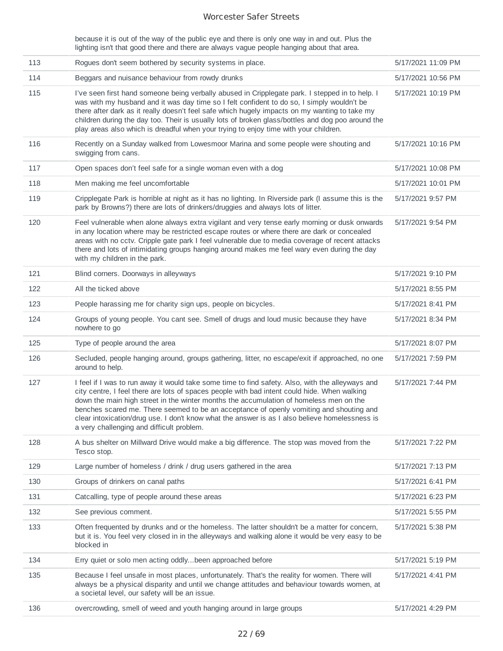because it is out of the way of the public eye and there is only one way in and out. Plus the lighting isn't that good there and there are always vague people hanging about that area.

| 113 | Rogues don't seem bothered by security systems in place.                                                                                                                                                                                                                                                                                                                                                                                                                                                                             | 5/17/2021 11:09 PM |
|-----|--------------------------------------------------------------------------------------------------------------------------------------------------------------------------------------------------------------------------------------------------------------------------------------------------------------------------------------------------------------------------------------------------------------------------------------------------------------------------------------------------------------------------------------|--------------------|
| 114 | Beggars and nuisance behaviour from rowdy drunks                                                                                                                                                                                                                                                                                                                                                                                                                                                                                     | 5/17/2021 10:56 PM |
| 115 | I've seen first hand someone being verbally abused in Cripplegate park. I stepped in to help. I<br>was with my husband and it was day time so I felt confident to do so, I simply wouldn't be<br>there after dark as it really doesn't feel safe which hugely impacts on my wanting to take my<br>children during the day too. Their is usually lots of broken glass/bottles and dog poo around the<br>play areas also which is dreadful when your trying to enjoy time with your children.                                          | 5/17/2021 10:19 PM |
| 116 | Recently on a Sunday walked from Lowesmoor Marina and some people were shouting and<br>swigging from cans.                                                                                                                                                                                                                                                                                                                                                                                                                           | 5/17/2021 10:16 PM |
| 117 | Open spaces don't feel safe for a single woman even with a dog                                                                                                                                                                                                                                                                                                                                                                                                                                                                       | 5/17/2021 10:08 PM |
| 118 | Men making me feel uncomfortable                                                                                                                                                                                                                                                                                                                                                                                                                                                                                                     | 5/17/2021 10:01 PM |
| 119 | Cripplegate Park is horrible at night as it has no lighting. In Riverside park (I assume this is the<br>park by Browns?) there are lots of drinkers/druggies and always lots of litter.                                                                                                                                                                                                                                                                                                                                              | 5/17/2021 9:57 PM  |
| 120 | Feel vulnerable when alone always extra vigilant and very tense early morning or dusk onwards<br>in any location where may be restricted escape routes or where there are dark or concealed<br>areas with no cctv. Cripple gate park I feel vulnerable due to media coverage of recent attacks<br>there and lots of intimidating groups hanging around makes me feel wary even during the day<br>with my children in the park.                                                                                                       | 5/17/2021 9:54 PM  |
| 121 | Blind corners. Doorways in alleyways                                                                                                                                                                                                                                                                                                                                                                                                                                                                                                 | 5/17/2021 9:10 PM  |
| 122 | All the ticked above                                                                                                                                                                                                                                                                                                                                                                                                                                                                                                                 | 5/17/2021 8:55 PM  |
| 123 | People harassing me for charity sign ups, people on bicycles.                                                                                                                                                                                                                                                                                                                                                                                                                                                                        | 5/17/2021 8:41 PM  |
| 124 | Groups of young people. You cant see. Smell of drugs and loud music because they have<br>nowhere to go                                                                                                                                                                                                                                                                                                                                                                                                                               | 5/17/2021 8:34 PM  |
| 125 | Type of people around the area                                                                                                                                                                                                                                                                                                                                                                                                                                                                                                       | 5/17/2021 8:07 PM  |
| 126 | Secluded, people hanging around, groups gathering, litter, no escape/exit if approached, no one<br>around to help.                                                                                                                                                                                                                                                                                                                                                                                                                   | 5/17/2021 7:59 PM  |
| 127 | I feel if I was to run away it would take some time to find safety. Also, with the alleyways and<br>city centre, I feel there are lots of spaces people with bad intent could hide. When walking<br>down the main high street in the winter months the accumulation of homeless men on the<br>benches scared me. There seemed to be an acceptance of openly vomiting and shouting and<br>clear intoxication/drug use. I don't know what the answer is as I also believe homelessness is<br>a very challenging and difficult problem. | 5/17/2021 7:44 PM  |
| 128 | A bus shelter on Millward Drive would make a big difference. The stop was moved from the<br>Tesco stop.                                                                                                                                                                                                                                                                                                                                                                                                                              | 5/17/2021 7:22 PM  |
| 129 | Large number of homeless / drink / drug users gathered in the area                                                                                                                                                                                                                                                                                                                                                                                                                                                                   | 5/17/2021 7:13 PM  |
| 130 | Groups of drinkers on canal paths                                                                                                                                                                                                                                                                                                                                                                                                                                                                                                    | 5/17/2021 6:41 PM  |
| 131 | Catcalling, type of people around these areas                                                                                                                                                                                                                                                                                                                                                                                                                                                                                        | 5/17/2021 6:23 PM  |
| 132 | See previous comment.                                                                                                                                                                                                                                                                                                                                                                                                                                                                                                                | 5/17/2021 5:55 PM  |
| 133 | Often frequented by drunks and or the homeless. The latter shouldn't be a matter for concern,<br>but it is. You feel very closed in in the alleyways and walking alone it would be very easy to be<br>blocked in                                                                                                                                                                                                                                                                                                                     | 5/17/2021 5:38 PM  |
| 134 | Erry quiet or solo men acting oddlybeen approached before                                                                                                                                                                                                                                                                                                                                                                                                                                                                            | 5/17/2021 5:19 PM  |
| 135 | Because I feel unsafe in most places, unfortunately. That's the reality for women. There will<br>always be a physical disparity and until we change attitudes and behaviour towards women, at<br>a societal level, our safety will be an issue.                                                                                                                                                                                                                                                                                      | 5/17/2021 4:41 PM  |
| 136 | overcrowding, smell of weed and youth hanging around in large groups                                                                                                                                                                                                                                                                                                                                                                                                                                                                 | 5/17/2021 4:29 PM  |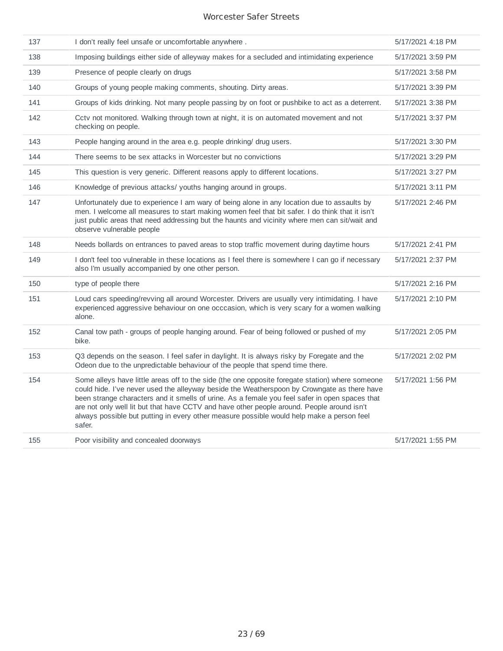| 137 | I don't really feel unsafe or uncomfortable anywhere.                                                                                                                                                                                                                                                                                                                                                                                                                                                 | 5/17/2021 4:18 PM |
|-----|-------------------------------------------------------------------------------------------------------------------------------------------------------------------------------------------------------------------------------------------------------------------------------------------------------------------------------------------------------------------------------------------------------------------------------------------------------------------------------------------------------|-------------------|
| 138 | Imposing buildings either side of alleyway makes for a secluded and intimidating experience                                                                                                                                                                                                                                                                                                                                                                                                           | 5/17/2021 3:59 PM |
| 139 | Presence of people clearly on drugs                                                                                                                                                                                                                                                                                                                                                                                                                                                                   | 5/17/2021 3:58 PM |
| 140 | Groups of young people making comments, shouting. Dirty areas.                                                                                                                                                                                                                                                                                                                                                                                                                                        | 5/17/2021 3:39 PM |
| 141 | Groups of kids drinking. Not many people passing by on foot or pushbike to act as a deterrent.                                                                                                                                                                                                                                                                                                                                                                                                        | 5/17/2021 3:38 PM |
| 142 | Cctv not monitored. Walking through town at night, it is on automated movement and not<br>checking on people.                                                                                                                                                                                                                                                                                                                                                                                         | 5/17/2021 3:37 PM |
| 143 | People hanging around in the area e.g. people drinking/ drug users.                                                                                                                                                                                                                                                                                                                                                                                                                                   | 5/17/2021 3:30 PM |
| 144 | There seems to be sex attacks in Worcester but no convictions                                                                                                                                                                                                                                                                                                                                                                                                                                         | 5/17/2021 3:29 PM |
| 145 | This question is very generic. Different reasons apply to different locations.                                                                                                                                                                                                                                                                                                                                                                                                                        | 5/17/2021 3:27 PM |
| 146 | Knowledge of previous attacks/ youths hanging around in groups.                                                                                                                                                                                                                                                                                                                                                                                                                                       | 5/17/2021 3:11 PM |
| 147 | Unfortunately due to experience I am wary of being alone in any location due to assaults by<br>men. I welcome all measures to start making women feel that bit safer. I do think that it isn't<br>just public areas that need addressing but the haunts and vicinity where men can sit/wait and<br>observe vulnerable people                                                                                                                                                                          | 5/17/2021 2:46 PM |
| 148 | Needs bollards on entrances to paved areas to stop traffic movement during daytime hours                                                                                                                                                                                                                                                                                                                                                                                                              | 5/17/2021 2:41 PM |
| 149 | I don't feel too vulnerable in these locations as I feel there is somewhere I can go if necessary<br>also I'm usually accompanied by one other person.                                                                                                                                                                                                                                                                                                                                                | 5/17/2021 2:37 PM |
| 150 | type of people there                                                                                                                                                                                                                                                                                                                                                                                                                                                                                  | 5/17/2021 2:16 PM |
| 151 | Loud cars speeding/revving all around Worcester. Drivers are usually very intimidating. I have<br>experienced aggressive behaviour on one occcasion, which is very scary for a women walking<br>alone.                                                                                                                                                                                                                                                                                                | 5/17/2021 2:10 PM |
| 152 | Canal tow path - groups of people hanging around. Fear of being followed or pushed of my<br>bike.                                                                                                                                                                                                                                                                                                                                                                                                     | 5/17/2021 2:05 PM |
| 153 | Q3 depends on the season. I feel safer in daylight. It is always risky by Foregate and the<br>Odeon due to the unpredictable behaviour of the people that spend time there.                                                                                                                                                                                                                                                                                                                           | 5/17/2021 2:02 PM |
| 154 | Some alleys have little areas off to the side (the one opposite foregate station) where someone<br>could hide. I've never used the alleyway beside the Weatherspoon by Crowngate as there have<br>been strange characters and it smells of urine. As a female you feel safer in open spaces that<br>are not only well lit but that have CCTV and have other people around. People around isn't<br>always possible but putting in every other measure possible would help make a person feel<br>safer. | 5/17/2021 1:56 PM |
| 155 | Poor visibility and concealed doorways                                                                                                                                                                                                                                                                                                                                                                                                                                                                | 5/17/2021 1:55 PM |
|     |                                                                                                                                                                                                                                                                                                                                                                                                                                                                                                       |                   |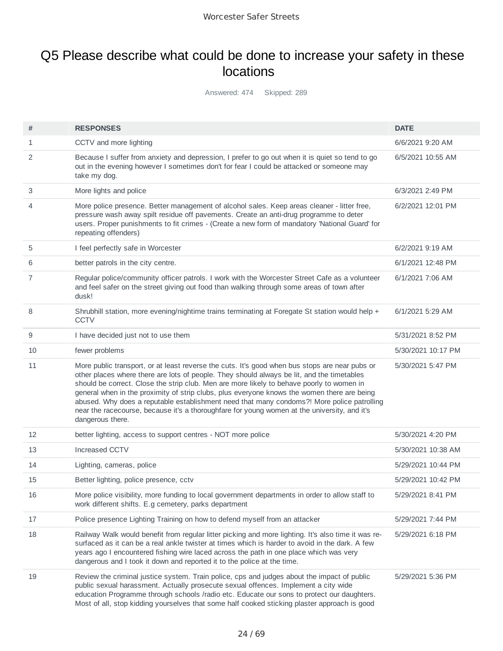## Q5 Please describe what could be done to increase your safety in these locations

Answered: 474 Skipped: 289

| #  | <b>RESPONSES</b>                                                                                                                                                                                                                                                                                                                                                                                                                                                                                                                                                                                           | <b>DATE</b>        |
|----|------------------------------------------------------------------------------------------------------------------------------------------------------------------------------------------------------------------------------------------------------------------------------------------------------------------------------------------------------------------------------------------------------------------------------------------------------------------------------------------------------------------------------------------------------------------------------------------------------------|--------------------|
| 1  | CCTV and more lighting                                                                                                                                                                                                                                                                                                                                                                                                                                                                                                                                                                                     | 6/6/2021 9:20 AM   |
| 2  | Because I suffer from anxiety and depression, I prefer to go out when it is quiet so tend to go<br>out in the evening however I sometimes don't for fear I could be attacked or someone may<br>take my dog.                                                                                                                                                                                                                                                                                                                                                                                                | 6/5/2021 10:55 AM  |
| 3  | More lights and police                                                                                                                                                                                                                                                                                                                                                                                                                                                                                                                                                                                     | 6/3/2021 2:49 PM   |
| 4  | More police presence. Better management of alcohol sales. Keep areas cleaner - litter free,<br>pressure wash away spilt residue off pavements. Create an anti-drug programme to deter<br>users. Proper punishments to fit crimes - (Create a new form of mandatory 'National Guard' for<br>repeating offenders)                                                                                                                                                                                                                                                                                            | 6/2/2021 12:01 PM  |
| 5  | I feel perfectly safe in Worcester                                                                                                                                                                                                                                                                                                                                                                                                                                                                                                                                                                         | 6/2/2021 9:19 AM   |
| 6  | better patrols in the city centre.                                                                                                                                                                                                                                                                                                                                                                                                                                                                                                                                                                         | 6/1/2021 12:48 PM  |
| 7  | Regular police/community officer patrols. I work with the Worcester Street Cafe as a volunteer<br>and feel safer on the street giving out food than walking through some areas of town after<br>dusk!                                                                                                                                                                                                                                                                                                                                                                                                      | 6/1/2021 7:06 AM   |
| 8  | Shrubhill station, more evening/nightime trains terminating at Foregate St station would help +<br><b>CCTV</b>                                                                                                                                                                                                                                                                                                                                                                                                                                                                                             | 6/1/2021 5:29 AM   |
| 9  | I have decided just not to use them                                                                                                                                                                                                                                                                                                                                                                                                                                                                                                                                                                        | 5/31/2021 8:52 PM  |
| 10 | fewer problems                                                                                                                                                                                                                                                                                                                                                                                                                                                                                                                                                                                             | 5/30/2021 10:17 PM |
| 11 | More public transport, or at least reverse the cuts. It's good when bus stops are near pubs or<br>other places where there are lots of people. They should always be lit, and the timetables<br>should be correct. Close the strip club. Men are more likely to behave poorly to women in<br>general when in the proximity of strip clubs, plus everyone knows the women there are being<br>abused. Why does a reputable establishment need that many condoms?! More police patrolling<br>near the racecourse, because it's a thoroughfare for young women at the university, and it's<br>dangerous there. | 5/30/2021 5:47 PM  |
| 12 | better lighting, access to support centres - NOT more police                                                                                                                                                                                                                                                                                                                                                                                                                                                                                                                                               | 5/30/2021 4:20 PM  |
| 13 | Increased CCTV                                                                                                                                                                                                                                                                                                                                                                                                                                                                                                                                                                                             | 5/30/2021 10:38 AM |
| 14 | Lighting, cameras, police                                                                                                                                                                                                                                                                                                                                                                                                                                                                                                                                                                                  | 5/29/2021 10:44 PM |
| 15 | Better lighting, police presence, cctv                                                                                                                                                                                                                                                                                                                                                                                                                                                                                                                                                                     | 5/29/2021 10:42 PM |
| 16 | More police visibility, more funding to local government departments in order to allow staff to<br>work different shifts. E.g cemetery, parks department                                                                                                                                                                                                                                                                                                                                                                                                                                                   | 5/29/2021 8:41 PM  |
| 17 | Police presence Lighting Training on how to defend myself from an attacker                                                                                                                                                                                                                                                                                                                                                                                                                                                                                                                                 | 5/29/2021 7:44 PM  |
| 18 | Railway Walk would benefit from regular litter picking and more lighting. It's also time it was re-<br>surfaced as it can be a real ankle twister at times which is harder to avoid in the dark. A few<br>years ago I encountered fishing wire laced across the path in one place which was very<br>dangerous and I took it down and reported it to the police at the time.                                                                                                                                                                                                                                | 5/29/2021 6:18 PM  |
| 19 | Review the criminal justice system. Train police, cps and judges about the impact of public<br>public sexual harassment. Actually prosecute sexual offences. Implement a city wide<br>education Programme through schools /radio etc. Educate our sons to protect our daughters.<br>Most of all, stop kidding yourselves that some half cooked sticking plaster approach is good                                                                                                                                                                                                                           | 5/29/2021 5:36 PM  |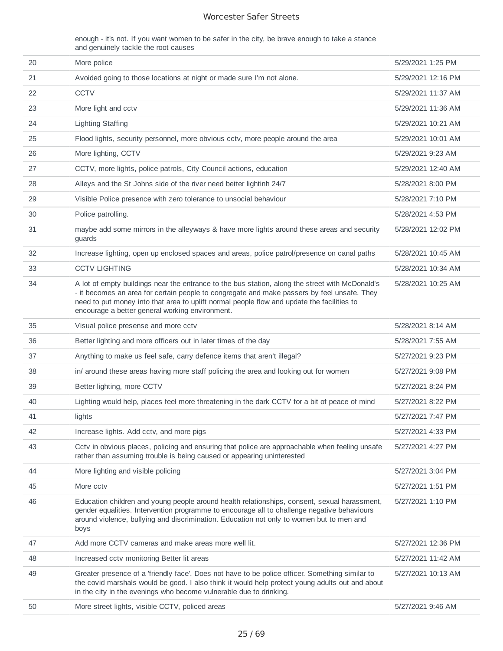enough - it's not. If you want women to be safer in the city, be brave enough to take a stance and genuinely tackle the root causes

| 20 | More police                                                                                                                                                                                                                                                                                                                                     | 5/29/2021 1:25 PM  |
|----|-------------------------------------------------------------------------------------------------------------------------------------------------------------------------------------------------------------------------------------------------------------------------------------------------------------------------------------------------|--------------------|
| 21 | Avoided going to those locations at night or made sure I'm not alone.                                                                                                                                                                                                                                                                           | 5/29/2021 12:16 PM |
| 22 | <b>CCTV</b>                                                                                                                                                                                                                                                                                                                                     | 5/29/2021 11:37 AM |
| 23 | More light and cctv                                                                                                                                                                                                                                                                                                                             | 5/29/2021 11:36 AM |
| 24 | <b>Lighting Staffing</b>                                                                                                                                                                                                                                                                                                                        | 5/29/2021 10:21 AM |
| 25 | Flood lights, security personnel, more obvious cctv, more people around the area                                                                                                                                                                                                                                                                | 5/29/2021 10:01 AM |
| 26 | More lighting, CCTV                                                                                                                                                                                                                                                                                                                             | 5/29/2021 9:23 AM  |
| 27 | CCTV, more lights, police patrols, City Council actions, education                                                                                                                                                                                                                                                                              | 5/29/2021 12:40 AM |
| 28 | Alleys and the St Johns side of the river need better lightinh 24/7                                                                                                                                                                                                                                                                             | 5/28/2021 8:00 PM  |
| 29 | Visible Police presence with zero tolerance to unsocial behaviour                                                                                                                                                                                                                                                                               | 5/28/2021 7:10 PM  |
| 30 | Police patrolling.                                                                                                                                                                                                                                                                                                                              | 5/28/2021 4:53 PM  |
| 31 | maybe add some mirrors in the alleyways & have more lights around these areas and security<br>guards                                                                                                                                                                                                                                            | 5/28/2021 12:02 PM |
| 32 | Increase lighting, open up enclosed spaces and areas, police patrol/presence on canal paths                                                                                                                                                                                                                                                     | 5/28/2021 10:45 AM |
| 33 | <b>CCTV LIGHTING</b>                                                                                                                                                                                                                                                                                                                            | 5/28/2021 10:34 AM |
| 34 | A lot of empty buildings near the entrance to the bus station, along the street with McDonald's<br>- it becomes an area for certain people to congregate and make passers by feel unsafe. They<br>need to put money into that area to uplift normal people flow and update the facilities to<br>encourage a better general working environment. | 5/28/2021 10:25 AM |
| 35 | Visual police presense and more cctv                                                                                                                                                                                                                                                                                                            | 5/28/2021 8:14 AM  |
| 36 | Better lighting and more officers out in later times of the day                                                                                                                                                                                                                                                                                 | 5/28/2021 7:55 AM  |
| 37 | Anything to make us feel safe, carry defence items that aren't illegal?                                                                                                                                                                                                                                                                         | 5/27/2021 9:23 PM  |
| 38 | in/ around these areas having more staff policing the area and looking out for women                                                                                                                                                                                                                                                            | 5/27/2021 9:08 PM  |
| 39 | Better lighting, more CCTV                                                                                                                                                                                                                                                                                                                      | 5/27/2021 8:24 PM  |
| 40 | Lighting would help, places feel more threatening in the dark CCTV for a bit of peace of mind                                                                                                                                                                                                                                                   | 5/27/2021 8:22 PM  |
| 41 | lights                                                                                                                                                                                                                                                                                                                                          | 5/27/2021 7:47 PM  |
| 42 | Increase lights. Add cctv, and more pigs                                                                                                                                                                                                                                                                                                        | 5/27/2021 4:33 PM  |
| 43 | Cctv in obvious places, policing and ensuring that police are approachable when feeling unsafe<br>rather than assuming trouble is being caused or appearing uninterested                                                                                                                                                                        | 5/27/2021 4:27 PM  |
| 44 | More lighting and visible policing                                                                                                                                                                                                                                                                                                              | 5/27/2021 3:04 PM  |
| 45 | More cctv                                                                                                                                                                                                                                                                                                                                       | 5/27/2021 1:51 PM  |
| 46 | Education children and young people around health relationships, consent, sexual harassment,<br>gender equalities. Intervention programme to encourage all to challenge negative behaviours<br>around violence, bullying and discrimination. Education not only to women but to men and<br>boys                                                 | 5/27/2021 1:10 PM  |
| 47 | Add more CCTV cameras and make areas more well lit.                                                                                                                                                                                                                                                                                             | 5/27/2021 12:36 PM |
| 48 | Increased cctv monitoring Better lit areas                                                                                                                                                                                                                                                                                                      | 5/27/2021 11:42 AM |
| 49 | Greater presence of a 'friendly face'. Does not have to be police officer. Something similar to<br>the covid marshals would be good. I also think it would help protect young adults out and about<br>in the city in the evenings who become vulnerable due to drinking.                                                                        | 5/27/2021 10:13 AM |
| 50 | More street lights, visible CCTV, policed areas                                                                                                                                                                                                                                                                                                 | 5/27/2021 9:46 AM  |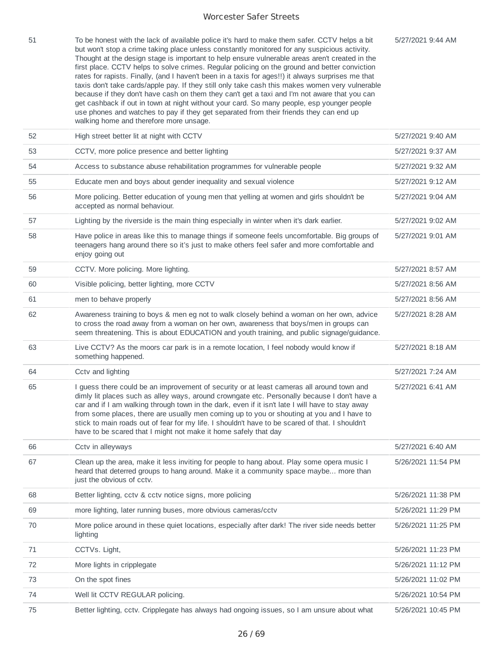5/27/2021 9:44 AM

51 To be honest with the lack of available police it's hard to make them safer. CCTV helps a bit but won't stop a crime taking place unless constantly monitored for any suspicious activity. Thought at the design stage is important to help ensure vulnerable areas aren't created in the first place. CCTV helps to solve crimes. Regular policing on the ground and better conviction rates for rapists. Finally, (and I haven't been in a taxis for ages!!) it always surprises me that taxis don't take cards/apple pay. If they still only take cash this makes women very vulnerable because if they don't have cash on them they can't get a taxi and I'm not aware that you can get cashback if out in town at night without your card. So many people, esp younger people use phones and watches to pay if they get separated from their friends they can end up walking home and therefore more unsage.

| 52 | High street better lit at night with CCTV                                                                                                                                                                                                                                                                                                                                                                                                                                                                                                                        | 5/27/2021 9:40 AM  |
|----|------------------------------------------------------------------------------------------------------------------------------------------------------------------------------------------------------------------------------------------------------------------------------------------------------------------------------------------------------------------------------------------------------------------------------------------------------------------------------------------------------------------------------------------------------------------|--------------------|
| 53 | CCTV, more police presence and better lighting                                                                                                                                                                                                                                                                                                                                                                                                                                                                                                                   | 5/27/2021 9:37 AM  |
| 54 | Access to substance abuse rehabilitation programmes for vulnerable people                                                                                                                                                                                                                                                                                                                                                                                                                                                                                        | 5/27/2021 9:32 AM  |
| 55 | Educate men and boys about gender inequality and sexual violence                                                                                                                                                                                                                                                                                                                                                                                                                                                                                                 | 5/27/2021 9:12 AM  |
| 56 | More policing. Better education of young men that yelling at women and girls shouldn't be<br>accepted as normal behaviour.                                                                                                                                                                                                                                                                                                                                                                                                                                       | 5/27/2021 9:04 AM  |
| 57 | Lighting by the riverside is the main thing especially in winter when it's dark earlier.                                                                                                                                                                                                                                                                                                                                                                                                                                                                         | 5/27/2021 9:02 AM  |
| 58 | Have police in areas like this to manage things if someone feels uncomfortable. Big groups of<br>teenagers hang around there so it's just to make others feel safer and more comfortable and<br>enjoy going out                                                                                                                                                                                                                                                                                                                                                  | 5/27/2021 9:01 AM  |
| 59 | CCTV. More policing. More lighting.                                                                                                                                                                                                                                                                                                                                                                                                                                                                                                                              | 5/27/2021 8:57 AM  |
| 60 | Visible policing, better lighting, more CCTV                                                                                                                                                                                                                                                                                                                                                                                                                                                                                                                     | 5/27/2021 8:56 AM  |
| 61 | men to behave properly                                                                                                                                                                                                                                                                                                                                                                                                                                                                                                                                           | 5/27/2021 8:56 AM  |
| 62 | Awareness training to boys & men eg not to walk closely behind a woman on her own, advice<br>to cross the road away from a woman on her own, awareness that boys/men in groups can<br>seem threatening. This is about EDUCATION and youth training, and public signage/guidance.                                                                                                                                                                                                                                                                                 | 5/27/2021 8:28 AM  |
| 63 | Live CCTV? As the moors car park is in a remote location, I feel nobody would know if<br>something happened.                                                                                                                                                                                                                                                                                                                                                                                                                                                     | 5/27/2021 8:18 AM  |
| 64 | Cctv and lighting                                                                                                                                                                                                                                                                                                                                                                                                                                                                                                                                                | 5/27/2021 7:24 AM  |
| 65 | I guess there could be an improvement of security or at least cameras all around town and<br>dimly lit places such as alley ways, around crowngate etc. Personally because I don't have a<br>car and if I am walking through town in the dark, even if it isn't late I will have to stay away<br>from some places, there are usually men coming up to you or shouting at you and I have to<br>stick to main roads out of fear for my life. I shouldn't have to be scared of that. I shouldn't<br>have to be scared that I might not make it home safely that day | 5/27/2021 6:41 AM  |
| 66 | Cctv in alleyways                                                                                                                                                                                                                                                                                                                                                                                                                                                                                                                                                | 5/27/2021 6:40 AM  |
| 67 | Clean up the area, make it less inviting for people to hang about. Play some opera music I<br>heard that deterred groups to hang around. Make it a community space maybe more than<br>just the obvious of cctv.                                                                                                                                                                                                                                                                                                                                                  | 5/26/2021 11:54 PM |
| 68 | Better lighting, cctv & cctv notice signs, more policing                                                                                                                                                                                                                                                                                                                                                                                                                                                                                                         | 5/26/2021 11:38 PM |
| 69 | more lighting, later running buses, more obvious cameras/cctv                                                                                                                                                                                                                                                                                                                                                                                                                                                                                                    | 5/26/2021 11:29 PM |
| 70 | More police around in these quiet locations, especially after dark! The river side needs better<br>lighting                                                                                                                                                                                                                                                                                                                                                                                                                                                      | 5/26/2021 11:25 PM |
| 71 | CCTVs. Light,                                                                                                                                                                                                                                                                                                                                                                                                                                                                                                                                                    | 5/26/2021 11:23 PM |
| 72 | More lights in cripplegate                                                                                                                                                                                                                                                                                                                                                                                                                                                                                                                                       | 5/26/2021 11:12 PM |
| 73 | On the spot fines                                                                                                                                                                                                                                                                                                                                                                                                                                                                                                                                                | 5/26/2021 11:02 PM |
| 74 | Well lit CCTV REGULAR policing.                                                                                                                                                                                                                                                                                                                                                                                                                                                                                                                                  | 5/26/2021 10:54 PM |
| 75 | Better lighting, cctv. Cripplegate has always had ongoing issues, so I am unsure about what                                                                                                                                                                                                                                                                                                                                                                                                                                                                      | 5/26/2021 10:45 PM |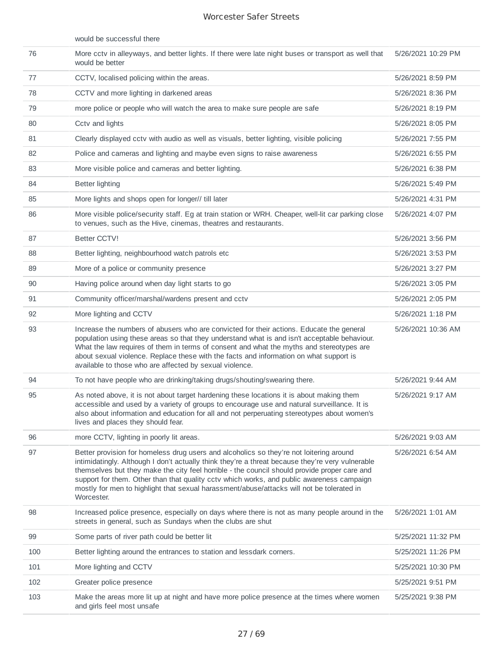|     | would be successful there                                                                                                                                                                                                                                                                                                                                                                                                                                                                           |                    |
|-----|-----------------------------------------------------------------------------------------------------------------------------------------------------------------------------------------------------------------------------------------------------------------------------------------------------------------------------------------------------------------------------------------------------------------------------------------------------------------------------------------------------|--------------------|
| 76  | More cctv in alleyways, and better lights. If there were late night buses or transport as well that<br>would be better                                                                                                                                                                                                                                                                                                                                                                              | 5/26/2021 10:29 PM |
| 77  | CCTV, localised policing within the areas.                                                                                                                                                                                                                                                                                                                                                                                                                                                          | 5/26/2021 8:59 PM  |
| 78  | CCTV and more lighting in darkened areas                                                                                                                                                                                                                                                                                                                                                                                                                                                            | 5/26/2021 8:36 PM  |
| 79  | more police or people who will watch the area to make sure people are safe                                                                                                                                                                                                                                                                                                                                                                                                                          | 5/26/2021 8:19 PM  |
| 80  | Cctv and lights                                                                                                                                                                                                                                                                                                                                                                                                                                                                                     | 5/26/2021 8:05 PM  |
| 81  | Clearly displayed cctv with audio as well as visuals, better lighting, visible policing                                                                                                                                                                                                                                                                                                                                                                                                             | 5/26/2021 7:55 PM  |
| 82  | Police and cameras and lighting and maybe even signs to raise awareness                                                                                                                                                                                                                                                                                                                                                                                                                             | 5/26/2021 6:55 PM  |
| 83  | More visible police and cameras and better lighting.                                                                                                                                                                                                                                                                                                                                                                                                                                                | 5/26/2021 6:38 PM  |
| 84  | <b>Better lighting</b>                                                                                                                                                                                                                                                                                                                                                                                                                                                                              | 5/26/2021 5:49 PM  |
| 85  | More lights and shops open for longer// till later                                                                                                                                                                                                                                                                                                                                                                                                                                                  | 5/26/2021 4:31 PM  |
| 86  | More visible police/security staff. Eg at train station or WRH. Cheaper, well-lit car parking close<br>to venues, such as the Hive, cinemas, theatres and restaurants.                                                                                                                                                                                                                                                                                                                              | 5/26/2021 4:07 PM  |
| 87  | <b>Better CCTV!</b>                                                                                                                                                                                                                                                                                                                                                                                                                                                                                 | 5/26/2021 3:56 PM  |
| 88  | Better lighting, neighbourhood watch patrols etc                                                                                                                                                                                                                                                                                                                                                                                                                                                    | 5/26/2021 3:53 PM  |
| 89  | More of a police or community presence                                                                                                                                                                                                                                                                                                                                                                                                                                                              | 5/26/2021 3:27 PM  |
| 90  | Having police around when day light starts to go                                                                                                                                                                                                                                                                                                                                                                                                                                                    | 5/26/2021 3:05 PM  |
| 91  | Community officer/marshal/wardens present and cctv                                                                                                                                                                                                                                                                                                                                                                                                                                                  | 5/26/2021 2:05 PM  |
| 92  | More lighting and CCTV                                                                                                                                                                                                                                                                                                                                                                                                                                                                              | 5/26/2021 1:18 PM  |
| 93  | Increase the numbers of abusers who are convicted for their actions. Educate the general<br>population using these areas so that they understand what is and isn't acceptable behaviour.<br>What the law requires of them in terms of consent and what the myths and stereotypes are<br>about sexual violence. Replace these with the facts and information on what support is<br>available to those who are affected by sexual violence.                                                           | 5/26/2021 10:36 AM |
| 94  | To not have people who are drinking/taking drugs/shouting/swearing there.                                                                                                                                                                                                                                                                                                                                                                                                                           | 5/26/2021 9:44 AM  |
| 95  | As noted above, it is not about target hardening these locations it is about making them<br>accessible and used by a variety of groups to encourage use and natural surveillance. It is<br>also about information and education for all and not perperuating stereotypes about women's<br>lives and places they should fear.                                                                                                                                                                        | 5/26/2021 9:17 AM  |
| 96  | more CCTV, lighting in poorly lit areas.                                                                                                                                                                                                                                                                                                                                                                                                                                                            | 5/26/2021 9:03 AM  |
| 97  | Better provision for homeless drug users and alcoholics so they're not loitering around<br>intimidatingly. Although I don't actually think they're a threat because they're very vulnerable<br>themselves but they make the city feel horrible - the council should provide proper care and<br>support for them. Other than that quality cctv which works, and public awareness campaign<br>mostly for men to highlight that sexual harassment/abuse/attacks will not be tolerated in<br>Worcester. | 5/26/2021 6:54 AM  |
| 98  | Increased police presence, especially on days where there is not as many people around in the<br>streets in general, such as Sundays when the clubs are shut                                                                                                                                                                                                                                                                                                                                        | 5/26/2021 1:01 AM  |
| 99  | Some parts of river path could be better lit                                                                                                                                                                                                                                                                                                                                                                                                                                                        | 5/25/2021 11:32 PM |
| 100 | Better lighting around the entrances to station and lessdark corners.                                                                                                                                                                                                                                                                                                                                                                                                                               | 5/25/2021 11:26 PM |
| 101 | More lighting and CCTV                                                                                                                                                                                                                                                                                                                                                                                                                                                                              | 5/25/2021 10:30 PM |
| 102 | Greater police presence                                                                                                                                                                                                                                                                                                                                                                                                                                                                             | 5/25/2021 9:51 PM  |
| 103 | Make the areas more lit up at night and have more police presence at the times where women<br>and girls feel most unsafe                                                                                                                                                                                                                                                                                                                                                                            | 5/25/2021 9:38 PM  |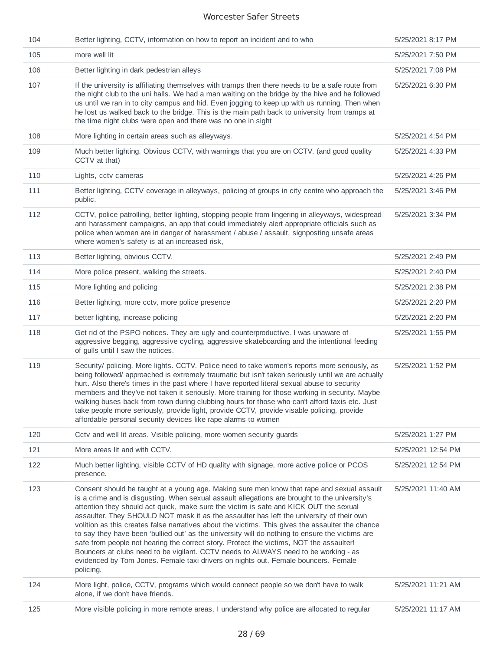| 104 | Better lighting, CCTV, information on how to report an incident and to who                                                                                                                                                                                                                                                                                                                                                                                                                                                                                                                                                                                                                                                                                                                                                                                                   | 5/25/2021 8:17 PM  |
|-----|------------------------------------------------------------------------------------------------------------------------------------------------------------------------------------------------------------------------------------------------------------------------------------------------------------------------------------------------------------------------------------------------------------------------------------------------------------------------------------------------------------------------------------------------------------------------------------------------------------------------------------------------------------------------------------------------------------------------------------------------------------------------------------------------------------------------------------------------------------------------------|--------------------|
| 105 | more well lit                                                                                                                                                                                                                                                                                                                                                                                                                                                                                                                                                                                                                                                                                                                                                                                                                                                                | 5/25/2021 7:50 PM  |
| 106 | Better lighting in dark pedestrian alleys                                                                                                                                                                                                                                                                                                                                                                                                                                                                                                                                                                                                                                                                                                                                                                                                                                    | 5/25/2021 7:08 PM  |
| 107 | If the university is affiliating themselves with tramps then there needs to be a safe route from<br>the night club to the uni halls. We had a man waiting on the bridge by the hive and he followed<br>us until we ran in to city campus and hid. Even jogging to keep up with us running. Then when<br>he lost us walked back to the bridge. This is the main path back to university from tramps at<br>the time night clubs were open and there was no one in sight                                                                                                                                                                                                                                                                                                                                                                                                        | 5/25/2021 6:30 PM  |
| 108 | More lighting in certain areas such as alleyways.                                                                                                                                                                                                                                                                                                                                                                                                                                                                                                                                                                                                                                                                                                                                                                                                                            | 5/25/2021 4:54 PM  |
| 109 | Much better lighting. Obvious CCTV, with warnings that you are on CCTV. (and good quality<br>CCTV at that)                                                                                                                                                                                                                                                                                                                                                                                                                                                                                                                                                                                                                                                                                                                                                                   | 5/25/2021 4:33 PM  |
| 110 | Lights, cctv cameras                                                                                                                                                                                                                                                                                                                                                                                                                                                                                                                                                                                                                                                                                                                                                                                                                                                         | 5/25/2021 4:26 PM  |
| 111 | Better lighting, CCTV coverage in alleyways, policing of groups in city centre who approach the<br>public.                                                                                                                                                                                                                                                                                                                                                                                                                                                                                                                                                                                                                                                                                                                                                                   | 5/25/2021 3:46 PM  |
| 112 | CCTV, police patrolling, better lighting, stopping people from lingering in alleyways, widespread<br>anti harassment campaigns, an app that could immediately alert appropriate officials such as<br>police when women are in danger of harassment / abuse / assault, signposting unsafe areas<br>where women's safety is at an increased risk,                                                                                                                                                                                                                                                                                                                                                                                                                                                                                                                              | 5/25/2021 3:34 PM  |
| 113 | Better lighting, obvious CCTV.                                                                                                                                                                                                                                                                                                                                                                                                                                                                                                                                                                                                                                                                                                                                                                                                                                               | 5/25/2021 2:49 PM  |
| 114 | More police present, walking the streets.                                                                                                                                                                                                                                                                                                                                                                                                                                                                                                                                                                                                                                                                                                                                                                                                                                    | 5/25/2021 2:40 PM  |
| 115 | More lighting and policing                                                                                                                                                                                                                                                                                                                                                                                                                                                                                                                                                                                                                                                                                                                                                                                                                                                   | 5/25/2021 2:38 PM  |
| 116 | Better lighting, more cctv, more police presence                                                                                                                                                                                                                                                                                                                                                                                                                                                                                                                                                                                                                                                                                                                                                                                                                             | 5/25/2021 2:20 PM  |
| 117 | better lighting, increase policing                                                                                                                                                                                                                                                                                                                                                                                                                                                                                                                                                                                                                                                                                                                                                                                                                                           | 5/25/2021 2:20 PM  |
| 118 | Get rid of the PSPO notices. They are ugly and counterproductive. I was unaware of<br>aggressive begging, aggressive cycling, aggressive skateboarding and the intentional feeding<br>of gulls until I saw the notices.                                                                                                                                                                                                                                                                                                                                                                                                                                                                                                                                                                                                                                                      | 5/25/2021 1:55 PM  |
| 119 | Security/ policing. More lights. CCTV. Police need to take women's reports more seriously, as<br>being followed/ approached is extremely traumatic but isn't taken seriously until we are actually<br>hurt. Also there's times in the past where I have reported literal sexual abuse to security<br>members and they've not taken it seriously. More training for those working in security. Maybe<br>walking buses back from town during clubbing hours for those who can't afford taxis etc. Just<br>take people more seriously, provide light, provide CCTV, provide visable policing, provide<br>affordable personal security devices like rape alarms to women                                                                                                                                                                                                         | 5/25/2021 1:52 PM  |
| 120 | Cctv and well lit areas. Visible policing, more women security guards                                                                                                                                                                                                                                                                                                                                                                                                                                                                                                                                                                                                                                                                                                                                                                                                        | 5/25/2021 1:27 PM  |
| 121 | More areas lit and with CCTV.                                                                                                                                                                                                                                                                                                                                                                                                                                                                                                                                                                                                                                                                                                                                                                                                                                                | 5/25/2021 12:54 PM |
| 122 | Much better lighting, visible CCTV of HD quality with signage, more active police or PCOS<br>presence.                                                                                                                                                                                                                                                                                                                                                                                                                                                                                                                                                                                                                                                                                                                                                                       | 5/25/2021 12:54 PM |
| 123 | Consent should be taught at a young age. Making sure men know that rape and sexual assault<br>is a crime and is disgusting. When sexual assault allegations are brought to the university's<br>attention they should act quick, make sure the victim is safe and KICK OUT the sexual<br>assaulter. They SHOULD NOT mask it as the assaulter has left the university of their own<br>volition as this creates false narratives about the victims. This gives the assaulter the chance<br>to say they have been 'bullied out' as the university will do nothing to ensure the victims are<br>safe from people not hearing the correct story. Protect the victims, NOT the assaulter!<br>Bouncers at clubs need to be vigilant. CCTV needs to ALWAYS need to be working - as<br>evidenced by Tom Jones. Female taxi drivers on nights out. Female bouncers. Female<br>policing. | 5/25/2021 11:40 AM |
| 124 | More light, police, CCTV, programs which would connect people so we don't have to walk<br>alone, if we don't have friends.                                                                                                                                                                                                                                                                                                                                                                                                                                                                                                                                                                                                                                                                                                                                                   | 5/25/2021 11:21 AM |
| 125 | More visible policing in more remote areas. I understand why police are allocated to regular                                                                                                                                                                                                                                                                                                                                                                                                                                                                                                                                                                                                                                                                                                                                                                                 | 5/25/2021 11:17 AM |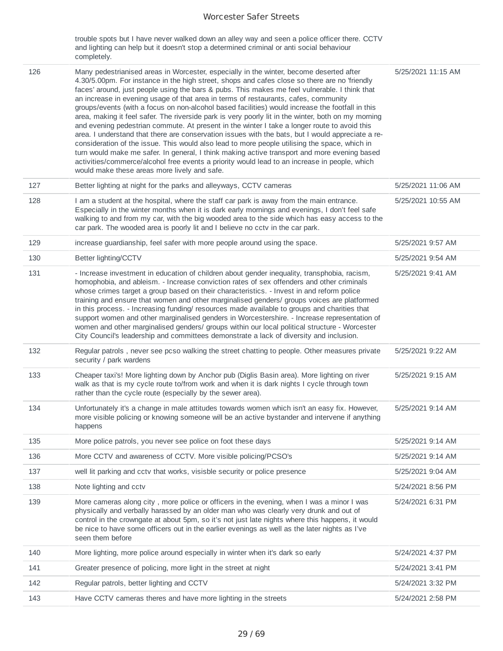trouble spots but I have never walked down an alley way and seen a police officer there. CCTV and lighting can help but it doesn't stop a determined criminal or anti social behaviour completely.

| 126 | Many pedestrianised areas in Worcester, especially in the winter, become deserted after<br>4.30/5.00pm. For instance in the high street, shops and cafes close so there are no 'friendly<br>faces' around, just people using the bars & pubs. This makes me feel vulnerable. I think that<br>an increase in evening usage of that area in terms of restaurants, cafes, community<br>groups/events (with a focus on non-alcohol based facilities) would increase the footfall in this<br>area, making it feel safer. The riverside park is very poorly lit in the winter, both on my morning<br>and evening pedestrian commute. At present in the winter I take a longer route to avoid this<br>area. I understand that there are conservation issues with the bats, but I would appreciate a re-<br>consideration of the issue. This would also lead to more people utilising the space, which in<br>turn would make me safer. In general, I think making active transport and more evening based<br>activities/commerce/alcohol free events a priority would lead to an increase in people, which<br>would make these areas more lively and safe. | 5/25/2021 11:15 AM |
|-----|----------------------------------------------------------------------------------------------------------------------------------------------------------------------------------------------------------------------------------------------------------------------------------------------------------------------------------------------------------------------------------------------------------------------------------------------------------------------------------------------------------------------------------------------------------------------------------------------------------------------------------------------------------------------------------------------------------------------------------------------------------------------------------------------------------------------------------------------------------------------------------------------------------------------------------------------------------------------------------------------------------------------------------------------------------------------------------------------------------------------------------------------------|--------------------|
| 127 | Better lighting at night for the parks and alleyways, CCTV cameras                                                                                                                                                                                                                                                                                                                                                                                                                                                                                                                                                                                                                                                                                                                                                                                                                                                                                                                                                                                                                                                                                 | 5/25/2021 11:06 AM |
| 128 | I am a student at the hospital, where the staff car park is away from the main entrance.<br>Especially in the winter months when it is dark early mornings and evenings, I don't feel safe<br>walking to and from my car, with the big wooded area to the side which has easy access to the<br>car park. The wooded area is poorly lit and I believe no cctv in the car park.                                                                                                                                                                                                                                                                                                                                                                                                                                                                                                                                                                                                                                                                                                                                                                      | 5/25/2021 10:55 AM |
| 129 | increase guardianship, feel safer with more people around using the space.                                                                                                                                                                                                                                                                                                                                                                                                                                                                                                                                                                                                                                                                                                                                                                                                                                                                                                                                                                                                                                                                         | 5/25/2021 9:57 AM  |
| 130 | Better lighting/CCTV                                                                                                                                                                                                                                                                                                                                                                                                                                                                                                                                                                                                                                                                                                                                                                                                                                                                                                                                                                                                                                                                                                                               | 5/25/2021 9:54 AM  |
| 131 | - Increase investment in education of children about gender inequality, transphobia, racism,<br>homophobia, and ableism. - Increase conviction rates of sex offenders and other criminals<br>whose crimes target a group based on their characteristics. - Invest in and reform police<br>training and ensure that women and other marginalised genders/ groups voices are platformed<br>in this process. - Increasing funding/ resources made available to groups and charities that<br>support women and other marginalised genders in Worcestershire. - Increase representation of<br>women and other marginalised genders/ groups within our local political structure - Worcester<br>City Council's leadership and committees demonstrate a lack of diversity and inclusion.                                                                                                                                                                                                                                                                                                                                                                  | 5/25/2021 9:41 AM  |
| 132 | Regular patrols, never see pcso walking the street chatting to people. Other measures private<br>security / park wardens                                                                                                                                                                                                                                                                                                                                                                                                                                                                                                                                                                                                                                                                                                                                                                                                                                                                                                                                                                                                                           | 5/25/2021 9:22 AM  |
| 133 | Cheaper taxi's! More lighting down by Anchor pub (Diglis Basin area). More lighting on river<br>walk as that is my cycle route to/from work and when it is dark nights I cycle through town<br>rather than the cycle route (especially by the sewer area).                                                                                                                                                                                                                                                                                                                                                                                                                                                                                                                                                                                                                                                                                                                                                                                                                                                                                         | 5/25/2021 9:15 AM  |
| 134 | Unfortunately it's a change in male attitudes towards women which isn't an easy fix. However,<br>more visible policing or knowing someone will be an active bystander and intervene if anything<br>happens                                                                                                                                                                                                                                                                                                                                                                                                                                                                                                                                                                                                                                                                                                                                                                                                                                                                                                                                         | 5/25/2021 9:14 AM  |
| 135 | More police patrols, you never see police on foot these days                                                                                                                                                                                                                                                                                                                                                                                                                                                                                                                                                                                                                                                                                                                                                                                                                                                                                                                                                                                                                                                                                       | 5/25/2021 9:14 AM  |
| 136 | More CCTV and awareness of CCTV. More visible policing/PCSO's                                                                                                                                                                                                                                                                                                                                                                                                                                                                                                                                                                                                                                                                                                                                                                                                                                                                                                                                                                                                                                                                                      | 5/25/2021 9:14 AM  |
| 137 | well lit parking and cctv that works, visisble security or police presence                                                                                                                                                                                                                                                                                                                                                                                                                                                                                                                                                                                                                                                                                                                                                                                                                                                                                                                                                                                                                                                                         | 5/25/2021 9:04 AM  |
| 138 | Note lighting and cctv                                                                                                                                                                                                                                                                                                                                                                                                                                                                                                                                                                                                                                                                                                                                                                                                                                                                                                                                                                                                                                                                                                                             | 5/24/2021 8:56 PM  |
| 139 | More cameras along city, more police or officers in the evening, when I was a minor I was<br>physically and verbally harassed by an older man who was clearly very drunk and out of<br>control in the crowngate at about 5pm, so it's not just late nights where this happens, it would<br>be nice to have some officers out in the earlier evenings as well as the later nights as I've<br>seen them before                                                                                                                                                                                                                                                                                                                                                                                                                                                                                                                                                                                                                                                                                                                                       | 5/24/2021 6:31 PM  |
| 140 | More lighting, more police around especially in winter when it's dark so early                                                                                                                                                                                                                                                                                                                                                                                                                                                                                                                                                                                                                                                                                                                                                                                                                                                                                                                                                                                                                                                                     | 5/24/2021 4:37 PM  |
| 141 | Greater presence of policing, more light in the street at night                                                                                                                                                                                                                                                                                                                                                                                                                                                                                                                                                                                                                                                                                                                                                                                                                                                                                                                                                                                                                                                                                    | 5/24/2021 3:41 PM  |
| 142 | Regular patrols, better lighting and CCTV                                                                                                                                                                                                                                                                                                                                                                                                                                                                                                                                                                                                                                                                                                                                                                                                                                                                                                                                                                                                                                                                                                          | 5/24/2021 3:32 PM  |
| 143 | Have CCTV cameras theres and have more lighting in the streets                                                                                                                                                                                                                                                                                                                                                                                                                                                                                                                                                                                                                                                                                                                                                                                                                                                                                                                                                                                                                                                                                     | 5/24/2021 2:58 PM  |
|     |                                                                                                                                                                                                                                                                                                                                                                                                                                                                                                                                                                                                                                                                                                                                                                                                                                                                                                                                                                                                                                                                                                                                                    |                    |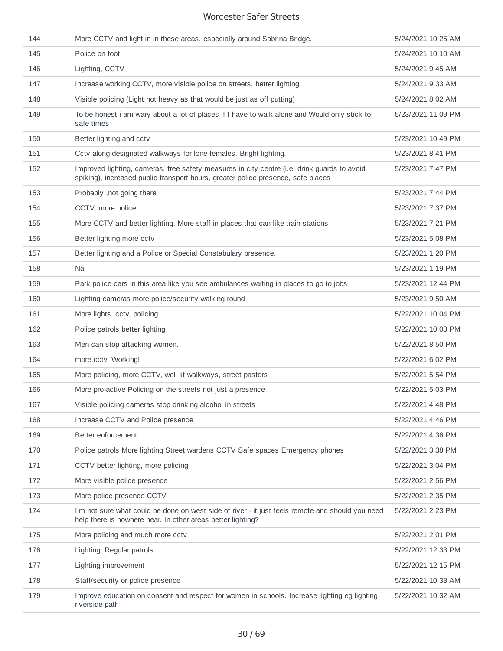| 144 | More CCTV and light in in these areas, especially around Sabrina Bridge.                                                                                                        | 5/24/2021 10:25 AM |
|-----|---------------------------------------------------------------------------------------------------------------------------------------------------------------------------------|--------------------|
| 145 | Police on foot                                                                                                                                                                  | 5/24/2021 10:10 AM |
| 146 | Lighting, CCTV                                                                                                                                                                  | 5/24/2021 9:45 AM  |
| 147 | Increase working CCTV, more visible police on streets, better lighting                                                                                                          | 5/24/2021 9:33 AM  |
| 148 | Visible policing (Light not heavy as that would be just as off putting)                                                                                                         | 5/24/2021 8:02 AM  |
| 149 | To be honest i am wary about a lot of places if I have to walk alone and Would only stick to<br>safe times                                                                      | 5/23/2021 11:09 PM |
| 150 | Better lighting and cctv                                                                                                                                                        | 5/23/2021 10:49 PM |
| 151 | Cctv along designated walkways for lone females. Bright lighting.                                                                                                               | 5/23/2021 8:41 PM  |
| 152 | Improved lighting, cameras, free safety measures in city centre (i.e. drink guards to avoid<br>spiking), increased public transport hours, greater police presence, safe places | 5/23/2021 7:47 PM  |
| 153 | Probably, not going there                                                                                                                                                       | 5/23/2021 7:44 PM  |
| 154 | CCTV, more police                                                                                                                                                               | 5/23/2021 7:37 PM  |
| 155 | More CCTV and better lighting. More staff in places that can like train stations                                                                                                | 5/23/2021 7:21 PM  |
| 156 | Better lighting more cctv                                                                                                                                                       | 5/23/2021 5:08 PM  |
| 157 | Better lighting and a Police or Special Constabulary presence.                                                                                                                  | 5/23/2021 1:20 PM  |
| 158 | Na                                                                                                                                                                              | 5/23/2021 1:19 PM  |
| 159 | Park police cars in this area like you see ambulances waiting in places to go to jobs                                                                                           | 5/23/2021 12:44 PM |
| 160 | Lighting cameras more police/security walking round                                                                                                                             | 5/23/2021 9:50 AM  |
| 161 | More lights, cctv, policing                                                                                                                                                     | 5/22/2021 10:04 PM |
| 162 | Police patrols better lighting                                                                                                                                                  | 5/22/2021 10:03 PM |
| 163 | Men can stop attacking women.                                                                                                                                                   | 5/22/2021 8:50 PM  |
| 164 | more cctv. Working!                                                                                                                                                             | 5/22/2021 6:02 PM  |
| 165 | More policing, more CCTV, well lit walkways, street pastors                                                                                                                     | 5/22/2021 5:54 PM  |
| 166 | More pro-active Policing on the streets not just a presence                                                                                                                     | 5/22/2021 5:03 PM  |
| 167 | Visible policing cameras stop drinking alcohol in streets                                                                                                                       | 5/22/2021 4:48 PM  |
| 168 | Increase CCTV and Police presence                                                                                                                                               | 5/22/2021 4:46 PM  |
| 169 | Better enforcement.                                                                                                                                                             | 5/22/2021 4:36 PM  |
| 170 | Police patrols More lighting Street wardens CCTV Safe spaces Emergency phones                                                                                                   | 5/22/2021 3:38 PM  |
| 171 | CCTV better lighting, more policing                                                                                                                                             | 5/22/2021 3:04 PM  |
| 172 | More visible police presence                                                                                                                                                    | 5/22/2021 2:56 PM  |
| 173 | More police presence CCTV                                                                                                                                                       | 5/22/2021 2:35 PM  |
| 174 | I'm not sure what could be done on west side of river - it just feels remote and should you need<br>help there is nowhere near. In other areas better lighting?                 | 5/22/2021 2:23 PM  |
| 175 | More policing and much more cctv                                                                                                                                                | 5/22/2021 2:01 PM  |
| 176 | Lighting. Regular patrols                                                                                                                                                       | 5/22/2021 12:33 PM |
| 177 | Lighting improvement                                                                                                                                                            | 5/22/2021 12:15 PM |
| 178 | Staff/security or police presence                                                                                                                                               | 5/22/2021 10:38 AM |
| 179 | Improve education on consent and respect for women in schools. Increase lighting eg lighting<br>riverside path                                                                  | 5/22/2021 10:32 AM |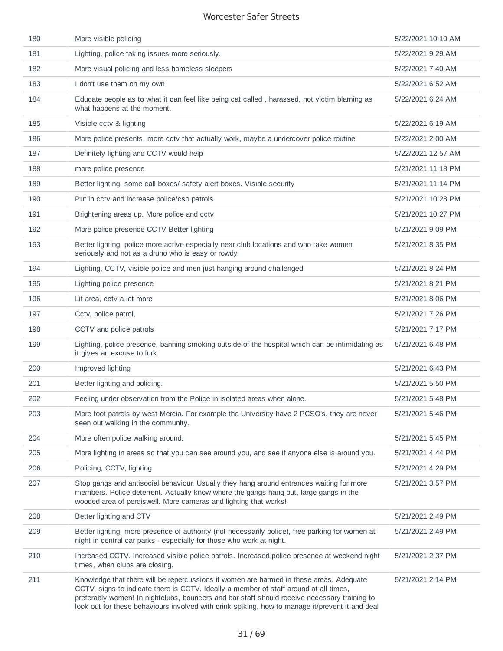| 180 | More visible policing                                                                                                                                                                                                                                                                                                                                                               | 5/22/2021 10:10 AM |
|-----|-------------------------------------------------------------------------------------------------------------------------------------------------------------------------------------------------------------------------------------------------------------------------------------------------------------------------------------------------------------------------------------|--------------------|
| 181 | Lighting, police taking issues more seriously.                                                                                                                                                                                                                                                                                                                                      | 5/22/2021 9:29 AM  |
| 182 | More visual policing and less homeless sleepers                                                                                                                                                                                                                                                                                                                                     | 5/22/2021 7:40 AM  |
| 183 | I don't use them on my own                                                                                                                                                                                                                                                                                                                                                          | 5/22/2021 6:52 AM  |
| 184 | Educate people as to what it can feel like being cat called, harassed, not victim blaming as<br>what happens at the moment.                                                                                                                                                                                                                                                         | 5/22/2021 6:24 AM  |
| 185 | Visible cctv & lighting                                                                                                                                                                                                                                                                                                                                                             | 5/22/2021 6:19 AM  |
| 186 | More police presents, more cctv that actually work, maybe a undercover police routine                                                                                                                                                                                                                                                                                               | 5/22/2021 2:00 AM  |
| 187 | Definitely lighting and CCTV would help                                                                                                                                                                                                                                                                                                                                             | 5/22/2021 12:57 AM |
| 188 | more police presence                                                                                                                                                                                                                                                                                                                                                                | 5/21/2021 11:18 PM |
| 189 | Better lighting, some call boxes/ safety alert boxes. Visible security                                                                                                                                                                                                                                                                                                              | 5/21/2021 11:14 PM |
| 190 | Put in cctv and increase police/cso patrols                                                                                                                                                                                                                                                                                                                                         | 5/21/2021 10:28 PM |
| 191 | Brightening areas up. More police and cctv                                                                                                                                                                                                                                                                                                                                          | 5/21/2021 10:27 PM |
| 192 | More police presence CCTV Better lighting                                                                                                                                                                                                                                                                                                                                           | 5/21/2021 9:09 PM  |
| 193 | Better lighting, police more active especially near club locations and who take women<br>seriously and not as a druno who is easy or rowdy.                                                                                                                                                                                                                                         | 5/21/2021 8:35 PM  |
| 194 | Lighting, CCTV, visible police and men just hanging around challenged                                                                                                                                                                                                                                                                                                               | 5/21/2021 8:24 PM  |
| 195 | Lighting police presence                                                                                                                                                                                                                                                                                                                                                            | 5/21/2021 8:21 PM  |
| 196 | Lit area, cctv a lot more                                                                                                                                                                                                                                                                                                                                                           | 5/21/2021 8:06 PM  |
| 197 | Cctv, police patrol,                                                                                                                                                                                                                                                                                                                                                                | 5/21/2021 7:26 PM  |
| 198 | CCTV and police patrols                                                                                                                                                                                                                                                                                                                                                             | 5/21/2021 7:17 PM  |
| 199 | Lighting, police presence, banning smoking outside of the hospital which can be intimidating as<br>it gives an excuse to lurk.                                                                                                                                                                                                                                                      | 5/21/2021 6:48 PM  |
| 200 | Improved lighting                                                                                                                                                                                                                                                                                                                                                                   | 5/21/2021 6:43 PM  |
| 201 | Better lighting and policing.                                                                                                                                                                                                                                                                                                                                                       | 5/21/2021 5:50 PM  |
| 202 | Feeling under observation from the Police in isolated areas when alone.                                                                                                                                                                                                                                                                                                             | 5/21/2021 5:48 PM  |
| 203 | More foot patrols by west Mercia. For example the University have 2 PCSO's, they are never<br>seen out walking in the community.                                                                                                                                                                                                                                                    | 5/21/2021 5:46 PM  |
| 204 | More often police walking around.                                                                                                                                                                                                                                                                                                                                                   | 5/21/2021 5:45 PM  |
| 205 | More lighting in areas so that you can see around you, and see if anyone else is around you.                                                                                                                                                                                                                                                                                        | 5/21/2021 4:44 PM  |
| 206 | Policing, CCTV, lighting                                                                                                                                                                                                                                                                                                                                                            | 5/21/2021 4:29 PM  |
| 207 | Stop gangs and antisocial behaviour. Usually they hang around entrances waiting for more<br>members. Police deterrent. Actually know where the gangs hang out, large gangs in the<br>wooded area of perdiswell. More cameras and lighting that works!                                                                                                                               | 5/21/2021 3:57 PM  |
| 208 | Better lighting and CTV                                                                                                                                                                                                                                                                                                                                                             | 5/21/2021 2:49 PM  |
| 209 | Better lighting, more presence of authority (not necessarily police), free parking for women at<br>night in central car parks - especially for those who work at night.                                                                                                                                                                                                             | 5/21/2021 2:49 PM  |
| 210 | Increased CCTV. Increased visible police patrols. Increased police presence at weekend night<br>times, when clubs are closing.                                                                                                                                                                                                                                                      | 5/21/2021 2:37 PM  |
| 211 | Knowledge that there will be repercussions if women are harmed in these areas. Adequate<br>CCTV, signs to indicate there is CCTV. Ideally a member of staff around at all times,<br>preferably women! In nightclubs, bouncers and bar staff should receive necessary training to<br>look out for these behaviours involved with drink spiking, how to manage it/prevent it and deal | 5/21/2021 2:14 PM  |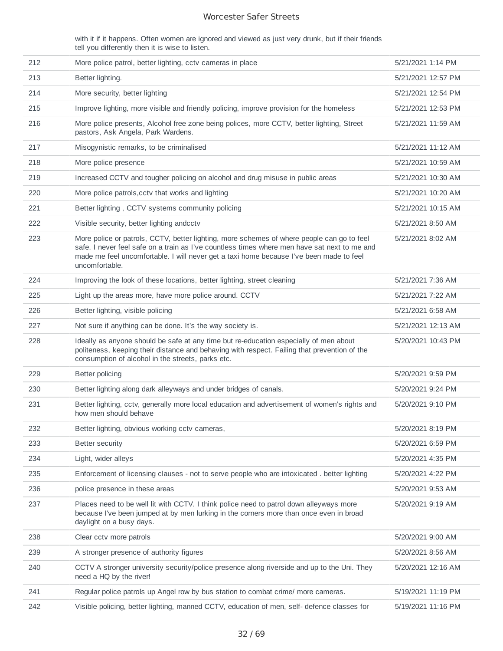with it if it happens. Often women are ignored and viewed as just very drunk, but if their friends tell you differently then it is wise to listen.

| 212 | More police patrol, better lighting, cctv cameras in place                                                                                                                                                                                                                                              | 5/21/2021 1:14 PM  |
|-----|---------------------------------------------------------------------------------------------------------------------------------------------------------------------------------------------------------------------------------------------------------------------------------------------------------|--------------------|
| 213 | Better lighting.                                                                                                                                                                                                                                                                                        | 5/21/2021 12:57 PM |
| 214 | More security, better lighting                                                                                                                                                                                                                                                                          | 5/21/2021 12:54 PM |
| 215 | Improve lighting, more visible and friendly policing, improve provision for the homeless                                                                                                                                                                                                                | 5/21/2021 12:53 PM |
| 216 | More police presents, Alcohol free zone being polices, more CCTV, better lighting, Street<br>pastors, Ask Angela, Park Wardens.                                                                                                                                                                         | 5/21/2021 11:59 AM |
| 217 | Misogynistic remarks, to be criminalised                                                                                                                                                                                                                                                                | 5/21/2021 11:12 AM |
| 218 | More police presence                                                                                                                                                                                                                                                                                    | 5/21/2021 10:59 AM |
| 219 | Increased CCTV and tougher policing on alcohol and drug misuse in public areas                                                                                                                                                                                                                          | 5/21/2021 10:30 AM |
| 220 | More police patrols, cctv that works and lighting                                                                                                                                                                                                                                                       | 5/21/2021 10:20 AM |
| 221 | Better lighting, CCTV systems community policing                                                                                                                                                                                                                                                        | 5/21/2021 10:15 AM |
| 222 | Visible security, better lighting andcctv                                                                                                                                                                                                                                                               | 5/21/2021 8:50 AM  |
| 223 | More police or patrols, CCTV, better lighting, more schemes of where people can go to feel<br>safe. I never feel safe on a train as I've countless times where men have sat next to me and<br>made me feel uncomfortable. I will never get a taxi home because I've been made to feel<br>uncomfortable. | 5/21/2021 8:02 AM  |
| 224 | Improving the look of these locations, better lighting, street cleaning                                                                                                                                                                                                                                 | 5/21/2021 7:36 AM  |
| 225 | Light up the areas more, have more police around. CCTV                                                                                                                                                                                                                                                  | 5/21/2021 7:22 AM  |
| 226 | Better lighting, visible policing                                                                                                                                                                                                                                                                       | 5/21/2021 6:58 AM  |
| 227 | Not sure if anything can be done. It's the way society is.                                                                                                                                                                                                                                              | 5/21/2021 12:13 AM |
| 228 | Ideally as anyone should be safe at any time but re-education especially of men about<br>politeness, keeping their distance and behaving with respect. Failing that prevention of the<br>consumption of alcohol in the streets, parks etc.                                                              | 5/20/2021 10:43 PM |
| 229 | Better policing                                                                                                                                                                                                                                                                                         | 5/20/2021 9:59 PM  |
| 230 | Better lighting along dark alleyways and under bridges of canals.                                                                                                                                                                                                                                       | 5/20/2021 9:24 PM  |
| 231 | Better lighting, cctv, generally more local education and advertisement of women's rights and<br>how men should behave                                                                                                                                                                                  | 5/20/2021 9:10 PM  |
| 232 | Better lighting, obvious working cctv cameras,                                                                                                                                                                                                                                                          | 5/20/2021 8:19 PM  |
| 233 | Better security                                                                                                                                                                                                                                                                                         | 5/20/2021 6:59 PM  |
| 234 | Light, wider alleys                                                                                                                                                                                                                                                                                     | 5/20/2021 4:35 PM  |
| 235 | Enforcement of licensing clauses - not to serve people who are intoxicated. better lighting                                                                                                                                                                                                             | 5/20/2021 4:22 PM  |
| 236 | police presence in these areas                                                                                                                                                                                                                                                                          | 5/20/2021 9:53 AM  |
| 237 | Places need to be well lit with CCTV. I think police need to patrol down alleyways more<br>because I've been jumped at by men lurking in the corners more than once even in broad<br>daylight on a busy days.                                                                                           | 5/20/2021 9:19 AM  |
| 238 | Clear cctv more patrols                                                                                                                                                                                                                                                                                 | 5/20/2021 9:00 AM  |
| 239 | A stronger presence of authority figures                                                                                                                                                                                                                                                                | 5/20/2021 8:56 AM  |
| 240 | CCTV A stronger university security/police presence along riverside and up to the Uni. They<br>need a HQ by the river!                                                                                                                                                                                  | 5/20/2021 12:16 AM |
| 241 | Regular police patrols up Angel row by bus station to combat crime/ more cameras.                                                                                                                                                                                                                       | 5/19/2021 11:19 PM |
|     |                                                                                                                                                                                                                                                                                                         |                    |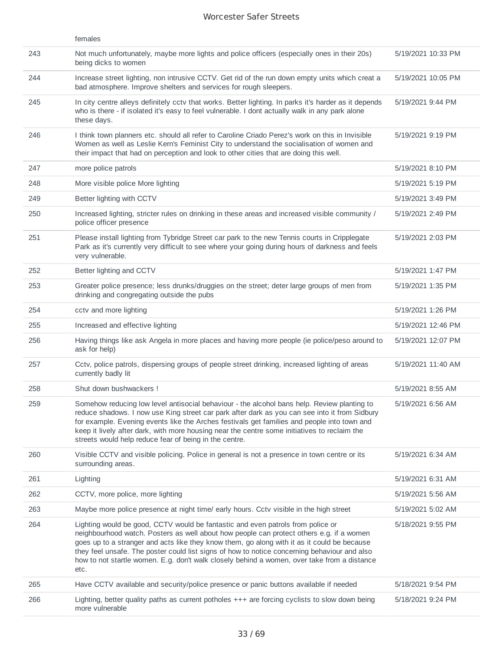|     | females                                                                                                                                                                                                                                                                                                                                                                                                                                                                           |                    |
|-----|-----------------------------------------------------------------------------------------------------------------------------------------------------------------------------------------------------------------------------------------------------------------------------------------------------------------------------------------------------------------------------------------------------------------------------------------------------------------------------------|--------------------|
| 243 | Not much unfortunately, maybe more lights and police officers (especially ones in their 20s)<br>being dicks to women                                                                                                                                                                                                                                                                                                                                                              | 5/19/2021 10:33 PM |
| 244 | Increase street lighting, non intrusive CCTV. Get rid of the run down empty units which creat a<br>bad atmosphere. Improve shelters and services for rough sleepers.                                                                                                                                                                                                                                                                                                              | 5/19/2021 10:05 PM |
| 245 | In city centre alleys definitely cctv that works. Better lighting. In parks it's harder as it depends<br>who is there - if isolated it's easy to feel vulnerable. I dont actually walk in any park alone<br>these days.                                                                                                                                                                                                                                                           | 5/19/2021 9:44 PM  |
| 246 | I think town planners etc. should all refer to Caroline Criado Perez's work on this in Invisible<br>Women as well as Leslie Kern's Feminist City to understand the socialisation of women and<br>their impact that had on perception and look to other cities that are doing this well.                                                                                                                                                                                           | 5/19/2021 9:19 PM  |
| 247 | more police patrols                                                                                                                                                                                                                                                                                                                                                                                                                                                               | 5/19/2021 8:10 PM  |
| 248 | More visible police More lighting                                                                                                                                                                                                                                                                                                                                                                                                                                                 | 5/19/2021 5:19 PM  |
| 249 | Better lighting with CCTV                                                                                                                                                                                                                                                                                                                                                                                                                                                         | 5/19/2021 3:49 PM  |
| 250 | Increased lighting, stricter rules on drinking in these areas and increased visible community /<br>police officer presence                                                                                                                                                                                                                                                                                                                                                        | 5/19/2021 2:49 PM  |
| 251 | Please install lighting from Tybridge Street car park to the new Tennis courts in Cripplegate<br>Park as it's currently very difficult to see where your going during hours of darkness and feels<br>very vulnerable.                                                                                                                                                                                                                                                             | 5/19/2021 2:03 PM  |
| 252 | Better lighting and CCTV                                                                                                                                                                                                                                                                                                                                                                                                                                                          | 5/19/2021 1:47 PM  |
| 253 | Greater police presence; less drunks/druggies on the street; deter large groups of men from<br>drinking and congregating outside the pubs                                                                                                                                                                                                                                                                                                                                         | 5/19/2021 1:35 PM  |
| 254 | cctv and more lighting                                                                                                                                                                                                                                                                                                                                                                                                                                                            | 5/19/2021 1:26 PM  |
| 255 | Increased and effective lighting                                                                                                                                                                                                                                                                                                                                                                                                                                                  | 5/19/2021 12:46 PM |
| 256 | Having things like ask Angela in more places and having more people (ie police/peso around to<br>ask for help)                                                                                                                                                                                                                                                                                                                                                                    | 5/19/2021 12:07 PM |
| 257 | Cctv, police patrols, dispersing groups of people street drinking, increased lighting of areas<br>currently badly lit                                                                                                                                                                                                                                                                                                                                                             | 5/19/2021 11:40 AM |
| 258 | Shut down bushwackers!                                                                                                                                                                                                                                                                                                                                                                                                                                                            | 5/19/2021 8:55 AM  |
| 259 | Somehow reducing low level antisocial behaviour - the alcohol bans help. Review planting to<br>reduce shadows. I now use King street car park after dark as you can see into it from Sidbury<br>for example. Evening events like the Arches festivals get families and people into town and<br>keep it lively after dark, with more housing near the centre some initiatives to reclaim the<br>streets would help reduce fear of being in the centre.                             | 5/19/2021 6:56 AM  |
| 260 | Visible CCTV and visible policing. Police in general is not a presence in town centre or its<br>surrounding areas.                                                                                                                                                                                                                                                                                                                                                                | 5/19/2021 6:34 AM  |
| 261 | Lighting                                                                                                                                                                                                                                                                                                                                                                                                                                                                          | 5/19/2021 6:31 AM  |
| 262 | CCTV, more police, more lighting                                                                                                                                                                                                                                                                                                                                                                                                                                                  | 5/19/2021 5:56 AM  |
| 263 | Maybe more police presence at night time/ early hours. Cctv visible in the high street                                                                                                                                                                                                                                                                                                                                                                                            | 5/19/2021 5:02 AM  |
| 264 | Lighting would be good, CCTV would be fantastic and even patrols from police or<br>neighbourhood watch. Posters as well about how people can protect others e.g. if a women<br>goes up to a stranger and acts like they know them, go along with it as it could be because<br>they feel unsafe. The poster could list signs of how to notice concerning behaviour and also<br>how to not startle women. E.g. don't walk closely behind a women, over take from a distance<br>etc. | 5/18/2021 9:55 PM  |
| 265 | Have CCTV available and security/police presence or panic buttons available if needed                                                                                                                                                                                                                                                                                                                                                                                             | 5/18/2021 9:54 PM  |
| 266 | Lighting, better quality paths as current potholes $++$ are forcing cyclists to slow down being<br>more vulnerable                                                                                                                                                                                                                                                                                                                                                                | 5/18/2021 9:24 PM  |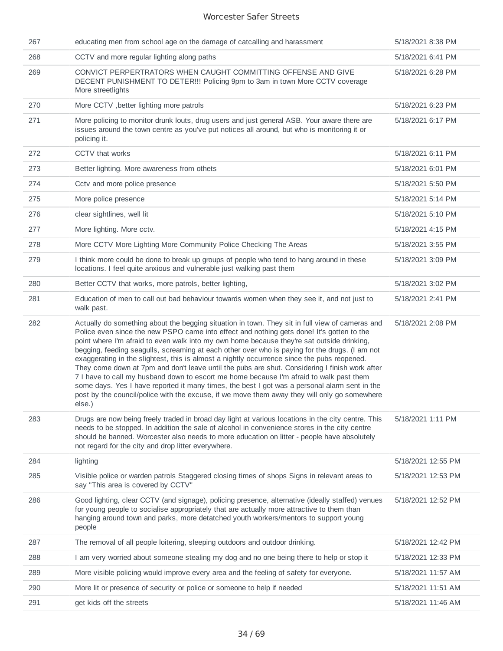| 267 | educating men from school age on the damage of catcalling and harassment                                                                                                                                                                                                                                                                                                                                                                                                                                                                                                                                                                                                                                                                                                                                                                                                                            | 5/18/2021 8:38 PM  |
|-----|-----------------------------------------------------------------------------------------------------------------------------------------------------------------------------------------------------------------------------------------------------------------------------------------------------------------------------------------------------------------------------------------------------------------------------------------------------------------------------------------------------------------------------------------------------------------------------------------------------------------------------------------------------------------------------------------------------------------------------------------------------------------------------------------------------------------------------------------------------------------------------------------------------|--------------------|
| 268 | CCTV and more regular lighting along paths                                                                                                                                                                                                                                                                                                                                                                                                                                                                                                                                                                                                                                                                                                                                                                                                                                                          | 5/18/2021 6:41 PM  |
| 269 | CONVICT PERPERTRATORS WHEN CAUGHT COMMITTING OFFENSE AND GIVE<br>DECENT PUNISHMENT TO DETER!!! Policing 9pm to 3am in town More CCTV coverage<br>More streetlights                                                                                                                                                                                                                                                                                                                                                                                                                                                                                                                                                                                                                                                                                                                                  | 5/18/2021 6:28 PM  |
| 270 | More CCTV, better lighting more patrols                                                                                                                                                                                                                                                                                                                                                                                                                                                                                                                                                                                                                                                                                                                                                                                                                                                             | 5/18/2021 6:23 PM  |
| 271 | More policing to monitor drunk louts, drug users and just general ASB. Your aware there are<br>issues around the town centre as you've put notices all around, but who is monitoring it or<br>policing it.                                                                                                                                                                                                                                                                                                                                                                                                                                                                                                                                                                                                                                                                                          | 5/18/2021 6:17 PM  |
| 272 | CCTV that works                                                                                                                                                                                                                                                                                                                                                                                                                                                                                                                                                                                                                                                                                                                                                                                                                                                                                     | 5/18/2021 6:11 PM  |
| 273 | Better lighting. More awareness from othets                                                                                                                                                                                                                                                                                                                                                                                                                                                                                                                                                                                                                                                                                                                                                                                                                                                         | 5/18/2021 6:01 PM  |
| 274 | Cctv and more police presence                                                                                                                                                                                                                                                                                                                                                                                                                                                                                                                                                                                                                                                                                                                                                                                                                                                                       | 5/18/2021 5:50 PM  |
| 275 | More police presence                                                                                                                                                                                                                                                                                                                                                                                                                                                                                                                                                                                                                                                                                                                                                                                                                                                                                | 5/18/2021 5:14 PM  |
| 276 | clear sightlines, well lit                                                                                                                                                                                                                                                                                                                                                                                                                                                                                                                                                                                                                                                                                                                                                                                                                                                                          | 5/18/2021 5:10 PM  |
| 277 | More lighting. More cctv.                                                                                                                                                                                                                                                                                                                                                                                                                                                                                                                                                                                                                                                                                                                                                                                                                                                                           | 5/18/2021 4:15 PM  |
| 278 | More CCTV More Lighting More Community Police Checking The Areas                                                                                                                                                                                                                                                                                                                                                                                                                                                                                                                                                                                                                                                                                                                                                                                                                                    | 5/18/2021 3:55 PM  |
| 279 | I think more could be done to break up groups of people who tend to hang around in these<br>locations. I feel quite anxious and vulnerable just walking past them                                                                                                                                                                                                                                                                                                                                                                                                                                                                                                                                                                                                                                                                                                                                   | 5/18/2021 3:09 PM  |
| 280 | Better CCTV that works, more patrols, better lighting,                                                                                                                                                                                                                                                                                                                                                                                                                                                                                                                                                                                                                                                                                                                                                                                                                                              | 5/18/2021 3:02 PM  |
| 281 | Education of men to call out bad behaviour towards women when they see it, and not just to<br>walk past.                                                                                                                                                                                                                                                                                                                                                                                                                                                                                                                                                                                                                                                                                                                                                                                            | 5/18/2021 2:41 PM  |
| 282 | Actually do something about the begging situation in town. They sit in full view of cameras and<br>Police even since the new PSPO came into effect and nothing gets done! It's gotten to the<br>point where I'm afraid to even walk into my own home because they're sat outside drinking,<br>begging, feeding seagulls, screaming at each other over who is paying for the drugs. (I am not<br>exaggerating in the slightest, this is almost a nightly occurrence since the pubs reopened.<br>They come down at 7pm and don't leave until the pubs are shut. Considering I finish work after<br>7 I have to call my husband down to escort me home because I'm afraid to walk past them<br>some days. Yes I have reported it many times, the best I got was a personal alarm sent in the<br>post by the council/police with the excuse, if we move them away they will only go somewhere<br>else.) | 5/18/2021 2:08 PM  |
| 283 | Drugs are now being freely traded in broad day light at various locations in the city centre. This<br>needs to be stopped. In addition the sale of alcohol in convenience stores in the city centre<br>should be banned. Worcester also needs to more education on litter - people have absolutely<br>not regard for the city and drop litter everywhere.                                                                                                                                                                                                                                                                                                                                                                                                                                                                                                                                           | 5/18/2021 1:11 PM  |
| 284 | lighting                                                                                                                                                                                                                                                                                                                                                                                                                                                                                                                                                                                                                                                                                                                                                                                                                                                                                            | 5/18/2021 12:55 PM |
| 285 | Visible police or warden patrols Staggered closing times of shops Signs in relevant areas to<br>say "This area is covered by CCTV"                                                                                                                                                                                                                                                                                                                                                                                                                                                                                                                                                                                                                                                                                                                                                                  | 5/18/2021 12:53 PM |
| 286 | Good lighting, clear CCTV (and signage), policing presence, alternative (ideally staffed) venues<br>for young people to socialise appropriately that are actually more attractive to them than<br>hanging around town and parks, more detatched youth workers/mentors to support young<br>people                                                                                                                                                                                                                                                                                                                                                                                                                                                                                                                                                                                                    | 5/18/2021 12:52 PM |
| 287 | The removal of all people loitering, sleeping outdoors and outdoor drinking.                                                                                                                                                                                                                                                                                                                                                                                                                                                                                                                                                                                                                                                                                                                                                                                                                        | 5/18/2021 12:42 PM |
| 288 | I am very worried about someone stealing my dog and no one being there to help or stop it                                                                                                                                                                                                                                                                                                                                                                                                                                                                                                                                                                                                                                                                                                                                                                                                           | 5/18/2021 12:33 PM |
| 289 | More visible policing would improve every area and the feeling of safety for everyone.                                                                                                                                                                                                                                                                                                                                                                                                                                                                                                                                                                                                                                                                                                                                                                                                              | 5/18/2021 11:57 AM |
| 290 | More lit or presence of security or police or someone to help if needed                                                                                                                                                                                                                                                                                                                                                                                                                                                                                                                                                                                                                                                                                                                                                                                                                             | 5/18/2021 11:51 AM |
| 291 | get kids off the streets                                                                                                                                                                                                                                                                                                                                                                                                                                                                                                                                                                                                                                                                                                                                                                                                                                                                            | 5/18/2021 11:46 AM |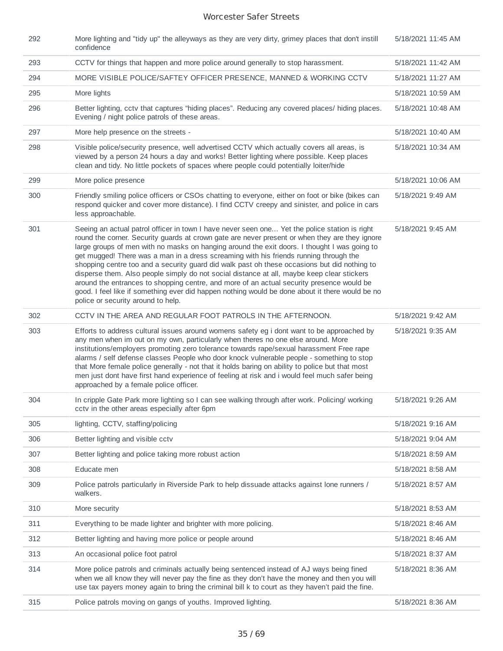| 292 | More lighting and "tidy up" the alleyways as they are very dirty, grimey places that don't instill<br>confidence                                                                                                                                                                                                                                                                                                                                                                                                                                                                                                                                                                                                                                                                                                             | 5/18/2021 11:45 AM |
|-----|------------------------------------------------------------------------------------------------------------------------------------------------------------------------------------------------------------------------------------------------------------------------------------------------------------------------------------------------------------------------------------------------------------------------------------------------------------------------------------------------------------------------------------------------------------------------------------------------------------------------------------------------------------------------------------------------------------------------------------------------------------------------------------------------------------------------------|--------------------|
| 293 | CCTV for things that happen and more police around generally to stop harassment.                                                                                                                                                                                                                                                                                                                                                                                                                                                                                                                                                                                                                                                                                                                                             | 5/18/2021 11:42 AM |
| 294 | MORE VISIBLE POLICE/SAFTEY OFFICER PRESENCE, MANNED & WORKING CCTV                                                                                                                                                                                                                                                                                                                                                                                                                                                                                                                                                                                                                                                                                                                                                           | 5/18/2021 11:27 AM |
| 295 | More lights                                                                                                                                                                                                                                                                                                                                                                                                                                                                                                                                                                                                                                                                                                                                                                                                                  | 5/18/2021 10:59 AM |
| 296 | Better lighting, cctv that captures "hiding places". Reducing any covered places/ hiding places.<br>Evening / night police patrols of these areas.                                                                                                                                                                                                                                                                                                                                                                                                                                                                                                                                                                                                                                                                           | 5/18/2021 10:48 AM |
| 297 | More help presence on the streets -                                                                                                                                                                                                                                                                                                                                                                                                                                                                                                                                                                                                                                                                                                                                                                                          | 5/18/2021 10:40 AM |
| 298 | Visible police/security presence, well advertised CCTV which actually covers all areas, is<br>viewed by a person 24 hours a day and works! Better lighting where possible. Keep places<br>clean and tidy. No little pockets of spaces where people could potentially loiter/hide                                                                                                                                                                                                                                                                                                                                                                                                                                                                                                                                             | 5/18/2021 10:34 AM |
| 299 | More police presence                                                                                                                                                                                                                                                                                                                                                                                                                                                                                                                                                                                                                                                                                                                                                                                                         | 5/18/2021 10:06 AM |
| 300 | Friendly smiling police officers or CSOs chatting to everyone, either on foot or bike (bikes can<br>respond quicker and cover more distance). I find CCTV creepy and sinister, and police in cars<br>less approachable.                                                                                                                                                                                                                                                                                                                                                                                                                                                                                                                                                                                                      | 5/18/2021 9:49 AM  |
| 301 | Seeing an actual patrol officer in town I have never seen one Yet the police station is right<br>round the corner. Security guards at crown gate are never present or when they are they ignore<br>large groups of men with no masks on hanging around the exit doors. I thought I was going to<br>get mugged! There was a man in a dress screaming with his friends running through the<br>shopping centre too and a security guard did walk past oh these occasions but did nothing to<br>disperse them. Also people simply do not social distance at all, maybe keep clear stickers<br>around the entrances to shopping centre, and more of an actual security presence would be<br>good. I feel like if something ever did happen nothing would be done about it there would be no<br>police or security around to help. | 5/18/2021 9:45 AM  |
| 302 | CCTV IN THE AREA AND REGULAR FOOT PATROLS IN THE AFTERNOON.                                                                                                                                                                                                                                                                                                                                                                                                                                                                                                                                                                                                                                                                                                                                                                  | 5/18/2021 9:42 AM  |
| 303 | Efforts to address cultural issues around womens safety eg i dont want to be approached by<br>any men when im out on my own, particularly when theres no one else around. More<br>institutions/employers promoting zero tolerance towards rape/sexual harassment Free rape<br>alarms / self defense classes People who door knock vulnerable people - something to stop<br>that More female police generally - not that it holds baring on ability to police but that most<br>men just dont have first hand experience of feeling at risk and i would feel much safer being<br>approached by a female police officer.                                                                                                                                                                                                        | 5/18/2021 9:35 AM  |
| 304 | In cripple Gate Park more lighting so I can see walking through after work. Policing/ working<br>cctv in the other areas especially after 6pm                                                                                                                                                                                                                                                                                                                                                                                                                                                                                                                                                                                                                                                                                | 5/18/2021 9:26 AM  |
| 305 | lighting, CCTV, staffing/policing                                                                                                                                                                                                                                                                                                                                                                                                                                                                                                                                                                                                                                                                                                                                                                                            | 5/18/2021 9:16 AM  |
| 306 | Better lighting and visible cctv                                                                                                                                                                                                                                                                                                                                                                                                                                                                                                                                                                                                                                                                                                                                                                                             | 5/18/2021 9:04 AM  |
| 307 | Better lighting and police taking more robust action                                                                                                                                                                                                                                                                                                                                                                                                                                                                                                                                                                                                                                                                                                                                                                         | 5/18/2021 8:59 AM  |
| 308 | Educate men                                                                                                                                                                                                                                                                                                                                                                                                                                                                                                                                                                                                                                                                                                                                                                                                                  | 5/18/2021 8:58 AM  |
| 309 | Police patrols particularly in Riverside Park to help dissuade attacks against lone runners /<br>walkers.                                                                                                                                                                                                                                                                                                                                                                                                                                                                                                                                                                                                                                                                                                                    | 5/18/2021 8:57 AM  |
| 310 | More security                                                                                                                                                                                                                                                                                                                                                                                                                                                                                                                                                                                                                                                                                                                                                                                                                | 5/18/2021 8:53 AM  |
| 311 | Everything to be made lighter and brighter with more policing.                                                                                                                                                                                                                                                                                                                                                                                                                                                                                                                                                                                                                                                                                                                                                               | 5/18/2021 8:46 AM  |
| 312 | Better lighting and having more police or people around                                                                                                                                                                                                                                                                                                                                                                                                                                                                                                                                                                                                                                                                                                                                                                      | 5/18/2021 8:46 AM  |
| 313 | An occasional police foot patrol                                                                                                                                                                                                                                                                                                                                                                                                                                                                                                                                                                                                                                                                                                                                                                                             | 5/18/2021 8:37 AM  |
| 314 | More police patrols and criminals actually being sentenced instead of AJ ways being fined<br>when we all know they will never pay the fine as they don't have the money and then you will<br>use tax payers money again to bring the criminal bill k to court as they haven't paid the fine.                                                                                                                                                                                                                                                                                                                                                                                                                                                                                                                                 | 5/18/2021 8:36 AM  |
| 315 | Police patrols moving on gangs of youths. Improved lighting.                                                                                                                                                                                                                                                                                                                                                                                                                                                                                                                                                                                                                                                                                                                                                                 | 5/18/2021 8:36 AM  |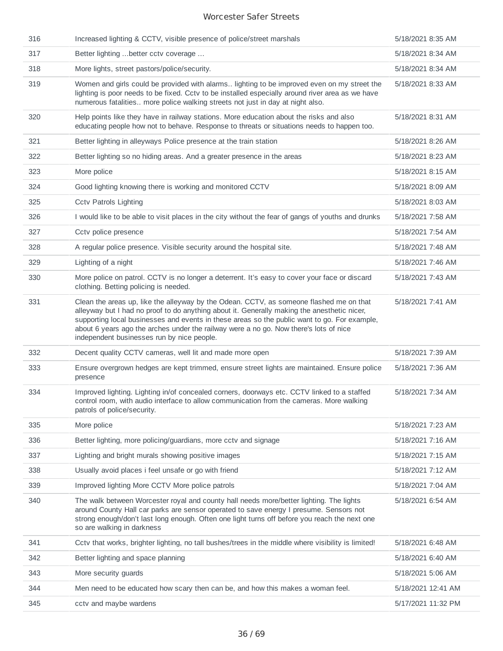| 316 | Increased lighting & CCTV, visible presence of police/street marshals                                                                                                                                                                                                                                                                                                                                                         | 5/18/2021 8:35 AM  |
|-----|-------------------------------------------------------------------------------------------------------------------------------------------------------------------------------------------------------------------------------------------------------------------------------------------------------------------------------------------------------------------------------------------------------------------------------|--------------------|
| 317 | Better lighting  better cctv coverage                                                                                                                                                                                                                                                                                                                                                                                         | 5/18/2021 8:34 AM  |
| 318 | More lights, street pastors/police/security.                                                                                                                                                                                                                                                                                                                                                                                  | 5/18/2021 8:34 AM  |
| 319 | Women and girls could be provided with alarms lighting to be improved even on my street the<br>lighting is poor needs to be fixed. Cctv to be installed especially around river area as we have<br>numerous fatalities more police walking streets not just in day at night also.                                                                                                                                             | 5/18/2021 8:33 AM  |
| 320 | Help points like they have in railway stations. More education about the risks and also<br>educating people how not to behave. Response to threats or situations needs to happen too.                                                                                                                                                                                                                                         | 5/18/2021 8:31 AM  |
| 321 | Better lighting in alleyways Police presence at the train station                                                                                                                                                                                                                                                                                                                                                             | 5/18/2021 8:26 AM  |
| 322 | Better lighting so no hiding areas. And a greater presence in the areas                                                                                                                                                                                                                                                                                                                                                       | 5/18/2021 8:23 AM  |
| 323 | More police                                                                                                                                                                                                                                                                                                                                                                                                                   | 5/18/2021 8:15 AM  |
| 324 | Good lighting knowing there is working and monitored CCTV                                                                                                                                                                                                                                                                                                                                                                     | 5/18/2021 8:09 AM  |
| 325 | <b>Cctv Patrols Lighting</b>                                                                                                                                                                                                                                                                                                                                                                                                  | 5/18/2021 8:03 AM  |
| 326 | I would like to be able to visit places in the city without the fear of gangs of youths and drunks                                                                                                                                                                                                                                                                                                                            | 5/18/2021 7:58 AM  |
| 327 | Cctv police presence                                                                                                                                                                                                                                                                                                                                                                                                          | 5/18/2021 7:54 AM  |
| 328 | A regular police presence. Visible security around the hospital site.                                                                                                                                                                                                                                                                                                                                                         | 5/18/2021 7:48 AM  |
| 329 | Lighting of a night                                                                                                                                                                                                                                                                                                                                                                                                           | 5/18/2021 7:46 AM  |
| 330 | More police on patrol. CCTV is no longer a deterrent. It's easy to cover your face or discard<br>clothing. Betting policing is needed.                                                                                                                                                                                                                                                                                        | 5/18/2021 7:43 AM  |
| 331 | Clean the areas up, like the alleyway by the Odean. CCTV, as someone flashed me on that<br>alleyway but I had no proof to do anything about it. Generally making the anesthetic nicer,<br>supporting local businesses and events in these areas so the public want to go. For example,<br>about 6 years ago the arches under the railway were a no go. Now there's lots of nice<br>independent businesses run by nice people. | 5/18/2021 7:41 AM  |
| 332 | Decent quality CCTV cameras, well lit and made more open                                                                                                                                                                                                                                                                                                                                                                      | 5/18/2021 7:39 AM  |
| 333 | Ensure overgrown hedges are kept trimmed, ensure street lights are maintained. Ensure police<br>presence                                                                                                                                                                                                                                                                                                                      | 5/18/2021 7:36 AM  |
| 334 | Improved lighting. Lighting in/of concealed corners, doorways etc. CCTV linked to a staffed<br>control room, with audio interface to allow communication from the cameras. More walking<br>patrols of police/security.                                                                                                                                                                                                        | 5/18/2021 7:34 AM  |
| 335 | More police                                                                                                                                                                                                                                                                                                                                                                                                                   | 5/18/2021 7:23 AM  |
| 336 | Better lighting, more policing/guardians, more cctv and signage                                                                                                                                                                                                                                                                                                                                                               | 5/18/2021 7:16 AM  |
| 337 | Lighting and bright murals showing positive images                                                                                                                                                                                                                                                                                                                                                                            | 5/18/2021 7:15 AM  |
| 338 | Usually avoid places i feel unsafe or go with friend                                                                                                                                                                                                                                                                                                                                                                          | 5/18/2021 7:12 AM  |
| 339 | Improved lighting More CCTV More police patrols                                                                                                                                                                                                                                                                                                                                                                               | 5/18/2021 7:04 AM  |
| 340 | The walk between Worcester royal and county hall needs more/better lighting. The lights<br>around County Hall car parks are sensor operated to save energy I presume. Sensors not<br>strong enough/don't last long enough. Often one light turns off before you reach the next one<br>so are walking in darkness                                                                                                              | 5/18/2021 6:54 AM  |
| 341 | Cctv that works, brighter lighting, no tall bushes/trees in the middle where visibility is limited!                                                                                                                                                                                                                                                                                                                           | 5/18/2021 6:48 AM  |
| 342 | Better lighting and space planning                                                                                                                                                                                                                                                                                                                                                                                            | 5/18/2021 6:40 AM  |
| 343 | More security guards                                                                                                                                                                                                                                                                                                                                                                                                          | 5/18/2021 5:06 AM  |
| 344 | Men need to be educated how scary then can be, and how this makes a woman feel.                                                                                                                                                                                                                                                                                                                                               | 5/18/2021 12:41 AM |
| 345 | cctv and maybe wardens                                                                                                                                                                                                                                                                                                                                                                                                        | 5/17/2021 11:32 PM |
|     |                                                                                                                                                                                                                                                                                                                                                                                                                               |                    |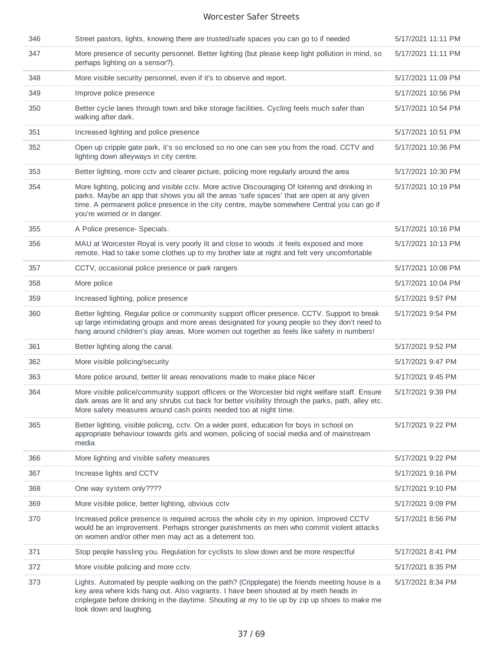| 346 | Street pastors, lights, knowing there are trusted/safe spaces you can go to if needed                                                                                                                                                                                                                                       | 5/17/2021 11:11 PM |
|-----|-----------------------------------------------------------------------------------------------------------------------------------------------------------------------------------------------------------------------------------------------------------------------------------------------------------------------------|--------------------|
| 347 | More presence of security personnel. Better lighting (but please keep light pollution in mind, so<br>perhaps lighting on a sensor?).                                                                                                                                                                                        | 5/17/2021 11:11 PM |
| 348 | More visible security personnel, even if it's to observe and report.                                                                                                                                                                                                                                                        | 5/17/2021 11:09 PM |
| 349 | Improve police presence                                                                                                                                                                                                                                                                                                     | 5/17/2021 10:56 PM |
| 350 | Better cycle lanes through town and bike storage facilities. Cycling feels much safer than<br>walking after dark.                                                                                                                                                                                                           | 5/17/2021 10:54 PM |
| 351 | Increased lighting and police presence                                                                                                                                                                                                                                                                                      | 5/17/2021 10:51 PM |
| 352 | Open up cripple gate park, it's so enclosed so no one can see you from the road. CCTV and<br>lighting down alleyways in city centre.                                                                                                                                                                                        | 5/17/2021 10:36 PM |
| 353 | Better lighting, more cctv and clearer picture, policing more regularly around the area                                                                                                                                                                                                                                     | 5/17/2021 10:30 PM |
| 354 | More lighting, policing and visible cctv. More active Discouraging Of loitering and drinking in<br>parks. Maybe an app that shows you all the areas 'safe spaces' that are open at any given<br>time. A permanent police presence in the city centre, maybe somewhere Central you can go if<br>you're worried or in danger. | 5/17/2021 10:19 PM |
| 355 | A Police presence- Specials.                                                                                                                                                                                                                                                                                                | 5/17/2021 10:16 PM |
| 356 | MAU at Worcester Royal is very poorly lit and close to woods . it feels exposed and more<br>remote. Had to take some clothes up to my brother late at night and felt very uncomfortable                                                                                                                                     | 5/17/2021 10:13 PM |
| 357 | CCTV, occasional police presence or park rangers                                                                                                                                                                                                                                                                            | 5/17/2021 10:08 PM |
| 358 | More police                                                                                                                                                                                                                                                                                                                 | 5/17/2021 10:04 PM |
| 359 | Increased lighting, police presence                                                                                                                                                                                                                                                                                         | 5/17/2021 9:57 PM  |
| 360 | Better lighting. Regular police or community support officer presence. CCTV. Support to break<br>up large intimidating groups and more areas designated for young people so they don't need to<br>hang around children's play areas. More women out together as feels like safety in numbers!                               | 5/17/2021 9:54 PM  |
| 361 | Better lighting along the canal.                                                                                                                                                                                                                                                                                            | 5/17/2021 9:52 PM  |
| 362 | More visible policing/security                                                                                                                                                                                                                                                                                              | 5/17/2021 9:47 PM  |
| 363 | More police around, better lit areas renovations made to make place Nicer                                                                                                                                                                                                                                                   | 5/17/2021 9:45 PM  |
| 364 | More visible police/community support officers or the Worcester bid night welfare staff. Ensure<br>dark areas are lit and any shrubs cut back for better visibility through the parks, path, alley etc.<br>More safety measures around cash points needed too at night time.                                                | 5/17/2021 9:39 PM  |
| 365 | Better lighting, visible policing, cctv. On a wider point, education for boys in school on<br>appropriate behaviour towards girls and women, policing of social media and of mainstream<br>media                                                                                                                            | 5/17/2021 9:22 PM  |
| 366 | More lighting and visible safety measures                                                                                                                                                                                                                                                                                   | 5/17/2021 9:22 PM  |
| 367 | Increase lights and CCTV                                                                                                                                                                                                                                                                                                    | 5/17/2021 9:16 PM  |
| 368 | One way system only????                                                                                                                                                                                                                                                                                                     | 5/17/2021 9:10 PM  |
| 369 | More visible police, better lighting, obvious cctv                                                                                                                                                                                                                                                                          | 5/17/2021 9:09 PM  |
| 370 | Increased police presence is required across the whole city in my opinion. Improved CCTV<br>would be an improvement. Perhaps stronger punishments on men who commit violent attacks<br>on women and/or other men may act as a deterrent too.                                                                                | 5/17/2021 8:56 PM  |
| 371 | Stop people hassling you. Regulation for cyclists to slow down and be more respectful                                                                                                                                                                                                                                       | 5/17/2021 8:41 PM  |
| 372 | More visible policing and more cctv.                                                                                                                                                                                                                                                                                        | 5/17/2021 8:35 PM  |
| 373 | Lights. Automated by people walking on the path? (Cripplegate) the friends meeting house is a<br>key area where kids hang out. Also vagrants. I have been shouted at by meth heads in<br>criplegate before drinking in the daytime. Shouting at my to tie up by zip up shoes to make me<br>look down and laughing.          | 5/17/2021 8:34 PM  |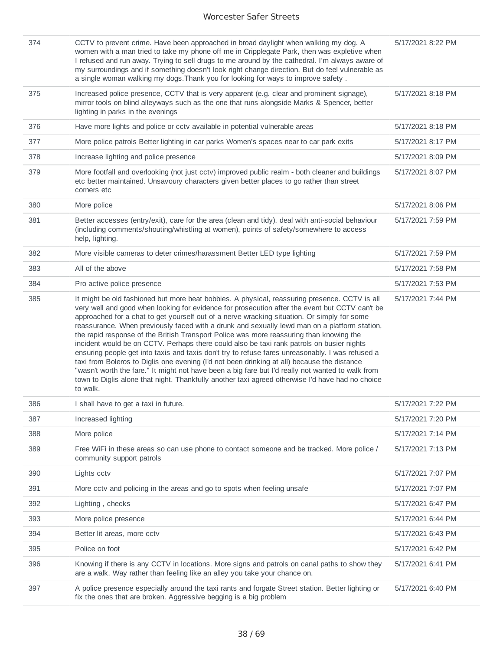| 374 | CCTV to prevent crime. Have been approached in broad daylight when walking my dog. A<br>women with a man tried to take my phone off me in Cripplegate Park, then was expletive when<br>I refused and run away. Trying to sell drugs to me around by the cathedral. I'm always aware of<br>my surroundings and if something doesn't look right change direction. But do feel vulnerable as<br>a single woman walking my dogs. Thank you for looking for ways to improve safety.                                                                                                                                                                                                                                                                                                                                                                                                                                                                                                                                 | 5/17/2021 8:22 PM |
|-----|----------------------------------------------------------------------------------------------------------------------------------------------------------------------------------------------------------------------------------------------------------------------------------------------------------------------------------------------------------------------------------------------------------------------------------------------------------------------------------------------------------------------------------------------------------------------------------------------------------------------------------------------------------------------------------------------------------------------------------------------------------------------------------------------------------------------------------------------------------------------------------------------------------------------------------------------------------------------------------------------------------------|-------------------|
| 375 | Increased police presence, CCTV that is very apparent (e.g. clear and prominent signage),<br>mirror tools on blind alleyways such as the one that runs alongside Marks & Spencer, better<br>lighting in parks in the evenings                                                                                                                                                                                                                                                                                                                                                                                                                                                                                                                                                                                                                                                                                                                                                                                  | 5/17/2021 8:18 PM |
| 376 | Have more lights and police or cctv available in potential vulnerable areas                                                                                                                                                                                                                                                                                                                                                                                                                                                                                                                                                                                                                                                                                                                                                                                                                                                                                                                                    | 5/17/2021 8:18 PM |
| 377 | More police patrols Better lighting in car parks Women's spaces near to car park exits                                                                                                                                                                                                                                                                                                                                                                                                                                                                                                                                                                                                                                                                                                                                                                                                                                                                                                                         | 5/17/2021 8:17 PM |
| 378 | Increase lighting and police presence                                                                                                                                                                                                                                                                                                                                                                                                                                                                                                                                                                                                                                                                                                                                                                                                                                                                                                                                                                          | 5/17/2021 8:09 PM |
| 379 | More footfall and overlooking (not just cctv) improved public realm - both cleaner and buildings<br>etc better maintained. Unsavoury characters given better places to go rather than street<br>corners etc                                                                                                                                                                                                                                                                                                                                                                                                                                                                                                                                                                                                                                                                                                                                                                                                    | 5/17/2021 8:07 PM |
| 380 | More police                                                                                                                                                                                                                                                                                                                                                                                                                                                                                                                                                                                                                                                                                                                                                                                                                                                                                                                                                                                                    | 5/17/2021 8:06 PM |
| 381 | Better accesses (entry/exit), care for the area (clean and tidy), deal with anti-social behaviour<br>(including comments/shouting/whistling at women), points of safety/somewhere to access<br>help, lighting.                                                                                                                                                                                                                                                                                                                                                                                                                                                                                                                                                                                                                                                                                                                                                                                                 | 5/17/2021 7:59 PM |
| 382 | More visible cameras to deter crimes/harassment Better LED type lighting                                                                                                                                                                                                                                                                                                                                                                                                                                                                                                                                                                                                                                                                                                                                                                                                                                                                                                                                       | 5/17/2021 7:59 PM |
| 383 | All of the above                                                                                                                                                                                                                                                                                                                                                                                                                                                                                                                                                                                                                                                                                                                                                                                                                                                                                                                                                                                               | 5/17/2021 7:58 PM |
| 384 | Pro active police presence                                                                                                                                                                                                                                                                                                                                                                                                                                                                                                                                                                                                                                                                                                                                                                                                                                                                                                                                                                                     | 5/17/2021 7:53 PM |
| 385 | It might be old fashioned but more beat bobbies. A physical, reassuring presence. CCTV is all<br>very well and good when looking for evidence for prosecution after the event but CCTV can't be<br>approached for a chat to get yourself out of a nerve wracking situation. Or simply for some<br>reassurance. When previously faced with a drunk and sexually lewd man on a platform station,<br>the rapid response of the British Transport Police was more reassuring than knowing the<br>incident would be on CCTV. Perhaps there could also be taxi rank patrols on busier nights<br>ensuring people get into taxis and taxis don't try to refuse fares unreasonably. I was refused a<br>taxi from Boleros to Diglis one evening (I'd not been drinking at all) because the distance<br>"wasn't worth the fare." It might not have been a big fare but I'd really not wanted to walk from<br>town to Diglis alone that night. Thankfully another taxi agreed otherwise I'd have had no choice<br>to walk. | 5/17/2021 7:44 PM |
| 386 | I shall have to get a taxi in future.                                                                                                                                                                                                                                                                                                                                                                                                                                                                                                                                                                                                                                                                                                                                                                                                                                                                                                                                                                          | 5/17/2021 7:22 PM |
| 387 | Increased lighting                                                                                                                                                                                                                                                                                                                                                                                                                                                                                                                                                                                                                                                                                                                                                                                                                                                                                                                                                                                             | 5/17/2021 7:20 PM |
| 388 | More police                                                                                                                                                                                                                                                                                                                                                                                                                                                                                                                                                                                                                                                                                                                                                                                                                                                                                                                                                                                                    | 5/17/2021 7:14 PM |
| 389 | Free WiFi in these areas so can use phone to contact someone and be tracked. More police /<br>community support patrols                                                                                                                                                                                                                                                                                                                                                                                                                                                                                                                                                                                                                                                                                                                                                                                                                                                                                        | 5/17/2021 7:13 PM |
| 390 | Lights cctv                                                                                                                                                                                                                                                                                                                                                                                                                                                                                                                                                                                                                                                                                                                                                                                                                                                                                                                                                                                                    | 5/17/2021 7:07 PM |
| 391 | More cctv and policing in the areas and go to spots when feeling unsafe                                                                                                                                                                                                                                                                                                                                                                                                                                                                                                                                                                                                                                                                                                                                                                                                                                                                                                                                        | 5/17/2021 7:07 PM |
| 392 | Lighting, checks                                                                                                                                                                                                                                                                                                                                                                                                                                                                                                                                                                                                                                                                                                                                                                                                                                                                                                                                                                                               | 5/17/2021 6:47 PM |
| 393 | More police presence                                                                                                                                                                                                                                                                                                                                                                                                                                                                                                                                                                                                                                                                                                                                                                                                                                                                                                                                                                                           | 5/17/2021 6:44 PM |
| 394 | Better lit areas, more cctv                                                                                                                                                                                                                                                                                                                                                                                                                                                                                                                                                                                                                                                                                                                                                                                                                                                                                                                                                                                    | 5/17/2021 6:43 PM |
| 395 | Police on foot                                                                                                                                                                                                                                                                                                                                                                                                                                                                                                                                                                                                                                                                                                                                                                                                                                                                                                                                                                                                 | 5/17/2021 6:42 PM |
| 396 | Knowing if there is any CCTV in locations. More signs and patrols on canal paths to show they<br>are a walk. Way rather than feeling like an alley you take your chance on.                                                                                                                                                                                                                                                                                                                                                                                                                                                                                                                                                                                                                                                                                                                                                                                                                                    | 5/17/2021 6:41 PM |
| 397 | A police presence especially around the taxi rants and forgate Street station. Better lighting or<br>fix the ones that are broken. Aggressive begging is a big problem                                                                                                                                                                                                                                                                                                                                                                                                                                                                                                                                                                                                                                                                                                                                                                                                                                         | 5/17/2021 6:40 PM |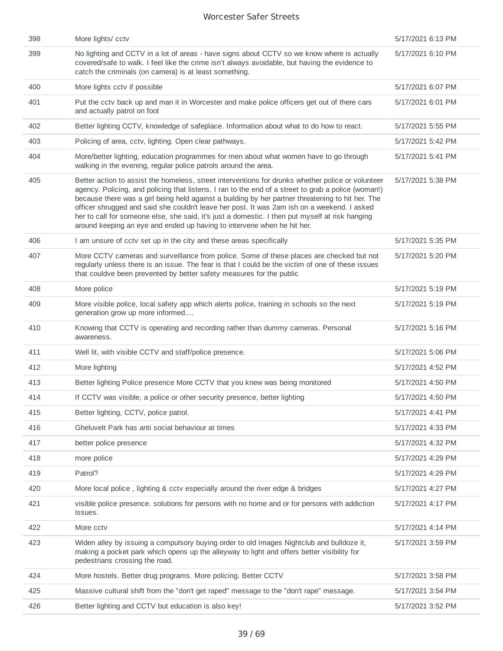| 398 | More lights/ cctv                                                                                                                                                                                                                                                                                                                                                                                                                                                                                                                                                                          | 5/17/2021 6:13 PM |
|-----|--------------------------------------------------------------------------------------------------------------------------------------------------------------------------------------------------------------------------------------------------------------------------------------------------------------------------------------------------------------------------------------------------------------------------------------------------------------------------------------------------------------------------------------------------------------------------------------------|-------------------|
| 399 | No lighting and CCTV in a lot of areas - have signs about CCTV so we know where is actually<br>covered/safe to walk. I feel like the crime isn't always avoidable, but having the evidence to<br>catch the criminals (on camera) is at least something.                                                                                                                                                                                                                                                                                                                                    | 5/17/2021 6:10 PM |
| 400 | More lights cctv if possible                                                                                                                                                                                                                                                                                                                                                                                                                                                                                                                                                               | 5/17/2021 6:07 PM |
| 401 | Put the cctv back up and man it in Worcester and make police officers get out of there cars<br>and actually patrol on foot                                                                                                                                                                                                                                                                                                                                                                                                                                                                 | 5/17/2021 6:01 PM |
| 402 | Better lighting CCTV, knowledge of safeplace. Information about what to do how to react.                                                                                                                                                                                                                                                                                                                                                                                                                                                                                                   | 5/17/2021 5:55 PM |
| 403 | Policing of area, cctv, lighting. Open clear pathways.                                                                                                                                                                                                                                                                                                                                                                                                                                                                                                                                     | 5/17/2021 5:42 PM |
| 404 | More/better lighting, education programmes for men about what women have to go through<br>walking in the evening, regular police patrols around the area.                                                                                                                                                                                                                                                                                                                                                                                                                                  | 5/17/2021 5:41 PM |
| 405 | Better action to assist the homeless, street interventions for drunks whether police or volunteer<br>agency. Policing, and policing that listens. I ran to the end of a street to grab a police (woman!)<br>because there was a girl being held against a building by her partner threatening to hit her. The<br>officer shrugged and said she couldn't leave her post. It was 2am ish on a weekend. I asked<br>her to call for someone else, she said, it's just a domestic. I then put myself at risk hanging<br>around keeping an eye and ended up having to intervene when he hit her. | 5/17/2021 5:38 PM |
| 406 | I am unsure of cctv set up in the city and these areas specifically                                                                                                                                                                                                                                                                                                                                                                                                                                                                                                                        | 5/17/2021 5:35 PM |
| 407 | More CCTV cameras and surveillance from police. Some of these places are checked but not<br>regularly unless there is an issue. The fear is that I could be the victim of one of these issues<br>that couldve been prevented by better safety measures for the public                                                                                                                                                                                                                                                                                                                      | 5/17/2021 5:20 PM |
| 408 | More police                                                                                                                                                                                                                                                                                                                                                                                                                                                                                                                                                                                | 5/17/2021 5:19 PM |
| 409 | More visible police, local safety app which alerts police, training in schools so the next<br>generation grow up more informed                                                                                                                                                                                                                                                                                                                                                                                                                                                             | 5/17/2021 5:19 PM |
| 410 | Knowing that CCTV is operating and recording rather than dummy cameras. Personal<br>awareness.                                                                                                                                                                                                                                                                                                                                                                                                                                                                                             | 5/17/2021 5:16 PM |
| 411 | Well lit, with visible CCTV and staff/police presence.                                                                                                                                                                                                                                                                                                                                                                                                                                                                                                                                     | 5/17/2021 5:06 PM |
| 412 | More lighting                                                                                                                                                                                                                                                                                                                                                                                                                                                                                                                                                                              | 5/17/2021 4:52 PM |
| 413 | Better lighting Police presence More CCTV that you knew was being monitored                                                                                                                                                                                                                                                                                                                                                                                                                                                                                                                | 5/17/2021 4:50 PM |
| 414 | If CCTV was visible, a police or other security presence, better lighting                                                                                                                                                                                                                                                                                                                                                                                                                                                                                                                  | 5/17/2021 4:50 PM |
| 415 | Better lighting, CCTV, police patrol.                                                                                                                                                                                                                                                                                                                                                                                                                                                                                                                                                      | 5/17/2021 4:41 PM |
| 416 | Gheluvelt Park has anti social behaviour at times                                                                                                                                                                                                                                                                                                                                                                                                                                                                                                                                          | 5/17/2021 4:33 PM |
| 417 | better police presence                                                                                                                                                                                                                                                                                                                                                                                                                                                                                                                                                                     | 5/17/2021 4:32 PM |
| 418 | more police                                                                                                                                                                                                                                                                                                                                                                                                                                                                                                                                                                                | 5/17/2021 4:29 PM |
| 419 | Patrol?                                                                                                                                                                                                                                                                                                                                                                                                                                                                                                                                                                                    | 5/17/2021 4:29 PM |
| 420 | More local police, lighting & cctv especially around the river edge & bridges                                                                                                                                                                                                                                                                                                                                                                                                                                                                                                              | 5/17/2021 4:27 PM |
| 421 | visible police presence. solutions for persons with no home and or for persons with addiction<br>issues.                                                                                                                                                                                                                                                                                                                                                                                                                                                                                   | 5/17/2021 4:17 PM |
| 422 | More cctv                                                                                                                                                                                                                                                                                                                                                                                                                                                                                                                                                                                  | 5/17/2021 4:14 PM |
| 423 | Widen alley by issuing a compulsory buying order to old Images Nightclub and bulldoze it,<br>making a pocket park which opens up the alleyway to light and offers better visibility for<br>pedestrians crossing the road.                                                                                                                                                                                                                                                                                                                                                                  | 5/17/2021 3:59 PM |
| 424 | More hostels. Better drug programs. More policing. Better CCTV                                                                                                                                                                                                                                                                                                                                                                                                                                                                                                                             | 5/17/2021 3:58 PM |
| 425 | Massive cultural shift from the "don't get raped" message to the "don't rape" message.                                                                                                                                                                                                                                                                                                                                                                                                                                                                                                     | 5/17/2021 3:54 PM |
| 426 | Better lighting and CCTV but education is also key!                                                                                                                                                                                                                                                                                                                                                                                                                                                                                                                                        | 5/17/2021 3:52 PM |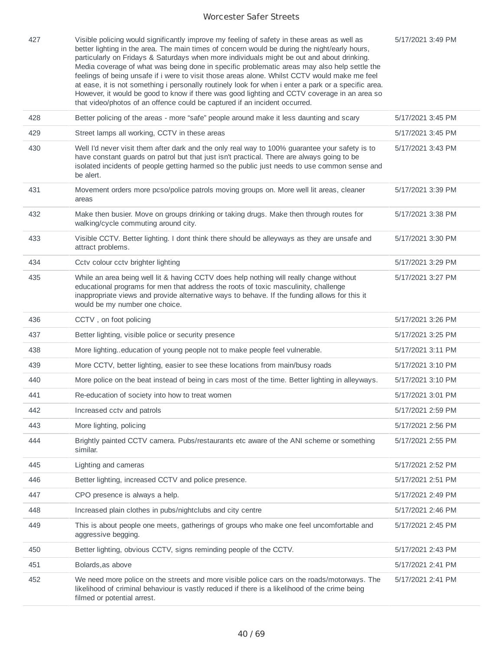| 427 | Visible policing would significantly improve my feeling of safety in these areas as well as<br>better lighting in the area. The main times of concern would be during the night/early hours,<br>particularly on Fridays & Saturdays when more individuals might be out and about drinking.<br>Media coverage of what was being done in specific problematic areas may also help settle the<br>feelings of being unsafe if i were to visit those areas alone. Whilst CCTV would make me feel<br>at ease, it is not something i personally routinely look for when i enter a park or a specific area.<br>However, it would be good to know if there was good lighting and CCTV coverage in an area so<br>that video/photos of an offence could be captured if an incident occurred. | 5/17/2021 3:49 PM |
|-----|-----------------------------------------------------------------------------------------------------------------------------------------------------------------------------------------------------------------------------------------------------------------------------------------------------------------------------------------------------------------------------------------------------------------------------------------------------------------------------------------------------------------------------------------------------------------------------------------------------------------------------------------------------------------------------------------------------------------------------------------------------------------------------------|-------------------|
| 428 | Better policing of the areas - more "safe" people around make it less daunting and scary                                                                                                                                                                                                                                                                                                                                                                                                                                                                                                                                                                                                                                                                                          | 5/17/2021 3:45 PM |
| 429 | Street lamps all working, CCTV in these areas                                                                                                                                                                                                                                                                                                                                                                                                                                                                                                                                                                                                                                                                                                                                     | 5/17/2021 3:45 PM |
| 430 | Well I'd never visit them after dark and the only real way to 100% quarantee your safety is to<br>have constant guards on patrol but that just isn't practical. There are always going to be<br>isolated incidents of people getting harmed so the public just needs to use common sense and<br>be alert.                                                                                                                                                                                                                                                                                                                                                                                                                                                                         | 5/17/2021 3:43 PM |
| 431 | Movement orders more pcso/police patrols moving groups on. More well lit areas, cleaner<br>areas                                                                                                                                                                                                                                                                                                                                                                                                                                                                                                                                                                                                                                                                                  | 5/17/2021 3:39 PM |
| 432 | Make then busier. Move on groups drinking or taking drugs. Make then through routes for<br>walking/cycle commuting around city.                                                                                                                                                                                                                                                                                                                                                                                                                                                                                                                                                                                                                                                   | 5/17/2021 3:38 PM |
| 433 | Visible CCTV. Better lighting. I dont think there should be alleyways as they are unsafe and<br>attract problems.                                                                                                                                                                                                                                                                                                                                                                                                                                                                                                                                                                                                                                                                 | 5/17/2021 3:30 PM |
| 434 | Cctv colour cctv brighter lighting                                                                                                                                                                                                                                                                                                                                                                                                                                                                                                                                                                                                                                                                                                                                                | 5/17/2021 3:29 PM |
| 435 | While an area being well lit & having CCTV does help nothing will really change without<br>educational programs for men that address the roots of toxic masculinity, challenge<br>inappropriate views and provide alternative ways to behave. If the funding allows for this it<br>would be my number one choice.                                                                                                                                                                                                                                                                                                                                                                                                                                                                 | 5/17/2021 3:27 PM |
| 436 | CCTV, on foot policing                                                                                                                                                                                                                                                                                                                                                                                                                                                                                                                                                                                                                                                                                                                                                            | 5/17/2021 3:26 PM |
| 437 | Better lighting, visible police or security presence                                                                                                                                                                                                                                                                                                                                                                                                                                                                                                                                                                                                                                                                                                                              | 5/17/2021 3:25 PM |
| 438 | More lighting. education of young people not to make people feel vulnerable.                                                                                                                                                                                                                                                                                                                                                                                                                                                                                                                                                                                                                                                                                                      | 5/17/2021 3:11 PM |
| 439 | More CCTV, better lighting, easier to see these locations from main/busy roads                                                                                                                                                                                                                                                                                                                                                                                                                                                                                                                                                                                                                                                                                                    | 5/17/2021 3:10 PM |
| 440 | More police on the beat instead of being in cars most of the time. Better lighting in alleyways.                                                                                                                                                                                                                                                                                                                                                                                                                                                                                                                                                                                                                                                                                  | 5/17/2021 3:10 PM |
| 441 | Re-education of society into how to treat women                                                                                                                                                                                                                                                                                                                                                                                                                                                                                                                                                                                                                                                                                                                                   | 5/17/2021 3:01 PM |
| 442 | Increased cctv and patrols                                                                                                                                                                                                                                                                                                                                                                                                                                                                                                                                                                                                                                                                                                                                                        | 5/17/2021 2:59 PM |
| 443 | More lighting, policing                                                                                                                                                                                                                                                                                                                                                                                                                                                                                                                                                                                                                                                                                                                                                           | 5/17/2021 2:56 PM |
| 444 | Brightly painted CCTV camera. Pubs/restaurants etc aware of the ANI scheme or something<br>similar.                                                                                                                                                                                                                                                                                                                                                                                                                                                                                                                                                                                                                                                                               | 5/17/2021 2:55 PM |
| 445 | Lighting and cameras                                                                                                                                                                                                                                                                                                                                                                                                                                                                                                                                                                                                                                                                                                                                                              | 5/17/2021 2:52 PM |
| 446 | Better lighting, increased CCTV and police presence.                                                                                                                                                                                                                                                                                                                                                                                                                                                                                                                                                                                                                                                                                                                              | 5/17/2021 2:51 PM |
| 447 | CPO presence is always a help.                                                                                                                                                                                                                                                                                                                                                                                                                                                                                                                                                                                                                                                                                                                                                    | 5/17/2021 2:49 PM |
| 448 | Increased plain clothes in pubs/nightclubs and city centre                                                                                                                                                                                                                                                                                                                                                                                                                                                                                                                                                                                                                                                                                                                        | 5/17/2021 2:46 PM |
| 449 | This is about people one meets, gatherings of groups who make one feel uncomfortable and<br>aggressive begging.                                                                                                                                                                                                                                                                                                                                                                                                                                                                                                                                                                                                                                                                   | 5/17/2021 2:45 PM |
| 450 | Better lighting, obvious CCTV, signs reminding people of the CCTV.                                                                                                                                                                                                                                                                                                                                                                                                                                                                                                                                                                                                                                                                                                                | 5/17/2021 2:43 PM |
| 451 | Bolards, as above                                                                                                                                                                                                                                                                                                                                                                                                                                                                                                                                                                                                                                                                                                                                                                 | 5/17/2021 2:41 PM |
| 452 | We need more police on the streets and more visible police cars on the roads/motorways. The<br>likelihood of criminal behaviour is vastly reduced if there is a likelihood of the crime being<br>filmed or potential arrest.                                                                                                                                                                                                                                                                                                                                                                                                                                                                                                                                                      | 5/17/2021 2:41 PM |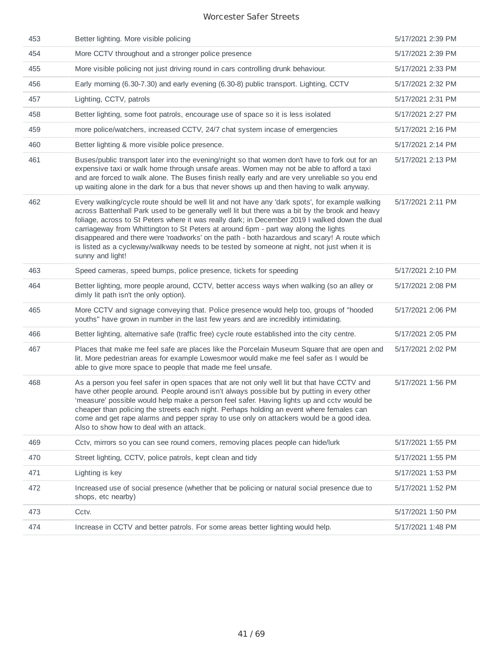| 453 | Better lighting. More visible policing                                                                                                                                                                                                                                                                                                                                                                                                                                                                                                                                                                         | 5/17/2021 2:39 PM |
|-----|----------------------------------------------------------------------------------------------------------------------------------------------------------------------------------------------------------------------------------------------------------------------------------------------------------------------------------------------------------------------------------------------------------------------------------------------------------------------------------------------------------------------------------------------------------------------------------------------------------------|-------------------|
| 454 | More CCTV throughout and a stronger police presence                                                                                                                                                                                                                                                                                                                                                                                                                                                                                                                                                            | 5/17/2021 2:39 PM |
| 455 | More visible policing not just driving round in cars controlling drunk behaviour.                                                                                                                                                                                                                                                                                                                                                                                                                                                                                                                              | 5/17/2021 2:33 PM |
| 456 | Early morning (6.30-7.30) and early evening (6.30-8) public transport. Lighting, CCTV                                                                                                                                                                                                                                                                                                                                                                                                                                                                                                                          | 5/17/2021 2:32 PM |
| 457 | Lighting, CCTV, patrols                                                                                                                                                                                                                                                                                                                                                                                                                                                                                                                                                                                        | 5/17/2021 2:31 PM |
| 458 | Better lighting, some foot patrols, encourage use of space so it is less isolated                                                                                                                                                                                                                                                                                                                                                                                                                                                                                                                              | 5/17/2021 2:27 PM |
| 459 | more police/watchers, increased CCTV, 24/7 chat system incase of emergencies                                                                                                                                                                                                                                                                                                                                                                                                                                                                                                                                   | 5/17/2021 2:16 PM |
| 460 | Better lighting & more visible police presence.                                                                                                                                                                                                                                                                                                                                                                                                                                                                                                                                                                | 5/17/2021 2:14 PM |
| 461 | Buses/public transport later into the evening/night so that women don't have to fork out for an<br>expensive taxi or walk home through unsafe areas. Women may not be able to afford a taxi<br>and are forced to walk alone. The Buses finish really early and are very unreliable so you end<br>up waiting alone in the dark for a bus that never shows up and then having to walk anyway.                                                                                                                                                                                                                    | 5/17/2021 2:13 PM |
| 462 | Every walking/cycle route should be well lit and not have any 'dark spots', for example walking<br>across Battenhall Park used to be generally well lit but there was a bit by the brook and heavy<br>foliage, across to St Peters where it was really dark; in December 2019 I walked down the dual<br>carriageway from Whittington to St Peters at around 6pm - part way along the lights<br>disappeared and there were 'roadworks' on the path - both hazardous and scary! A route which<br>is listed as a cycleway/walkway needs to be tested by someone at night, not just when it is<br>sunny and light! | 5/17/2021 2:11 PM |
| 463 | Speed cameras, speed bumps, police presence, tickets for speeding                                                                                                                                                                                                                                                                                                                                                                                                                                                                                                                                              | 5/17/2021 2:10 PM |
| 464 | Better lighting, more people around, CCTV, better access ways when walking (so an alley or<br>dimly lit path isn't the only option).                                                                                                                                                                                                                                                                                                                                                                                                                                                                           | 5/17/2021 2:08 PM |
| 465 | More CCTV and signage conveying that. Police presence would help too, groups of "hooded<br>youths" have grown in number in the last few years and are incredibly intimidating.                                                                                                                                                                                                                                                                                                                                                                                                                                 | 5/17/2021 2:06 PM |
| 466 | Better lighting, alternative safe (traffic free) cycle route established into the city centre.                                                                                                                                                                                                                                                                                                                                                                                                                                                                                                                 | 5/17/2021 2:05 PM |
| 467 | Places that make me feel safe are places like the Porcelain Museum Square that are open and<br>lit. More pedestrian areas for example Lowesmoor would make me feel safer as I would be<br>able to give more space to people that made me feel unsafe.                                                                                                                                                                                                                                                                                                                                                          | 5/17/2021 2:02 PM |
| 468 | As a person you feel safer in open spaces that are not only well lit but that have CCTV and<br>have other people around. People around isn't always possible but by putting in every other<br>'measure' possible would help make a person feel safer. Having lights up and cctv would be<br>cheaper than policing the streets each night. Perhaps holding an event where females can<br>come and get rape alarms and pepper spray to use only on attackers would be a good idea.<br>Also to show how to deal with an attack.                                                                                   | 5/17/2021 1:56 PM |
| 469 | Cctv, mirrors so you can see round corners, removing places people can hide/lurk                                                                                                                                                                                                                                                                                                                                                                                                                                                                                                                               | 5/17/2021 1:55 PM |
| 470 | Street lighting, CCTV, police patrols, kept clean and tidy                                                                                                                                                                                                                                                                                                                                                                                                                                                                                                                                                     | 5/17/2021 1:55 PM |
| 471 | Lighting is key                                                                                                                                                                                                                                                                                                                                                                                                                                                                                                                                                                                                | 5/17/2021 1:53 PM |
| 472 | Increased use of social presence (whether that be policing or natural social presence due to<br>shops, etc nearby)                                                                                                                                                                                                                                                                                                                                                                                                                                                                                             | 5/17/2021 1:52 PM |
| 473 | Cctv.                                                                                                                                                                                                                                                                                                                                                                                                                                                                                                                                                                                                          | 5/17/2021 1:50 PM |
| 474 | Increase in CCTV and better patrols. For some areas better lighting would help.                                                                                                                                                                                                                                                                                                                                                                                                                                                                                                                                | 5/17/2021 1:48 PM |
|     |                                                                                                                                                                                                                                                                                                                                                                                                                                                                                                                                                                                                                |                   |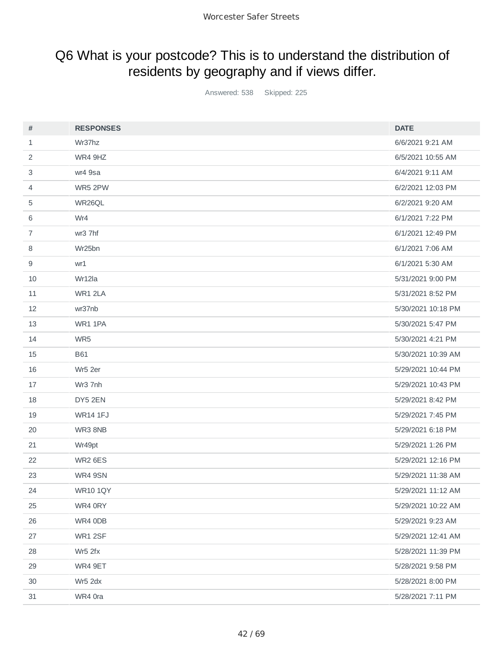## Q6 What is your postcode? This is to understand the distribution of residents by geography and if views differ.

Answered: 538 Skipped: 225

| #              | <b>RESPONSES</b> | <b>DATE</b>        |
|----------------|------------------|--------------------|
| $\mathbf{1}$   | Wr37hz           | 6/6/2021 9:21 AM   |
| 2              | WR4 9HZ          | 6/5/2021 10:55 AM  |
| 3              | wr4 9sa          | 6/4/2021 9:11 AM   |
| 4              | WR5 2PW          | 6/2/2021 12:03 PM  |
| 5              | WR26QL           | 6/2/2021 9:20 AM   |
| 6              | Wr4              | 6/1/2021 7:22 PM   |
| $\overline{7}$ | wr3 7hf          | 6/1/2021 12:49 PM  |
| 8              | Wr25bn           | 6/1/2021 7:06 AM   |
| 9              | wr1              | 6/1/2021 5:30 AM   |
| 10             | Wr12la           | 5/31/2021 9:00 PM  |
| 11             | WR1 2LA          | 5/31/2021 8:52 PM  |
| 12             | wr37nb           | 5/30/2021 10:18 PM |
| 13             | WR1 1PA          | 5/30/2021 5:47 PM  |
| 14             | WR5              | 5/30/2021 4:21 PM  |
| 15             | <b>B61</b>       | 5/30/2021 10:39 AM |
| 16             | Wr5 2er          | 5/29/2021 10:44 PM |
| 17             | Wr3 7nh          | 5/29/2021 10:43 PM |
| 18             | DY5 2EN          | 5/29/2021 8:42 PM  |
| 19             | <b>WR14 1FJ</b>  | 5/29/2021 7:45 PM  |
| 20             | WR3 8NB          | 5/29/2021 6:18 PM  |
| 21             | Wr49pt           | 5/29/2021 1:26 PM  |
| 22             | WR2 6ES          | 5/29/2021 12:16 PM |
| 23             | WR4 9SN          | 5/29/2021 11:38 AM |
| 24             | <b>WR10 1QY</b>  | 5/29/2021 11:12 AM |
| 25             | WR4 0RY          | 5/29/2021 10:22 AM |
| 26             | WR4 0DB          | 5/29/2021 9:23 AM  |
| 27             | WR1 2SF          | 5/29/2021 12:41 AM |
| 28             | Wr5 2fx          | 5/28/2021 11:39 PM |
| 29             | WR4 9ET          | 5/28/2021 9:58 PM  |
| 30             | Wr5 2dx          | 5/28/2021 8:00 PM  |
| 31             | WR4 0ra          | 5/28/2021 7:11 PM  |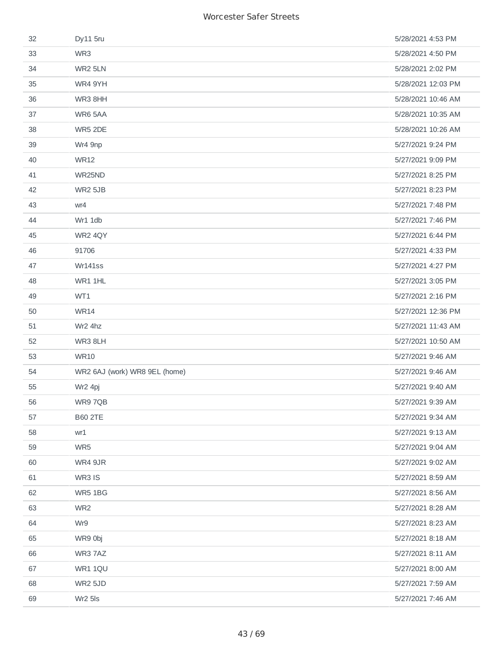| 32 | Dy11 5ru                      | 5/28/2021 4:53 PM  |
|----|-------------------------------|--------------------|
| 33 | WR3                           | 5/28/2021 4:50 PM  |
| 34 | WR2 5LN                       | 5/28/2021 2:02 PM  |
| 35 | WR4 9YH                       | 5/28/2021 12:03 PM |
| 36 | WR3 8HH                       | 5/28/2021 10:46 AM |
| 37 | WR6 5AA                       | 5/28/2021 10:35 AM |
| 38 | WR5 2DE                       | 5/28/2021 10:26 AM |
| 39 | Wr4 9np                       | 5/27/2021 9:24 PM  |
| 40 | <b>WR12</b>                   | 5/27/2021 9:09 PM  |
| 41 | WR25ND                        | 5/27/2021 8:25 PM  |
| 42 | <b>WR2 5JB</b>                | 5/27/2021 8:23 PM  |
| 43 | wr4                           | 5/27/2021 7:48 PM  |
| 44 | Wr1 1db                       | 5/27/2021 7:46 PM  |
| 45 | WR2 4QY                       | 5/27/2021 6:44 PM  |
| 46 | 91706                         | 5/27/2021 4:33 PM  |
| 47 | Wr141ss                       | 5/27/2021 4:27 PM  |
| 48 | WR1 1HL                       | 5/27/2021 3:05 PM  |
| 49 | WT1                           | 5/27/2021 2:16 PM  |
| 50 | <b>WR14</b>                   | 5/27/2021 12:36 PM |
| 51 | Wr2 4hz                       | 5/27/2021 11:43 AM |
| 52 | WR3 8LH                       | 5/27/2021 10:50 AM |
| 53 | <b>WR10</b>                   | 5/27/2021 9:46 AM  |
| 54 | WR2 6AJ (work) WR8 9EL (home) | 5/27/2021 9:46 AM  |
| 55 | Wr2 4pj                       | 5/27/2021 9:40 AM  |
| 56 | WR9 7QB                       | 5/27/2021 9:39 AM  |
| 57 | <b>B60 2TE</b>                | 5/27/2021 9:34 AM  |
| 58 | wr1                           | 5/27/2021 9:13 AM  |
| 59 | WR5                           | 5/27/2021 9:04 AM  |
| 60 | WR4 9JR                       | 5/27/2021 9:02 AM  |
| 61 | WR3 IS                        | 5/27/2021 8:59 AM  |
| 62 | WR5 1BG                       | 5/27/2021 8:56 AM  |
| 63 | WR <sub>2</sub>               | 5/27/2021 8:28 AM  |
| 64 | Wr9                           | 5/27/2021 8:23 AM  |
| 65 | WR9 0bj                       | 5/27/2021 8:18 AM  |
| 66 | WR3 7AZ                       | 5/27/2021 8:11 AM  |
| 67 | WR1 1QU                       | 5/27/2021 8:00 AM  |
| 68 | <b>WR2 5JD</b>                | 5/27/2021 7:59 AM  |
| 69 | Wr2 5ls                       | 5/27/2021 7:46 AM  |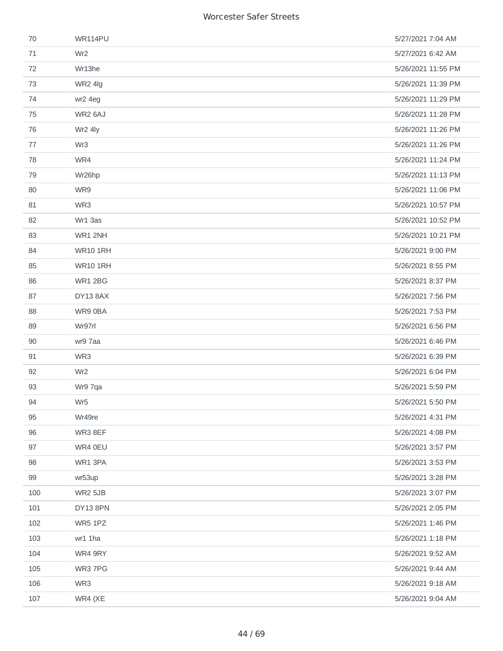| 70  | <b>WR114PU</b>  | 5/27/2021 7:04 AM  |
|-----|-----------------|--------------------|
| 71  | Wr <sub>2</sub> | 5/27/2021 6:42 AM  |
| 72  | Wr13he          | 5/26/2021 11:55 PM |
| 73  | WR2 4lg         | 5/26/2021 11:39 PM |
| 74  | wr2 4eg         | 5/26/2021 11:29 PM |
| 75  | WR2 6AJ         | 5/26/2021 11:28 PM |
| 76  | Wr2 4ly         | 5/26/2021 11:26 PM |
| 77  | Wr <sub>3</sub> | 5/26/2021 11:26 PM |
| 78  | WR4             | 5/26/2021 11:24 PM |
| 79  | Wr26hp          | 5/26/2021 11:13 PM |
| 80  | WR9             | 5/26/2021 11:06 PM |
| 81  | WR3             | 5/26/2021 10:57 PM |
| 82  | Wr1 3as         | 5/26/2021 10:52 PM |
| 83  | WR1 2NH         | 5/26/2021 10:21 PM |
| 84  | <b>WR10 1RH</b> | 5/26/2021 9:00 PM  |
| 85  | <b>WR10 1RH</b> | 5/26/2021 8:55 PM  |
| 86  | <b>WR1 2BG</b>  | 5/26/2021 8:37 PM  |
| 87  | DY13 8AX        | 5/26/2021 7:56 PM  |
| 88  | WR9 0BA         | 5/26/2021 7:53 PM  |
| 89  | Wr97rl          | 5/26/2021 6:56 PM  |
| 90  | wr9 7aa         | 5/26/2021 6:46 PM  |
| 91  | WR3             | 5/26/2021 6:39 PM  |
| 92  | Wr <sub>2</sub> | 5/26/2021 6:04 PM  |
| 93  | Wr9 7qa         | 5/26/2021 5:59 PM  |
| 94  | Wr5             | 5/26/2021 5:50 PM  |
| 95  | Wr49re          | 5/26/2021 4:31 PM  |
| 96  | WR3 8EF         | 5/26/2021 4:08 PM  |
| 97  | WR4 0EU         | 5/26/2021 3:57 PM  |
| 98  | WR1 3PA         | 5/26/2021 3:53 PM  |
| 99  | wr53up          | 5/26/2021 3:28 PM  |
| 100 | <b>WR2 5JB</b>  | 5/26/2021 3:07 PM  |
| 101 | DY13 8PN        | 5/26/2021 2:05 PM  |
| 102 | WR5 1PZ         | 5/26/2021 1:46 PM  |
| 103 | wr1 1ha         | 5/26/2021 1:18 PM  |
| 104 | WR4 9RY         | 5/26/2021 9:52 AM  |
| 105 | WR3 7PG         | 5/26/2021 9:44 AM  |
| 106 | WR3             | 5/26/2021 9:18 AM  |
| 107 | WR4 (XE         | 5/26/2021 9:04 AM  |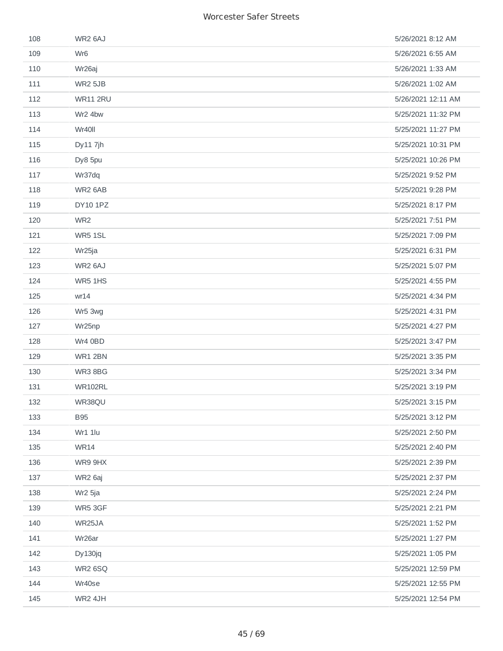| 108 | WR2 6AJ         | 5/26/2021 8:12 AM  |
|-----|-----------------|--------------------|
| 109 | Wr <sub>6</sub> | 5/26/2021 6:55 AM  |
| 110 | Wr26aj          | 5/26/2021 1:33 AM  |
| 111 | <b>WR2 5JB</b>  | 5/26/2021 1:02 AM  |
| 112 | <b>WR11 2RU</b> | 5/26/2021 12:11 AM |
| 113 | Wr2 4bw         | 5/25/2021 11:32 PM |
| 114 | Wr40ll          | 5/25/2021 11:27 PM |
| 115 | Dy11 7jh        | 5/25/2021 10:31 PM |
| 116 | Dy8 5pu         | 5/25/2021 10:26 PM |
| 117 | Wr37dq          | 5/25/2021 9:52 PM  |
| 118 | WR2 6AB         | 5/25/2021 9:28 PM  |
| 119 | DY10 1PZ        | 5/25/2021 8:17 PM  |
| 120 | WR <sub>2</sub> | 5/25/2021 7:51 PM  |
| 121 | WR5 1SL         | 5/25/2021 7:09 PM  |
| 122 | Wr25ja          | 5/25/2021 6:31 PM  |
| 123 | WR2 6AJ         | 5/25/2021 5:07 PM  |
| 124 | WR5 1HS         | 5/25/2021 4:55 PM  |
| 125 | wr14            | 5/25/2021 4:34 PM  |
| 126 | Wr5 3wg         | 5/25/2021 4:31 PM  |
| 127 | Wr25np          | 5/25/2021 4:27 PM  |
| 128 | Wr4 0BD         | 5/25/2021 3:47 PM  |
| 129 | WR1 2BN         | 5/25/2021 3:35 PM  |
| 130 | WR38BG          | 5/25/2021 3:34 PM  |
| 131 | <b>WR102RL</b>  | 5/25/2021 3:19 PM  |
| 132 | WR38QU          | 5/25/2021 3:15 PM  |
| 133 | <b>B95</b>      | 5/25/2021 3:12 PM  |
| 134 | Wr1 1lu         | 5/25/2021 2:50 PM  |
| 135 | <b>WR14</b>     | 5/25/2021 2:40 PM  |
| 136 | WR9 9HX         | 5/25/2021 2:39 PM  |
| 137 | WR2 6aj         | 5/25/2021 2:37 PM  |
| 138 | Wr2 5ja         | 5/25/2021 2:24 PM  |
| 139 | WR5 3GF         | 5/25/2021 2:21 PM  |
| 140 | WR25JA          | 5/25/2021 1:52 PM  |
| 141 | Wr26ar          | 5/25/2021 1:27 PM  |
| 142 | Dy130jq         | 5/25/2021 1:05 PM  |
| 143 | WR2 6SQ         | 5/25/2021 12:59 PM |
| 144 | Wr40se          | 5/25/2021 12:55 PM |
| 145 | WR2 4JH         | 5/25/2021 12:54 PM |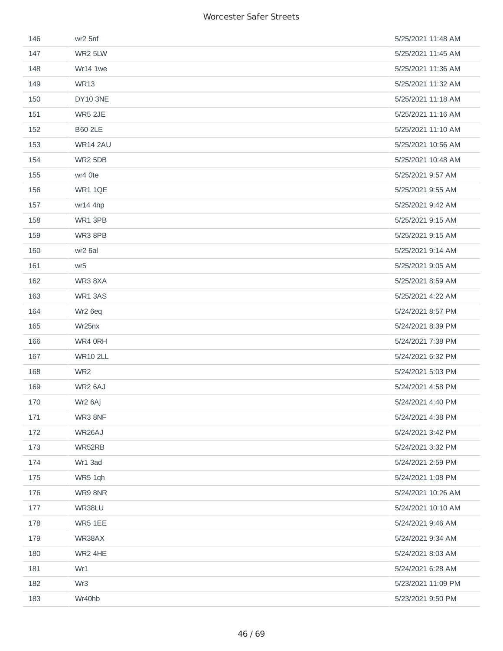| 146 | wr2 5nf             | 5/25/2021 11:48 AM |
|-----|---------------------|--------------------|
| 147 | WR2 5LW             | 5/25/2021 11:45 AM |
| 148 | Wr14 1we            | 5/25/2021 11:36 AM |
| 149 | <b>WR13</b>         | 5/25/2021 11:32 AM |
| 150 | <b>DY10 3NE</b>     | 5/25/2021 11:18 AM |
| 151 | <b>WR5 2JE</b>      | 5/25/2021 11:16 AM |
| 152 | <b>B60 2LE</b>      | 5/25/2021 11:10 AM |
| 153 | <b>WR14 2AU</b>     | 5/25/2021 10:56 AM |
| 154 | WR2 5DB             | 5/25/2021 10:48 AM |
| 155 | wr4 Ote             | 5/25/2021 9:57 AM  |
| 156 | WR1 1QE             | 5/25/2021 9:55 AM  |
| 157 | wr14 4np            | 5/25/2021 9:42 AM  |
| 158 | WR1 3PB             | 5/25/2021 9:15 AM  |
| 159 | WR3 8PB             | 5/25/2021 9:15 AM  |
| 160 | wr2 6al             | 5/25/2021 9:14 AM  |
| 161 | wr5                 | 5/25/2021 9:05 AM  |
| 162 | WR38XA              | 5/25/2021 8:59 AM  |
| 163 | WR1 3AS             | 5/25/2021 4:22 AM  |
| 164 | Wr <sub>2</sub> 6eq | 5/24/2021 8:57 PM  |
| 165 | Wr25nx              | 5/24/2021 8:39 PM  |
| 166 | WR4 0RH             | 5/24/2021 7:38 PM  |
| 167 | <b>WR10 2LL</b>     | 5/24/2021 6:32 PM  |
| 168 | WR <sub>2</sub>     | 5/24/2021 5:03 PM  |
| 169 | WR2 6AJ             | 5/24/2021 4:58 PM  |
| 170 | Wr2 6Aj             | 5/24/2021 4:40 PM  |
| 171 | WR3 8NF             | 5/24/2021 4:38 PM  |
| 172 | WR26AJ              | 5/24/2021 3:42 PM  |
| 173 | WR52RB              | 5/24/2021 3:32 PM  |
| 174 | Wr1 3ad             | 5/24/2021 2:59 PM  |
| 175 | WR5 1qh             | 5/24/2021 1:08 PM  |
| 176 | WR9 8NR             | 5/24/2021 10:26 AM |
| 177 | WR38LU              | 5/24/2021 10:10 AM |
| 178 | WR5 1EE             | 5/24/2021 9:46 AM  |
| 179 | WR38AX              | 5/24/2021 9:34 AM  |
| 180 | WR2 4HE             | 5/24/2021 8:03 AM  |
| 181 | Wr1                 | 5/24/2021 6:28 AM  |
| 182 | Wr3                 | 5/23/2021 11:09 PM |
| 183 | Wr40hb              | 5/23/2021 9:50 PM  |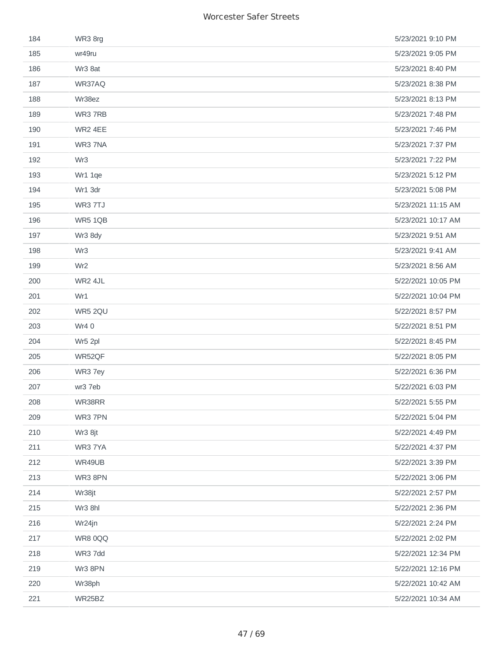| 184 | WR3 8rg         | 5/23/2021 9:10 PM  |
|-----|-----------------|--------------------|
| 185 | wr49ru          | 5/23/2021 9:05 PM  |
| 186 | Wr3 8at         | 5/23/2021 8:40 PM  |
| 187 | WR37AQ          | 5/23/2021 8:38 PM  |
| 188 | Wr38ez          | 5/23/2021 8:13 PM  |
| 189 | WR3 7RB         | 5/23/2021 7:48 PM  |
| 190 | WR2 4EE         | 5/23/2021 7:46 PM  |
| 191 | WR3 7NA         | 5/23/2021 7:37 PM  |
| 192 | Wr3             | 5/23/2021 7:22 PM  |
| 193 | Wr1 1qe         | 5/23/2021 5:12 PM  |
| 194 | Wr1 3dr         | 5/23/2021 5:08 PM  |
| 195 | WR3 7TJ         | 5/23/2021 11:15 AM |
| 196 | WR5 1QB         | 5/23/2021 10:17 AM |
| 197 | Wr3 8dy         | 5/23/2021 9:51 AM  |
| 198 | Wr3             | 5/23/2021 9:41 AM  |
| 199 | Wr <sub>2</sub> | 5/23/2021 8:56 AM  |
| 200 | WR2 4JL         | 5/22/2021 10:05 PM |
| 201 | Wr1             | 5/22/2021 10:04 PM |
| 202 | WR5 2QU         | 5/22/2021 8:57 PM  |
| 203 | Wr4 0           | 5/22/2021 8:51 PM  |
| 204 | Wr5 2pl         | 5/22/2021 8:45 PM  |
| 205 | WR52QF          | 5/22/2021 8:05 PM  |
| 206 | WR3 7ey         | 5/22/2021 6:36 PM  |
| 207 | wr3 7eb         | 5/22/2021 6:03 PM  |
| 208 | WR38RR          | 5/22/2021 5:55 PM  |
| 209 | WR3 7PN         | 5/22/2021 5:04 PM  |
| 210 | Wr3 8jt         | 5/22/2021 4:49 PM  |
| 211 | WR3 7YA         | 5/22/2021 4:37 PM  |
| 212 | WR49UB          | 5/22/2021 3:39 PM  |
| 213 | WR3 8PN         | 5/22/2021 3:06 PM  |
| 214 | Wr38jt          | 5/22/2021 2:57 PM  |
| 215 | Wr3 8hl         | 5/22/2021 2:36 PM  |
| 216 | Wr24jn          | 5/22/2021 2:24 PM  |
| 217 | WR80QQ          | 5/22/2021 2:02 PM  |
| 218 | WR3 7dd         | 5/22/2021 12:34 PM |
| 219 | Wr3 8PN         | 5/22/2021 12:16 PM |
| 220 | Wr38ph          | 5/22/2021 10:42 AM |
| 221 | WR25BZ          | 5/22/2021 10:34 AM |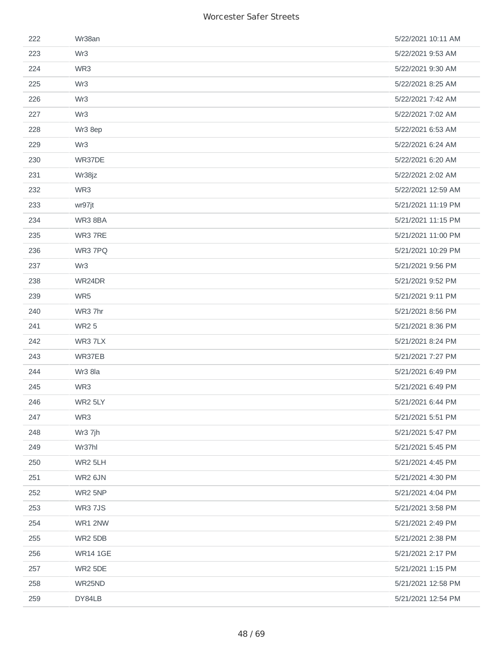| 222 | Wr38an          | 5/22/2021 10:11 AM |
|-----|-----------------|--------------------|
| 223 | Wr <sub>3</sub> | 5/22/2021 9:53 AM  |
| 224 | WR3             | 5/22/2021 9:30 AM  |
| 225 | Wr3             | 5/22/2021 8:25 AM  |
| 226 | Wr <sub>3</sub> | 5/22/2021 7:42 AM  |
| 227 | Wr <sub>3</sub> | 5/22/2021 7:02 AM  |
| 228 | Wr3 8ep         | 5/22/2021 6:53 AM  |
| 229 | Wr3             | 5/22/2021 6:24 AM  |
| 230 | WR37DE          | 5/22/2021 6:20 AM  |
| 231 | Wr38jz          | 5/22/2021 2:02 AM  |
| 232 | WR3             | 5/22/2021 12:59 AM |
| 233 | wr97jt          | 5/21/2021 11:19 PM |
| 234 | WR38BA          | 5/21/2021 11:15 PM |
| 235 | WR3 7RE         | 5/21/2021 11:00 PM |
| 236 | WR3 7PQ         | 5/21/2021 10:29 PM |
| 237 | Wr <sub>3</sub> | 5/21/2021 9:56 PM  |
| 238 | WR24DR          | 5/21/2021 9:52 PM  |
| 239 | WR5             | 5/21/2021 9:11 PM  |
| 240 | WR3 7hr         | 5/21/2021 8:56 PM  |
| 241 | <b>WR25</b>     | 5/21/2021 8:36 PM  |
| 242 | WR3 7LX         | 5/21/2021 8:24 PM  |
| 243 | WR37EB          | 5/21/2021 7:27 PM  |
| 244 | Wr3 8la         | 5/21/2021 6:49 PM  |
| 245 | WR3             | 5/21/2021 6:49 PM  |
| 246 | WR2 5LY         | 5/21/2021 6:44 PM  |
| 247 | WR3             | 5/21/2021 5:51 PM  |
| 248 | Wr3 7jh         | 5/21/2021 5:47 PM  |
| 249 | Wr37hl          | 5/21/2021 5:45 PM  |
| 250 | WR2 5LH         | 5/21/2021 4:45 PM  |
| 251 | WR2 6JN         | 5/21/2021 4:30 PM  |
| 252 | WR2 5NP         | 5/21/2021 4:04 PM  |
| 253 | <b>WR3 7JS</b>  | 5/21/2021 3:58 PM  |
| 254 | WR1 2NW         | 5/21/2021 2:49 PM  |
| 255 | WR2 5DB         | 5/21/2021 2:38 PM  |
| 256 | <b>WR14 1GE</b> | 5/21/2021 2:17 PM  |
| 257 | WR2 5DE         | 5/21/2021 1:15 PM  |
| 258 | WR25ND          | 5/21/2021 12:58 PM |
| 259 | DY84LB          | 5/21/2021 12:54 PM |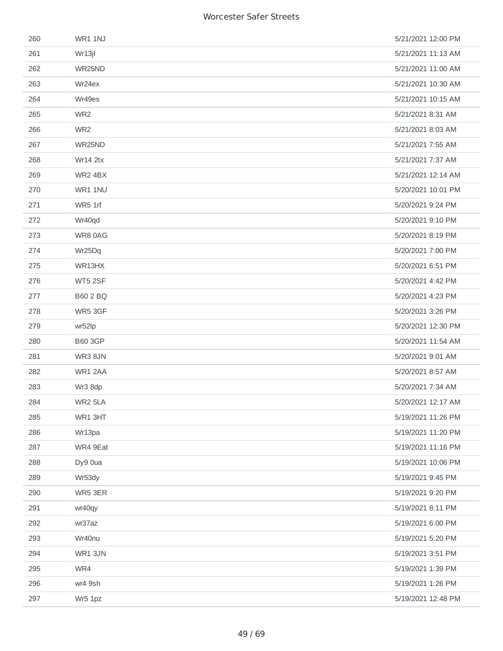| 260 | WR1 1NJ         | 5/21/2021 12:00 PM |
|-----|-----------------|--------------------|
| 261 | Wr13jl          | 5/21/2021 11:13 AM |
| 262 | WR25ND          | 5/21/2021 11:00 AM |
| 263 | Wr24ex          | 5/21/2021 10:30 AM |
| 264 | Wr49es          | 5/21/2021 10:15 AM |
| 265 | WR <sub>2</sub> | 5/21/2021 8:31 AM  |
| 266 | WR <sub>2</sub> | 5/21/2021 8:03 AM  |
| 267 | WR25ND          | 5/21/2021 7:55 AM  |
| 268 | <b>Wr14 2tx</b> | 5/21/2021 7:37 AM  |
| 269 | WR2 4BX         | 5/21/2021 12:14 AM |
| 270 | WR1 1NU         | 5/20/2021 10:01 PM |
| 271 | WR5 1rf         | 5/20/2021 9:24 PM  |
| 272 | Wr40qd          | 5/20/2021 9:10 PM  |
| 273 | WR8 0AG         | 5/20/2021 8:19 PM  |
| 274 | Wr25Dq          | 5/20/2021 7:00 PM  |
| 275 | WR13HX          | 5/20/2021 6:51 PM  |
| 276 | WT5 2SF         | 5/20/2021 4:42 PM  |
| 277 | <b>B60 2 BQ</b> | 5/20/2021 4:23 PM  |
| 278 | WR5 3GF         | 5/20/2021 3:26 PM  |
| 279 | wr52lp          | 5/20/2021 12:30 PM |
| 280 | <b>B60 3GP</b>  | 5/20/2021 11:54 AM |
| 281 | WR3 8JN         | 5/20/2021 9:01 AM  |
| 282 | WR1 2AA         | 5/20/2021 8:57 AM  |
| 283 | Wr3 8dp         | 5/20/2021 7:34 AM  |
| 284 | WR2 5LA         | 5/20/2021 12:17 AM |
| 285 | WR1 3HT         | 5/19/2021 11:26 PM |
| 286 | Wr13pa          | 5/19/2021 11:20 PM |
| 287 | WR4 9Eat        | 5/19/2021 11:16 PM |
| 288 | Dy9 0ua         | 5/19/2021 10:06 PM |
| 289 | Wr53dy          | 5/19/2021 9:45 PM  |
| 290 | WR5 3ER         | 5/19/2021 9:20 PM  |
| 291 | wr40qy          | 5/19/2021 8:11 PM  |
| 292 | wr37az          | 5/19/2021 6:00 PM  |
| 293 | Wr40nu          | 5/19/2021 5:20 PM  |
| 294 | WR1 3JN         | 5/19/2021 3:51 PM  |
| 295 | WR4             | 5/19/2021 1:39 PM  |
| 296 | wr4 9sh         | 5/19/2021 1:26 PM  |
| 297 | Wr5 1pz         | 5/19/2021 12:48 PM |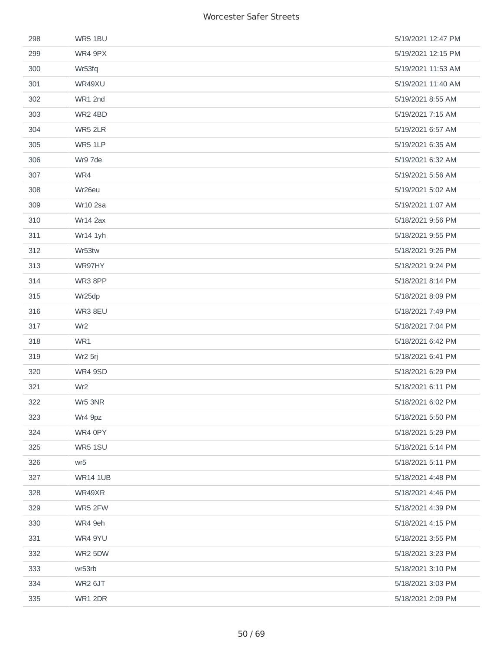| 298 | WR5 1BU            | 5/19/2021 12:47 PM |
|-----|--------------------|--------------------|
| 299 | WR4 9PX            | 5/19/2021 12:15 PM |
| 300 | Wr53fq             | 5/19/2021 11:53 AM |
| 301 | WR49XU             | 5/19/2021 11:40 AM |
| 302 | WR1 2nd            | 5/19/2021 8:55 AM  |
| 303 | WR2 4BD            | 5/19/2021 7:15 AM  |
| 304 | WR5 2LR            | 5/19/2021 6:57 AM  |
| 305 | WR5 1LP            | 5/19/2021 6:35 AM  |
| 306 | Wr9 7de            | 5/19/2021 6:32 AM  |
| 307 | WR4                | 5/19/2021 5:56 AM  |
| 308 | Wr <sub>26eu</sub> | 5/19/2021 5:02 AM  |
| 309 | Wr10 2sa           | 5/19/2021 1:07 AM  |
| 310 | <b>Wr14 2ax</b>    | 5/18/2021 9:56 PM  |
| 311 | Wr14 1yh           | 5/18/2021 9:55 PM  |
| 312 | Wr53tw             | 5/18/2021 9:26 PM  |
| 313 | WR97HY             | 5/18/2021 9:24 PM  |
| 314 | WR3 8PP            | 5/18/2021 8:14 PM  |
| 315 | Wr25dp             | 5/18/2021 8:09 PM  |
| 316 | WR3 8EU            | 5/18/2021 7:49 PM  |
| 317 | Wr <sub>2</sub>    | 5/18/2021 7:04 PM  |
| 318 | WR1                | 5/18/2021 6:42 PM  |
| 319 | Wr2 5rj            | 5/18/2021 6:41 PM  |
| 320 | WR4 9SD            | 5/18/2021 6:29 PM  |
| 321 | Wr <sub>2</sub>    | 5/18/2021 6:11 PM  |
| 322 | Wr5 3NR            | 5/18/2021 6:02 PM  |
| 323 | Wr4 9pz            | 5/18/2021 5:50 PM  |
| 324 | WR4 0PY            | 5/18/2021 5:29 PM  |
| 325 | WR5 1SU            | 5/18/2021 5:14 PM  |
| 326 | wr5                | 5/18/2021 5:11 PM  |
| 327 | <b>WR14 1UB</b>    | 5/18/2021 4:48 PM  |
| 328 | WR49XR             | 5/18/2021 4:46 PM  |
| 329 | WR5 2FW            | 5/18/2021 4:39 PM  |
| 330 | WR4 9eh            | 5/18/2021 4:15 PM  |
| 331 | WR4 9YU            | 5/18/2021 3:55 PM  |
| 332 | WR2 5DW            | 5/18/2021 3:23 PM  |
| 333 | wr53rb             | 5/18/2021 3:10 PM  |
| 334 | WR2 6JT            | 5/18/2021 3:03 PM  |
| 335 | WR1 2DR            | 5/18/2021 2:09 PM  |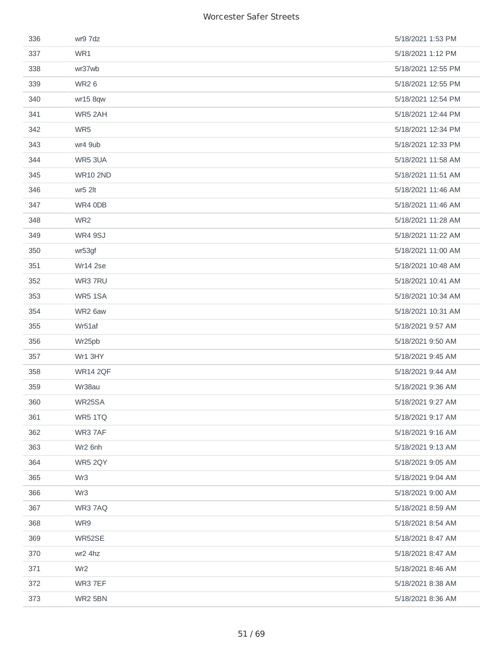| 336 | wr9 7dz         | 5/18/2021 1:53 PM  |
|-----|-----------------|--------------------|
| 337 | WR1             | 5/18/2021 1:12 PM  |
| 338 | wr37wb          | 5/18/2021 12:55 PM |
| 339 | <b>WR26</b>     | 5/18/2021 12:55 PM |
| 340 | wr15 8qw        | 5/18/2021 12:54 PM |
| 341 | WR5 2AH         | 5/18/2021 12:44 PM |
| 342 | WR5             | 5/18/2021 12:34 PM |
| 343 | wr4 9ub         | 5/18/2021 12:33 PM |
| 344 | WR5 3UA         | 5/18/2021 11:58 AM |
| 345 | <b>WR10 2ND</b> | 5/18/2021 11:51 AM |
| 346 | wr5 2lt         | 5/18/2021 11:46 AM |
| 347 | WR4 0DB         | 5/18/2021 11:46 AM |
| 348 | WR <sub>2</sub> | 5/18/2021 11:28 AM |
| 349 | <b>WR4 9SJ</b>  | 5/18/2021 11:22 AM |
| 350 | wr53gf          | 5/18/2021 11:00 AM |
| 351 | Wr14 2se        | 5/18/2021 10:48 AM |
| 352 | WR3 7RU         | 5/18/2021 10:41 AM |
| 353 | WR5 1SA         | 5/18/2021 10:34 AM |
| 354 | WR2 6aw         | 5/18/2021 10:31 AM |
| 355 | Wr51af          | 5/18/2021 9:57 AM  |
| 356 | Wr25pb          | 5/18/2021 9:50 AM  |
| 357 | Wr1 3HY         | 5/18/2021 9:45 AM  |
| 358 | <b>WR14 2QF</b> | 5/18/2021 9:44 AM  |
| 359 | Wr38au          | 5/18/2021 9:36 AM  |
| 360 | WR25SA          | 5/18/2021 9:27 AM  |
| 361 | WR5 1TQ         | 5/18/2021 9:17 AM  |
| 362 | WR3 7AF         | 5/18/2021 9:16 AM  |
| 363 | Wr2 6nh         | 5/18/2021 9:13 AM  |
| 364 | WR5 2QY         | 5/18/2021 9:05 AM  |
| 365 | Wr <sub>3</sub> | 5/18/2021 9:04 AM  |
| 366 | Wr <sub>3</sub> | 5/18/2021 9:00 AM  |
| 367 | WR3 7AQ         | 5/18/2021 8:59 AM  |
| 368 | WR9             | 5/18/2021 8:54 AM  |
| 369 | WR52SE          | 5/18/2021 8:47 AM  |
| 370 | wr2 4hz         | 5/18/2021 8:47 AM  |
| 371 | Wr <sub>2</sub> | 5/18/2021 8:46 AM  |
| 372 | WR3 7EF         | 5/18/2021 8:38 AM  |
| 373 | WR2 5BN         | 5/18/2021 8:36 AM  |
|     |                 |                    |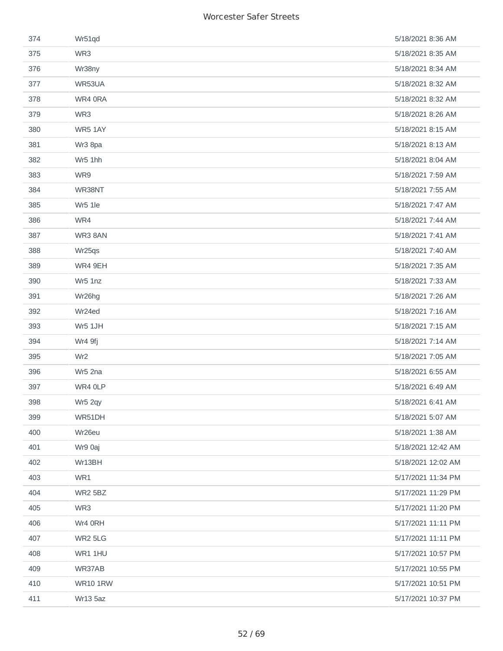| 374 | Wr51qd          | 5/18/2021 8:36 AM  |
|-----|-----------------|--------------------|
| 375 | WR3             | 5/18/2021 8:35 AM  |
| 376 | Wr38ny          | 5/18/2021 8:34 AM  |
| 377 | WR53UA          | 5/18/2021 8:32 AM  |
| 378 | WR4 0RA         | 5/18/2021 8:32 AM  |
| 379 | WR3             | 5/18/2021 8:26 AM  |
| 380 | WR5 1AY         | 5/18/2021 8:15 AM  |
| 381 | Wr3 8pa         | 5/18/2021 8:13 AM  |
| 382 | Wr5 1hh         | 5/18/2021 8:04 AM  |
| 383 | WR9             | 5/18/2021 7:59 AM  |
| 384 | WR38NT          | 5/18/2021 7:55 AM  |
| 385 | Wr5 1le         | 5/18/2021 7:47 AM  |
| 386 | WR4             | 5/18/2021 7:44 AM  |
| 387 | WR3 8AN         | 5/18/2021 7:41 AM  |
| 388 | Wr25qs          | 5/18/2021 7:40 AM  |
| 389 | WR4 9EH         | 5/18/2021 7:35 AM  |
| 390 | Wr5 1nz         | 5/18/2021 7:33 AM  |
| 391 | Wr26hg          | 5/18/2021 7:26 AM  |
| 392 | Wr24ed          | 5/18/2021 7:16 AM  |
| 393 | Wr5 1JH         | 5/18/2021 7:15 AM  |
| 394 | Wr4 9fj         | 5/18/2021 7:14 AM  |
| 395 | Wr <sub>2</sub> | 5/18/2021 7:05 AM  |
| 396 | Wr5 2na         | 5/18/2021 6:55 AM  |
| 397 | WR4 OLP         | 5/18/2021 6:49 AM  |
| 398 | Wr5 2qy         | 5/18/2021 6:41 AM  |
| 399 | WR51DH          | 5/18/2021 5:07 AM  |
| 400 | Wr26eu          | 5/18/2021 1:38 AM  |
| 401 | Wr9 0aj         | 5/18/2021 12:42 AM |
| 402 | Wr13BH          | 5/18/2021 12:02 AM |
| 403 | WR1             | 5/17/2021 11:34 PM |
| 404 | <b>WR2 5BZ</b>  | 5/17/2021 11:29 PM |
| 405 | WR3             | 5/17/2021 11:20 PM |
| 406 | Wr4 ORH         | 5/17/2021 11:11 PM |
| 407 | WR2 5LG         | 5/17/2021 11:11 PM |
| 408 | WR1 1HU         | 5/17/2021 10:57 PM |
| 409 | WR37AB          | 5/17/2021 10:55 PM |
| 410 | <b>WR10 1RW</b> | 5/17/2021 10:51 PM |
| 411 | <b>Wr13 5az</b> | 5/17/2021 10:37 PM |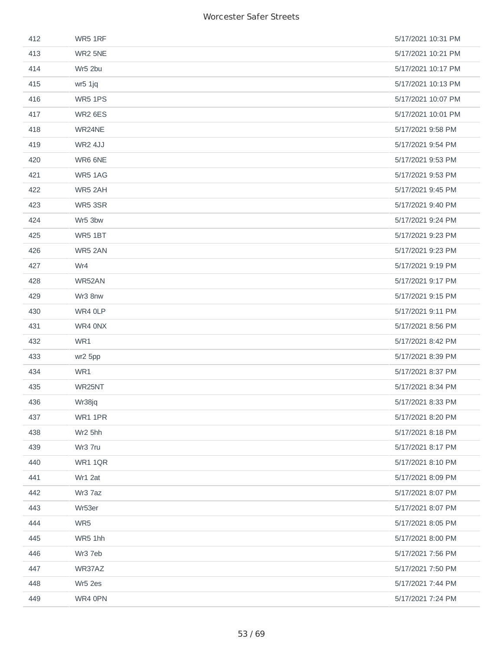| 412 | WR5 1RF        | 5/17/2021 10:31 PM |
|-----|----------------|--------------------|
| 413 | WR2 5NE        | 5/17/2021 10:21 PM |
| 414 | Wr5 2bu        | 5/17/2021 10:17 PM |
| 415 | wr5 1jq        | 5/17/2021 10:13 PM |
| 416 | WR5 1PS        | 5/17/2021 10:07 PM |
| 417 | WR2 6ES        | 5/17/2021 10:01 PM |
| 418 | WR24NE         | 5/17/2021 9:58 PM  |
| 419 | <b>WR2 4JJ</b> | 5/17/2021 9:54 PM  |
| 420 | WR6 6NE        | 5/17/2021 9:53 PM  |
| 421 | WR5 1AG        | 5/17/2021 9:53 PM  |
| 422 | WR5 2AH        | 5/17/2021 9:45 PM  |
| 423 | WR5 3SR        | 5/17/2021 9:40 PM  |
| 424 | Wr5 3bw        | 5/17/2021 9:24 PM  |
| 425 | WR5 1BT        | 5/17/2021 9:23 PM  |
| 426 | WR5 2AN        | 5/17/2021 9:23 PM  |
| 427 | Wr4            | 5/17/2021 9:19 PM  |
| 428 | WR52AN         | 5/17/2021 9:17 PM  |
| 429 | Wr3 8nw        | 5/17/2021 9:15 PM  |
| 430 | WR4 OLP        | 5/17/2021 9:11 PM  |
| 431 | WR4 ONX        | 5/17/2021 8:56 PM  |
| 432 | WR1            | 5/17/2021 8:42 PM  |
| 433 | wr2 5pp        | 5/17/2021 8:39 PM  |
| 434 | WR1            | 5/17/2021 8:37 PM  |
| 435 | WR25NT         | 5/17/2021 8:34 PM  |
| 436 | Wr38jq         | 5/17/2021 8:33 PM  |
| 437 | WR1 1PR        | 5/17/2021 8:20 PM  |
| 438 | Wr2 5hh        | 5/17/2021 8:18 PM  |
| 439 | Wr3 7ru        | 5/17/2021 8:17 PM  |
| 440 | WR1 1QR        | 5/17/2021 8:10 PM  |
| 441 | Wr1 2at        | 5/17/2021 8:09 PM  |
| 442 | Wr3 7az        | 5/17/2021 8:07 PM  |
| 443 | Wr53er         | 5/17/2021 8:07 PM  |
| 444 | WR5            | 5/17/2021 8:05 PM  |
| 445 | WR5 1hh        | 5/17/2021 8:00 PM  |
| 446 | Wr3 7eb        | 5/17/2021 7:56 PM  |
| 447 | WR37AZ         | 5/17/2021 7:50 PM  |
| 448 | Wr5 2es        | 5/17/2021 7:44 PM  |
| 449 | WR4 0PN        | 5/17/2021 7:24 PM  |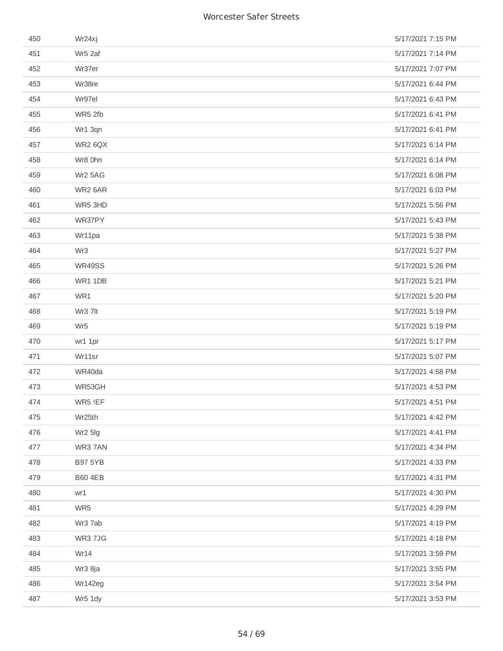| 450 | Wr24xj          | 5/17/2021 7:15 PM |
|-----|-----------------|-------------------|
| 451 | Wr5 2af         | 5/17/2021 7:14 PM |
| 452 | Wr37er          | 5/17/2021 7:07 PM |
| 453 | Wr38re          | 5/17/2021 6:44 PM |
| 454 | Wr97el          | 5/17/2021 6:43 PM |
| 455 | WR5 2fb         | 5/17/2021 6:41 PM |
| 456 | Wr1 3qn         | 5/17/2021 6:41 PM |
| 457 | WR2 6QX         | 5/17/2021 6:14 PM |
| 458 | Wr8 0hn         | 5/17/2021 6:14 PM |
| 459 | Wr2 5AG         | 5/17/2021 6:08 PM |
| 460 | WR2 6AR         | 5/17/2021 6:03 PM |
| 461 | WR5 3HD         | 5/17/2021 5:56 PM |
| 462 | WR37PY          | 5/17/2021 5:43 PM |
| 463 | Wr11pa          | 5/17/2021 5:38 PM |
| 464 | Wr <sub>3</sub> | 5/17/2021 5:27 PM |
| 465 | WR49SS          | 5/17/2021 5:26 PM |
| 466 | WR1 1DB         | 5/17/2021 5:21 PM |
| 467 | WR1             | 5/17/2021 5:20 PM |
| 468 | Wr3 7lt         | 5/17/2021 5:19 PM |
| 469 | Wr <sub>5</sub> | 5/17/2021 5:19 PM |
| 470 | wr1 1pr         | 5/17/2021 5:17 PM |
| 471 | Wr11sr          | 5/17/2021 5:07 PM |
| 472 | WR40da          | 5/17/2021 4:58 PM |
| 473 | WR53GH          | 5/17/2021 4:53 PM |
| 474 | WR5 !EF         | 5/17/2021 4:51 PM |
| 475 | Wr25th          | 5/17/2021 4:42 PM |
| 476 | Wr2 5lg         | 5/17/2021 4:41 PM |
| 477 | WR3 7AN         | 5/17/2021 4:34 PM |
| 478 | <b>B97 5YB</b>  | 5/17/2021 4:33 PM |
| 479 | <b>B60 4EB</b>  | 5/17/2021 4:31 PM |
| 480 | wr1             | 5/17/2021 4:30 PM |
| 481 | WR5             | 5/17/2021 4:29 PM |
| 482 | Wr3 7ab         | 5/17/2021 4:19 PM |
| 483 | <b>WR3 7JG</b>  | 5/17/2021 4:18 PM |
| 484 | Wr14            | 5/17/2021 3:59 PM |
| 485 | Wr3 8ja         | 5/17/2021 3:55 PM |
| 486 | Wr142eg         | 5/17/2021 3:54 PM |
| 487 | Wr5 1dy         | 5/17/2021 3:53 PM |
|     |                 |                   |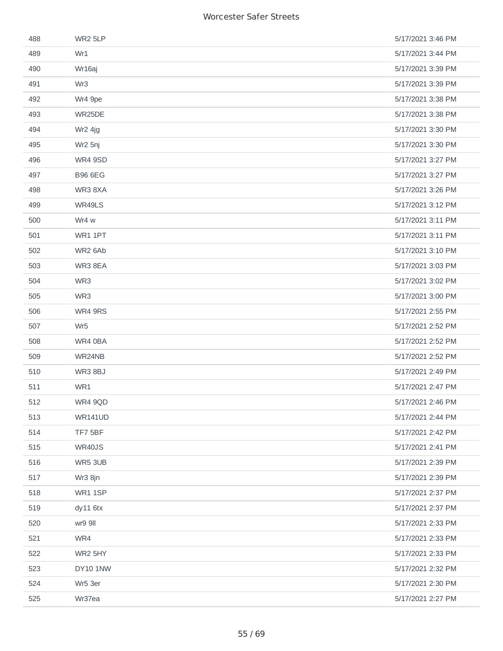| 488 | WR2 5LP         | 5/17/2021 3:46 PM |
|-----|-----------------|-------------------|
| 489 | Wr1             | 5/17/2021 3:44 PM |
| 490 | Wr16aj          | 5/17/2021 3:39 PM |
| 491 | Wr <sub>3</sub> | 5/17/2021 3:39 PM |
| 492 | Wr4 9pe         | 5/17/2021 3:38 PM |
| 493 | WR25DE          | 5/17/2021 3:38 PM |
| 494 | Wr2 4jg         | 5/17/2021 3:30 PM |
| 495 | Wr2 5nj         | 5/17/2021 3:30 PM |
| 496 | WR4 9SD         | 5/17/2021 3:27 PM |
| 497 | <b>B96 6EG</b>  | 5/17/2021 3:27 PM |
| 498 | WR38XA          | 5/17/2021 3:26 PM |
| 499 | WR49LS          | 5/17/2021 3:12 PM |
| 500 | Wr4 w           | 5/17/2021 3:11 PM |
| 501 | WR1 1PT         | 5/17/2021 3:11 PM |
| 502 | WR2 6Ab         | 5/17/2021 3:10 PM |
| 503 | WR3 8EA         | 5/17/2021 3:03 PM |
| 504 | WR3             | 5/17/2021 3:02 PM |
| 505 | WR3             | 5/17/2021 3:00 PM |
| 506 | WR4 9RS         | 5/17/2021 2:55 PM |
| 507 | Wr <sub>5</sub> | 5/17/2021 2:52 PM |
| 508 | WR4 0BA         | 5/17/2021 2:52 PM |
| 509 | WR24NB          | 5/17/2021 2:52 PM |
| 510 | WR38BJ          | 5/17/2021 2:49 PM |
| 511 | WR1             | 5/17/2021 2:47 PM |
| 512 | WR4 9QD         | 5/17/2021 2:46 PM |
| 513 | <b>WR141UD</b>  | 5/17/2021 2:44 PM |
| 514 | TF7 5BF         | 5/17/2021 2:42 PM |
| 515 | WR40JS          | 5/17/2021 2:41 PM |
| 516 | WR5 3UB         | 5/17/2021 2:39 PM |
| 517 | Wr3 8jn         | 5/17/2021 2:39 PM |
| 518 | WR1 1SP         | 5/17/2021 2:37 PM |
| 519 | $dy11$ 6tx      | 5/17/2021 2:37 PM |
| 520 | wr9 9II         | 5/17/2021 2:33 PM |
| 521 | WR4             | 5/17/2021 2:33 PM |
| 522 | WR2 5HY         | 5/17/2021 2:33 PM |
| 523 | DY10 1NW        | 5/17/2021 2:32 PM |
| 524 | Wr5 3er         | 5/17/2021 2:30 PM |
| 525 | Wr37ea          | 5/17/2021 2:27 PM |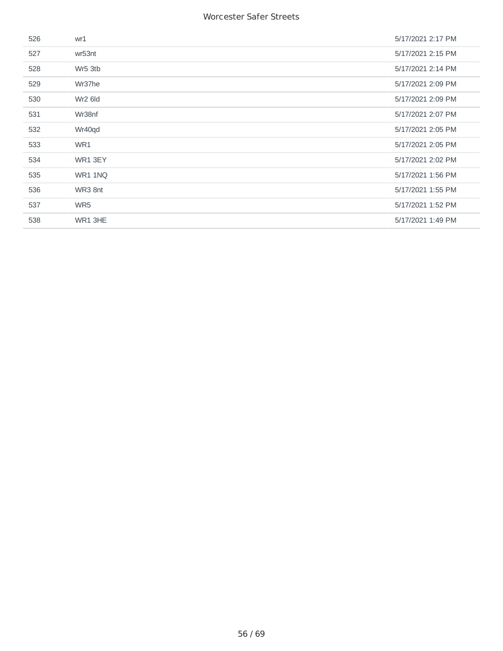| 526 | wr1                 | 5/17/2021 2:17 PM |
|-----|---------------------|-------------------|
| 527 | wr53nt              | 5/17/2021 2:15 PM |
| 528 | Wr5 3tb             | 5/17/2021 2:14 PM |
| 529 | Wr37he              | 5/17/2021 2:09 PM |
| 530 | Wr <sub>2</sub> 6ld | 5/17/2021 2:09 PM |
| 531 | Wr38nf              | 5/17/2021 2:07 PM |
| 532 | Wr40qd              | 5/17/2021 2:05 PM |
| 533 | WR1                 | 5/17/2021 2:05 PM |
| 534 | WR1 3EY             | 5/17/2021 2:02 PM |
| 535 | WR1 1NQ             | 5/17/2021 1:56 PM |
| 536 | WR3 8nt             | 5/17/2021 1:55 PM |
| 537 | WR5                 | 5/17/2021 1:52 PM |
| 538 | WR1 3HE             | 5/17/2021 1:49 PM |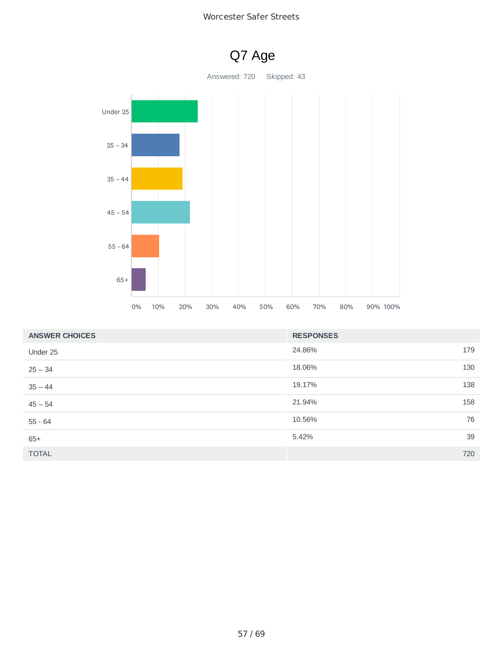



| <b>ANSWER CHOICES</b> | <b>RESPONSES</b> |     |
|-----------------------|------------------|-----|
| Under 25              | 24.86%           | 179 |
| $25 - 34$             | 18.06%           | 130 |
| $35 - 44$             | 19.17%           | 138 |
| $45 - 54$             | 21.94%           | 158 |
| $55 - 64$             | 10.56%           | 76  |
| $65+$                 | 5.42%            | 39  |
| <b>TOTAL</b>          |                  | 720 |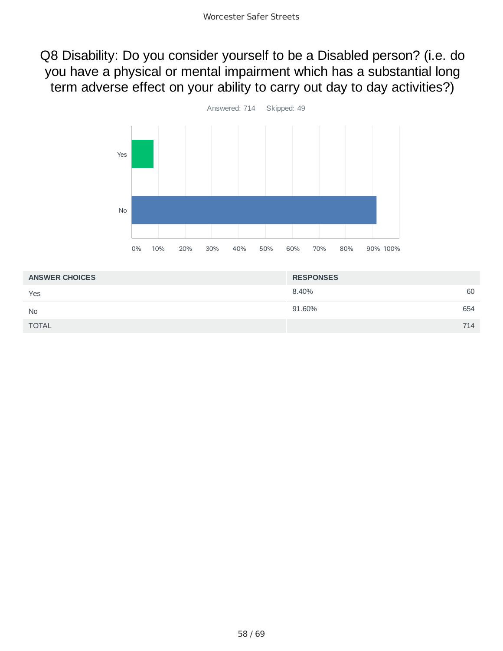Q8 Disability: Do you consider yourself to be a Disabled person? (i.e. do you have a physical or mental impairment which has a substantial long term adverse effect on your ability to carry out day to day activities?)



| <b>ANSWER CHOICES</b> | <b>RESPONSES</b> |     |
|-----------------------|------------------|-----|
| Yes                   | 8.40%            | 60  |
| <b>No</b>             | 91.60%           | 654 |
| <b>TOTAL</b>          |                  | 714 |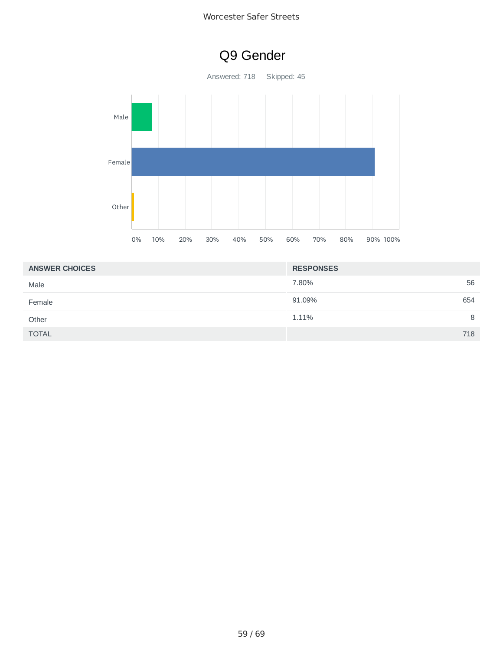

| <b>ANSWER CHOICES</b> | <b>RESPONSES</b> |
|-----------------------|------------------|
| Male                  | 56<br>7.80%      |
| Female                | 91.09%<br>654    |
| Other                 | 1.11%<br>8       |
| <b>TOTAL</b>          | 718              |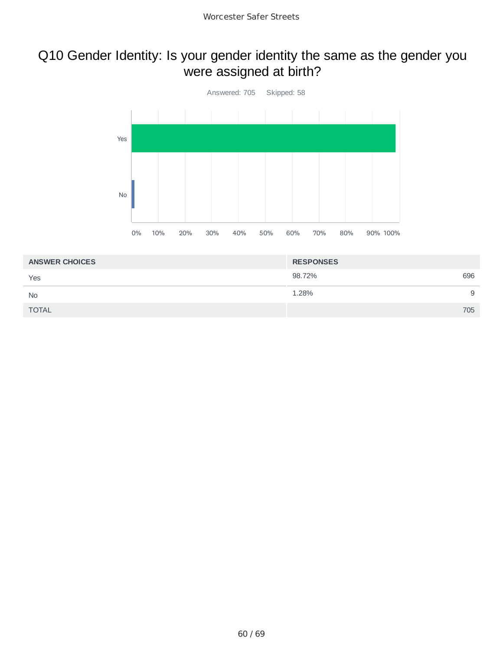## Q10 Gender Identity: Is your gender identity the same as the gender you were assigned at birth?



| <b>ANSWER CHOICES</b> | <b>RESPONSES</b> |   |
|-----------------------|------------------|---|
| Yes                   | 98.72%<br>696    |   |
| <b>No</b>             | 1.28%            | 9 |
| <b>TOTAL</b>          | 705              |   |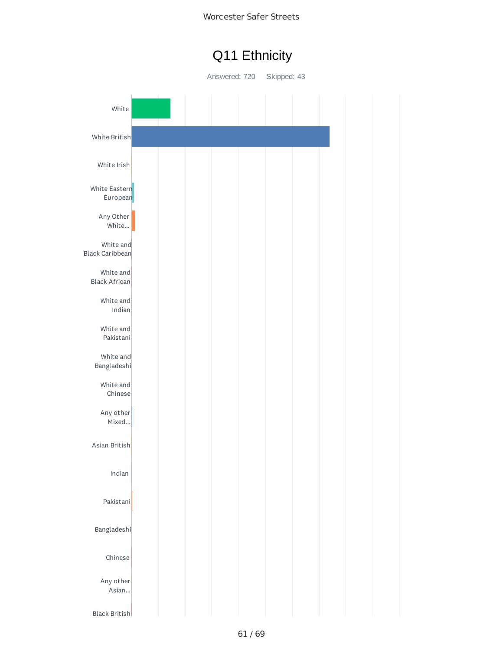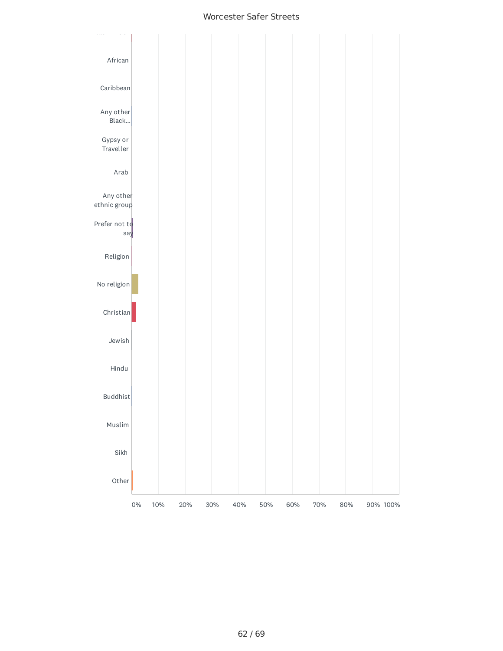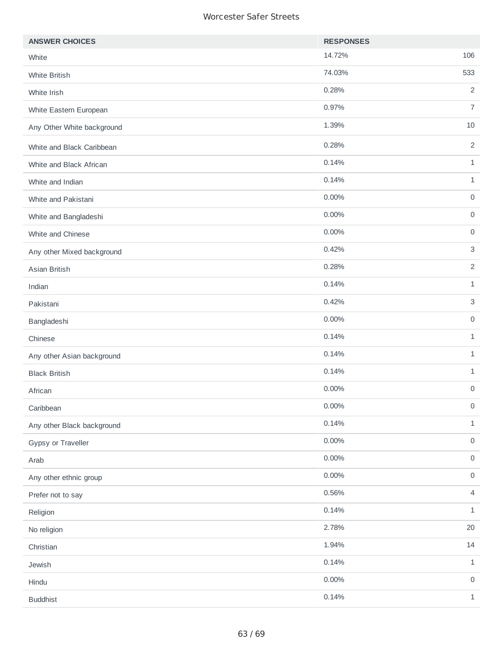| <b>ANSWER CHOICES</b>      | <b>RESPONSES</b> |                     |
|----------------------------|------------------|---------------------|
| White                      | 14.72%           | 106                 |
| White British              | 74.03%           | 533                 |
| White Irish                | 0.28%            | $\overline{2}$      |
| White Eastern European     | 0.97%            | $\overline{7}$      |
| Any Other White background | 1.39%            | 10                  |
| White and Black Caribbean  | 0.28%            | $\overline{2}$      |
| White and Black African    | 0.14%            | $\mathbf{1}$        |
| White and Indian           | 0.14%            | $\mathbf{1}$        |
| White and Pakistani        | 0.00%            | $\mathsf{O}\xspace$ |
| White and Bangladeshi      | $0.00\%$         | $\mathsf{O}\xspace$ |
| White and Chinese          | 0.00%            | $\mathsf{O}\xspace$ |
| Any other Mixed background | 0.42%            | $\mathsf 3$         |
| Asian British              | 0.28%            | $\overline{2}$      |
| Indian                     | 0.14%            | $\mathbf{1}$        |
| Pakistani                  | 0.42%            | $\mathsf{3}$        |
| Bangladeshi                | $0.00\%$         | $\mathsf{O}\xspace$ |
| Chinese                    | 0.14%            | $\mathbf{1}$        |
| Any other Asian background | 0.14%            | $\mathbf{1}$        |
| <b>Black British</b>       | 0.14%            | $\mathbf{1}$        |
| African                    | 0.00%            | $\mathsf{O}\xspace$ |
| Caribbean                  | 0.00%            | 0                   |
| Any other Black background | 0.14%            | $\mathbf 1$         |
| Gypsy or Traveller         | $0.00\%$         | $\mathsf{O}\xspace$ |
| Arab                       | $0.00\%$         | $\mathsf O$         |
| Any other ethnic group     | $0.00\%$         | $\mathsf{O}\xspace$ |
| Prefer not to say          | 0.56%            | $\overline{4}$      |
| Religion                   | 0.14%            | $1\,$               |
| No religion                | 2.78%            | 20                  |
| Christian                  | 1.94%            | 14                  |
| Jewish                     | 0.14%            | $\mathbf{1}$        |
| Hindu                      | $0.00\%$         | $\mathsf{O}\xspace$ |
| <b>Buddhist</b>            | 0.14%            | $\mathbf{1}$        |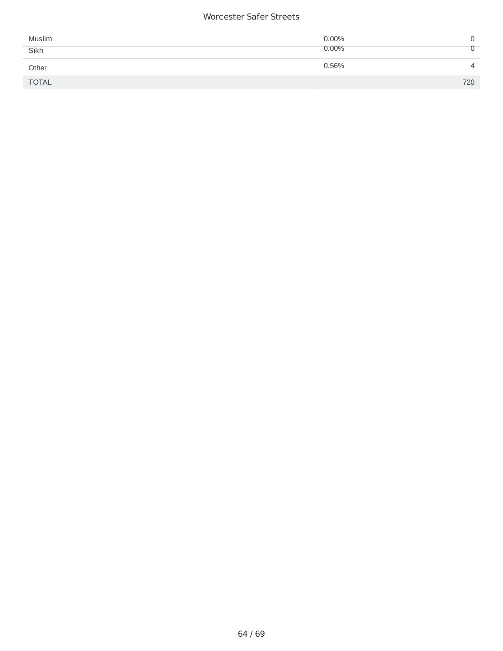| Muslim       | $0.00\%$ |     |
|--------------|----------|-----|
| Sikh         | 0.00%    |     |
| Other        | 0.56%    | 4   |
| <b>TOTAL</b> |          | 720 |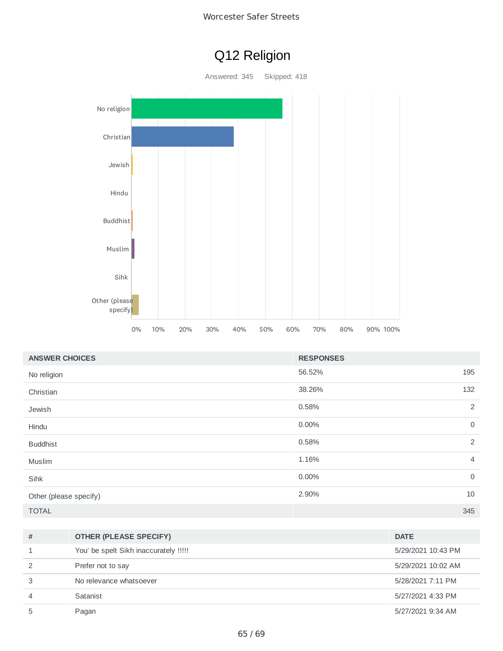



| <b>ANSWER CHOICES</b>  | <b>RESPONSES</b> |                |
|------------------------|------------------|----------------|
| No religion            | 56.52%           | 195            |
| Christian              | 38.26%           | 132            |
| Jewish                 | 0.58%            | $\overline{c}$ |
| Hindu                  | 0.00%            | $\mathbf 0$    |
| <b>Buddhist</b>        | 0.58%            | 2              |
| Muslim                 | 1.16%            | 4              |
| Sihk                   | 0.00%            | $\mathbf 0$    |
| Other (please specify) | 2.90%            | 10             |
| <b>TOTAL</b>           |                  | 345            |

| #  | <b>OTHER (PLEASE SPECIFY)</b>         | <b>DATE</b>        |
|----|---------------------------------------|--------------------|
|    | You' be spelt Sikh inaccurately !!!!! | 5/29/2021 10:43 PM |
|    | Prefer not to say                     | 5/29/2021 10:02 AM |
|    | No relevance whatsoever               | 5/28/2021 7:11 PM  |
| 4  | Satanist                              | 5/27/2021 4:33 PM  |
| ٠h | Pagan                                 | 5/27/2021 9:34 AM  |
|    |                                       |                    |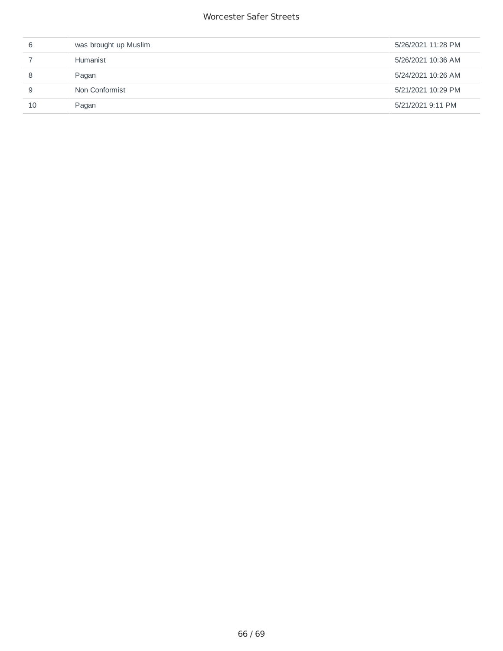| 6  | was brought up Muslim | 5/26/2021 11:28 PM |
|----|-----------------------|--------------------|
|    | Humanist              | 5/26/2021 10:36 AM |
|    | Pagan                 | 5/24/2021 10:26 AM |
| 9  | Non Conformist        | 5/21/2021 10:29 PM |
| 10 | Pagan                 | 5/21/2021 9:11 PM  |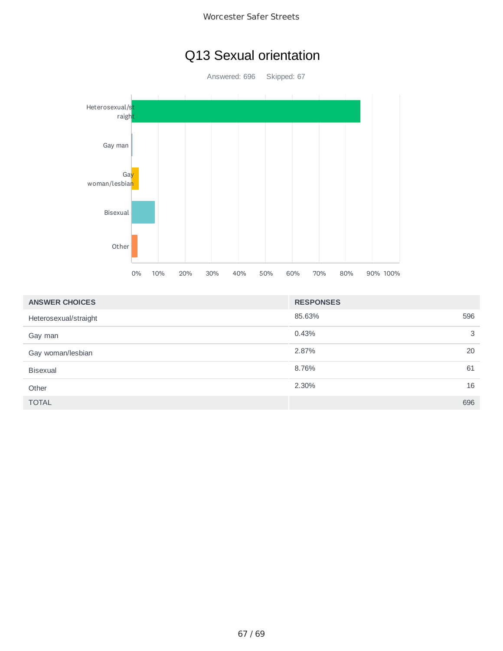## Q13 Sexual orientation

Answered: 696 Skipped: 67



| <b>ANSWER CHOICES</b> | <b>RESPONSES</b> |     |
|-----------------------|------------------|-----|
| Heterosexual/straight | 85.63%           | 596 |
| Gay man               | 0.43%            | 3   |
| Gay woman/lesbian     | 2.87%            | 20  |
| <b>Bisexual</b>       | 8.76%            | 61  |
| Other                 | 2.30%            | 16  |
| <b>TOTAL</b>          |                  | 696 |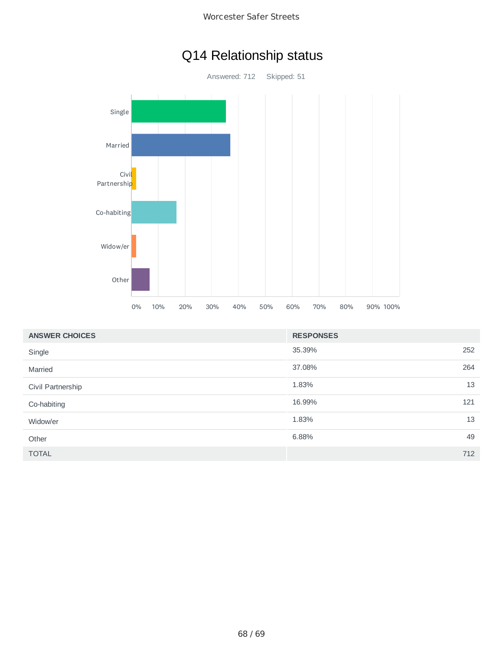

## Q14 Relationship status

Answered: 712 Skipped: 51



| <b>ANSWER CHOICES</b> | <b>RESPONSES</b> |     |
|-----------------------|------------------|-----|
| Single                | 35.39%           | 252 |
| Married               | 37.08%           | 264 |
| Civil Partnership     | 1.83%            | 13  |
| Co-habiting           | 16.99%           | 121 |
| Widow/er              | 1.83%            | 13  |
| Other                 | 6.88%            | 49  |
| <b>TOTAL</b>          |                  | 712 |